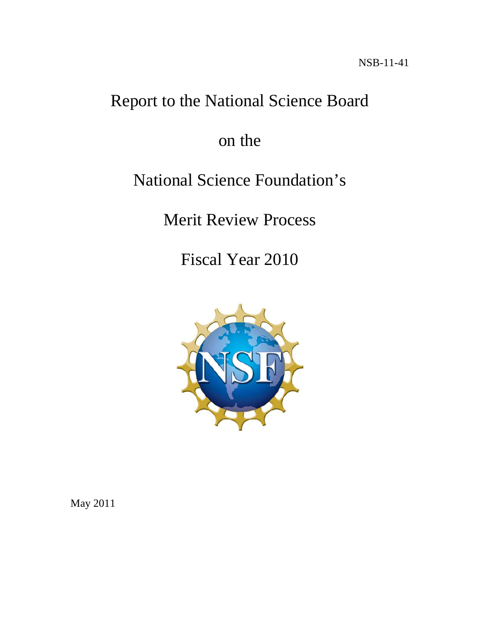# Report to the National Science Board

on the

# National Science Foundation's

Merit Review Process

Fiscal Year 2010



May 2011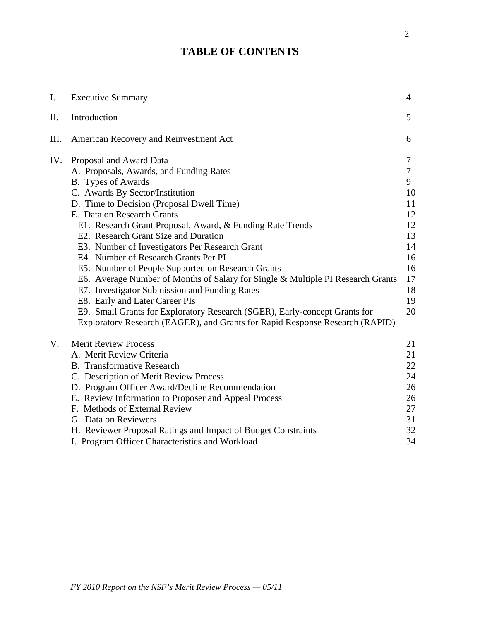## **TABLE OF CONTENTS**

| I.  | <b>Executive Summary</b>                                                                                                                                   | 4  |
|-----|------------------------------------------------------------------------------------------------------------------------------------------------------------|----|
| Π.  | Introduction                                                                                                                                               | 5  |
| Ш.  | American Recovery and Reinvestment Act                                                                                                                     | 6  |
| IV. | Proposal and Award Data                                                                                                                                    | 7  |
|     | A. Proposals, Awards, and Funding Rates                                                                                                                    | 7  |
|     | B. Types of Awards                                                                                                                                         | 9  |
|     | C. Awards By Sector/Institution                                                                                                                            | 10 |
|     | D. Time to Decision (Proposal Dwell Time)                                                                                                                  | 11 |
|     | E. Data on Research Grants                                                                                                                                 | 12 |
|     | E1. Research Grant Proposal, Award, & Funding Rate Trends                                                                                                  | 12 |
|     | E2. Research Grant Size and Duration                                                                                                                       | 13 |
|     | E3. Number of Investigators Per Research Grant                                                                                                             | 14 |
|     | E4. Number of Research Grants Per PI                                                                                                                       | 16 |
|     | E5. Number of People Supported on Research Grants                                                                                                          | 16 |
|     | E6. Average Number of Months of Salary for Single & Multiple PI Research Grants                                                                            | 17 |
|     | E7. Investigator Submission and Funding Rates                                                                                                              | 18 |
|     | E8. Early and Later Career PIs                                                                                                                             | 19 |
|     | E9. Small Grants for Exploratory Research (SGER), Early-concept Grants for<br>Exploratory Research (EAGER), and Grants for Rapid Response Research (RAPID) | 20 |
| V.  | <b>Merit Review Process</b>                                                                                                                                | 21 |
|     | A. Merit Review Criteria                                                                                                                                   | 21 |
|     | <b>B.</b> Transformative Research                                                                                                                          | 22 |
|     | C. Description of Merit Review Process                                                                                                                     | 24 |
|     | D. Program Officer Award/Decline Recommendation                                                                                                            | 26 |
|     | E. Review Information to Proposer and Appeal Process                                                                                                       | 26 |
|     | F. Methods of External Review                                                                                                                              | 27 |
|     | G. Data on Reviewers                                                                                                                                       | 31 |
|     | H. Reviewer Proposal Ratings and Impact of Budget Constraints                                                                                              | 32 |
|     | I. Program Officer Characteristics and Workload                                                                                                            | 34 |
|     |                                                                                                                                                            |    |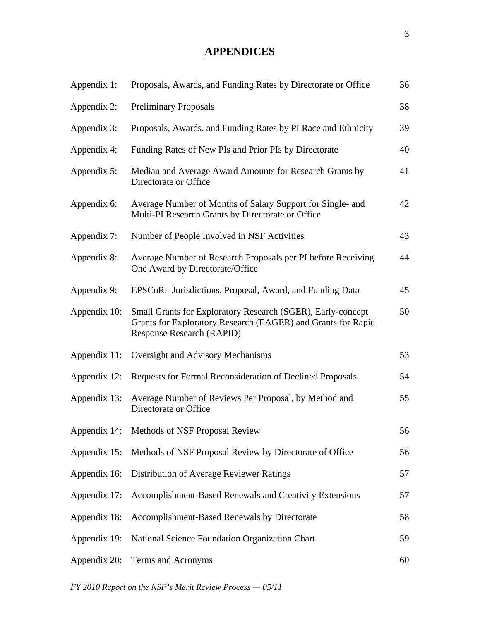## **APPENDICES**

| Appendix 1:  | Proposals, Awards, and Funding Rates by Directorate or Office                                                                                                   | 36 |
|--------------|-----------------------------------------------------------------------------------------------------------------------------------------------------------------|----|
| Appendix 2:  | <b>Preliminary Proposals</b>                                                                                                                                    | 38 |
| Appendix 3:  | Proposals, Awards, and Funding Rates by PI Race and Ethnicity                                                                                                   | 39 |
| Appendix 4:  | Funding Rates of New PIs and Prior PIs by Directorate                                                                                                           | 40 |
| Appendix 5:  | Median and Average Award Amounts for Research Grants by<br>Directorate or Office                                                                                | 41 |
| Appendix 6:  | Average Number of Months of Salary Support for Single- and<br>Multi-PI Research Grants by Directorate or Office                                                 | 42 |
| Appendix 7:  | Number of People Involved in NSF Activities                                                                                                                     | 43 |
| Appendix 8:  | Average Number of Research Proposals per PI before Receiving<br>One Award by Directorate/Office                                                                 | 44 |
| Appendix 9:  | EPSCoR: Jurisdictions, Proposal, Award, and Funding Data                                                                                                        | 45 |
| Appendix 10: | Small Grants for Exploratory Research (SGER), Early-concept<br>Grants for Exploratory Research (EAGER) and Grants for Rapid<br><b>Response Research (RAPID)</b> | 50 |
| Appendix 11: | Oversight and Advisory Mechanisms                                                                                                                               | 53 |
| Appendix 12: | Requests for Formal Reconsideration of Declined Proposals                                                                                                       | 54 |
| Appendix 13: | Average Number of Reviews Per Proposal, by Method and<br>Directorate or Office                                                                                  | 55 |
|              | Appendix 14: Methods of NSF Proposal Review                                                                                                                     | 56 |
| Appendix 15: | Methods of NSF Proposal Review by Directorate of Office                                                                                                         | 56 |
| Appendix 16: | Distribution of Average Reviewer Ratings                                                                                                                        | 57 |
| Appendix 17: | Accomplishment-Based Renewals and Creativity Extensions                                                                                                         | 57 |
| Appendix 18: | Accomplishment-Based Renewals by Directorate                                                                                                                    | 58 |
| Appendix 19: | National Science Foundation Organization Chart                                                                                                                  | 59 |
| Appendix 20: | Terms and Acronyms                                                                                                                                              | 60 |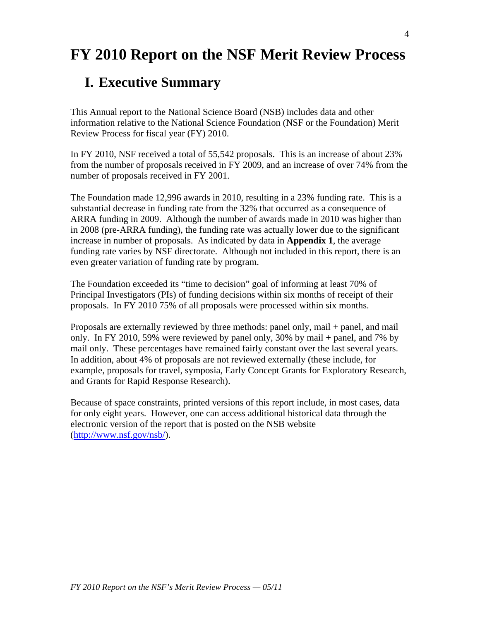# **FY 2010 Report on the NSF Merit Review Process**

## **I. Executive Summary**

This Annual report to the National Science Board (NSB) includes data and other information relative to the National Science Foundation (NSF or the Foundation) Merit Review Process for fiscal year (FY) 2010.

In FY 2010, NSF received a total of 55,542 proposals. This is an increase of about 23% from the number of proposals received in FY 2009, and an increase of over 74% from the number of proposals received in FY 2001.

The Foundation made 12,996 awards in 2010, resulting in a 23% funding rate. This is a substantial decrease in funding rate from the 32% that occurred as a consequence of ARRA funding in 2009. Although the number of awards made in 2010 was higher than in 2008 (pre-ARRA funding), the funding rate was actually lower due to the significant increase in number of proposals. As indicated by data in **Appendix 1**, the average funding rate varies by NSF directorate. Although not included in this report, there is an even greater variation of funding rate by program.

The Foundation exceeded its "time to decision" goal of informing at least 70% of Principal Investigators (PIs) of funding decisions within six months of receipt of their proposals. In FY 2010 75% of all proposals were processed within six months.

Proposals are externally reviewed by three methods: panel only, mail + panel, and mail only. In FY 2010, 59% were reviewed by panel only, 30% by mail + panel, and 7% by mail only. These percentages have remained fairly constant over the last several years. In addition, about 4% of proposals are not reviewed externally (these include, for example, proposals for travel, symposia, Early Concept Grants for Exploratory Research, and Grants for Rapid Response Research).

Because of space constraints, printed versions of this report include, in most cases, data for only eight years. However, one can access additional historical data through the electronic version of the report that is posted on the NSB website ([http://www.nsf.gov/nsb/\)](http://www.nsf.gov/nsb/).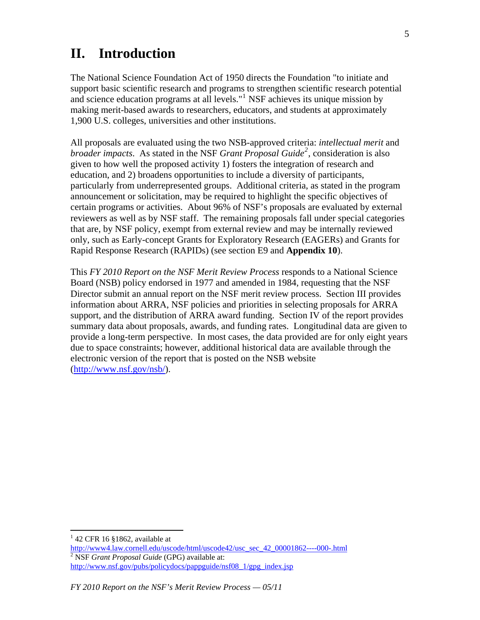## **II. Introduction**

The National Science Foundation Act of 1950 directs the Foundation "to initiate and support basic scientific research and programs to strengthen scientific research potential and science education programs at all levels."<sup>[1](#page-4-0)</sup> NSF achieves its unique mission by making merit-based awards to researchers, educators, and students at approximately 1,900 U.S. colleges, universities and other institutions.

All proposals are evaluated using the two NSB-approved criteria: *intellectual merit* and *broader impacts*. As stated in the NSF *Grant Proposal Guide[2](#page-4-1)* , consideration is also given to how well the proposed activity 1) fosters the integration of research and education, and 2) broadens opportunities to include a diversity of participants, particularly from underrepresented groups. Additional criteria, as stated in the program announcement or solicitation, may be required to highlight the specific objectives of certain programs or activities. About 96% of NSF's proposals are evaluated by external reviewers as well as by NSF staff. The remaining proposals fall under special categories that are, by NSF policy, exempt from external review and may be internally reviewed only, such as Early-concept Grants for Exploratory Research (EAGERs) and Grants for Rapid Response Research (RAPIDs) (see section E9 and **Appendix 10**).

This *FY 2010 Report on the NSF Merit Review Process* responds to a National Science Board (NSB) policy endorsed in 1977 and amended in 1984, requesting that the NSF Director submit an annual report on the NSF merit review process. Section III provides information about ARRA, NSF policies and priorities in selecting proposals for ARRA support, and the distribution of ARRA award funding. Section IV of the report provides summary data about proposals, awards, and funding rates. Longitudinal data are given to provide a long-term perspective. In most cases, the data provided are for only eight years due to space constraints; however, additional historical data are available through the electronic version of the report that is posted on the NSB website ([http://www.nsf.gov/nsb/\)](http://www.nsf.gov/nsb/).

<span id="page-4-0"></span> $142$  CFR 16 §1862, available at

<span id="page-4-1"></span>[http://www4.law.cornell.edu/uscode/html/uscode42/usc\\_sec\\_42\\_00001862----000-.html](http://www4.law.cornell.edu/uscode/html/uscode42/usc_sec_42_00001862----000-.html) [2](http://www4.law.cornell.edu/uscode/html/uscode42/usc_sec_42_00001862----000-.html) NSF *Grant Proposal Guide* (GPG) available at: http://www.nsf.gov/pubs/policydocs/pappguide/nsf08 1/gpg index.jsp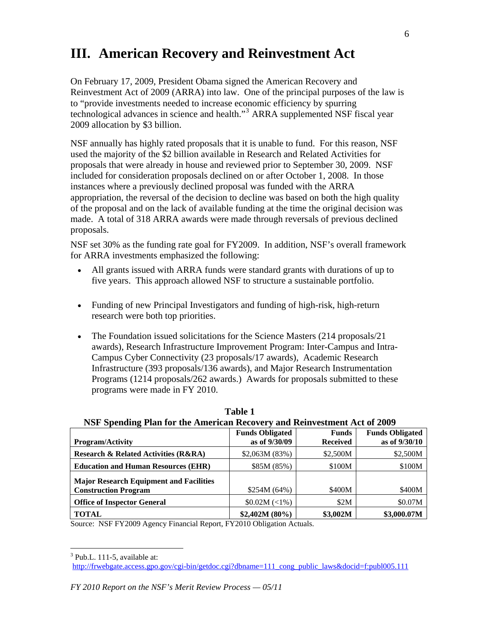## **III. American Recovery and Reinvestment Act**

On February 17, 2009, President Obama signed the American Recovery and Reinvestment Act of 2009 (ARRA) into law. One of the principal purposes of the law is to "provide investments needed to increase economic efficiency by spurring technological advances in science and health."[3](#page-5-0) ARRA supplemented NSF fiscal year 2009 allocation by \$3 billion.

NSF annually has highly rated proposals that it is unable to fund. For this reason, NSF used the majority of the \$2 billion available in Research and Related Activities for proposals that were already in house and reviewed prior to September 30, 2009. NSF included for consideration proposals declined on or after October 1, 2008. In those instances where a previously declined proposal was funded with the ARRA appropriation, the reversal of the decision to decline was based on both the high quality of the proposal and on the lack of available funding at the time the original decision was made. A total of 318 ARRA awards were made through reversals of previous declined proposals.

NSF set 30% as the funding rate goal for FY2009. In addition, NSF's overall framework for ARRA investments emphasized the following:

- All grants issued with ARRA funds were standard grants with durations of up to five years. This approach allowed NSF to structure a sustainable portfolio.
- Funding of new Principal Investigators and funding of high-risk, high-return research were both top priorities.
- The Foundation issued solicitations for the Science Masters (214 proposals/21) awards), Research Infrastructure Improvement Program: Inter-Campus and Intra-Campus Cyber Connectivity (23 proposals/17 awards), Academic Research Infrastructure (393 proposals/136 awards), and Major Research Instrumentation Programs (1214 proposals/262 awards.) Awards for proposals submitted to these programs were made in FY 2010.

| TNST Spending I fail for the American Recovery and Rehivestment Act of 2009 |                        |                 |                        |
|-----------------------------------------------------------------------------|------------------------|-----------------|------------------------|
|                                                                             | <b>Funds Obligated</b> | <b>Funds</b>    | <b>Funds Obligated</b> |
| <b>Program/Activity</b>                                                     | as of 9/30/09          | <b>Received</b> | as of 9/30/10          |
| <b>Research &amp; Related Activities (R&amp;RA)</b>                         | \$2,063M (83%)         | \$2,500M        | \$2,500M               |
| <b>Education and Human Resources (EHR)</b>                                  | \$85M (85%)            | \$100M          | \$100M                 |
| <b>Major Research Equipment and Facilities</b>                              |                        |                 |                        |
| <b>Construction Program</b>                                                 | \$254M (64%)           | \$400M          | \$400M                 |
| <b>Office of Inspector General</b>                                          | \$0.02M (<1%)          | \$2M            | \$0.07M                |
| <b>TOTAL</b>                                                                | $$2,402M (80\%)$       | \$3,002M        | \$3,000.07M            |

**Table 1 NSF Spending Plan for the American Recovery and Reinvestment Act of 2009** 

Source: NSF FY2009 Agency Financial Report, FY2010 Obligation Actuals.

<span id="page-5-0"></span> $3$  Pub.L. 111-5, available at:

[http://frwebgate.access.gpo.gov/cgi-bin/getdoc.cgi?dbname=111\\_cong\\_public\\_laws&docid=f:publ005.111](http://frwebgate.access.gpo.gov/cgi-bin/getdoc.cgi?dbname=111_cong_public_laws&docid=f:publ005.111)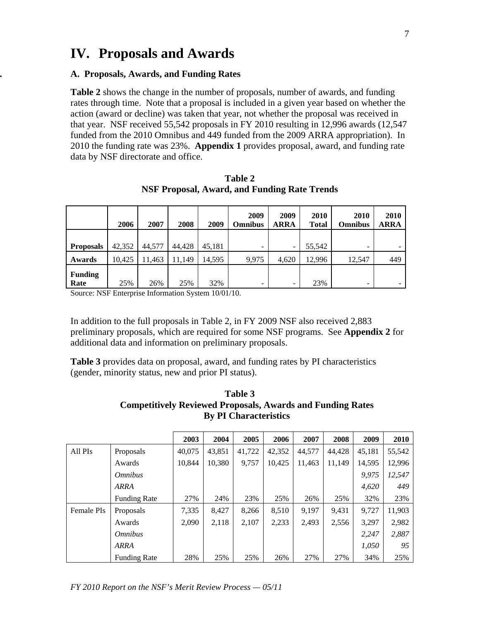## **IV. Proposals and Awards**

#### **. A. Proposals, Awards, and Funding Rates**

**Table 2** shows the change in the number of proposals, number of awards, and funding rates through time. Note that a proposal is included in a given year based on whether the action (award or decline) was taken that year, not whether the proposal was received in that year. NSF received 55,542 proposals in FY 2010 resulting in 12,996 awards (12,547 funded from the 2010 Omnibus and 449 funded from the 2009 ARRA appropriation). In 2010 the funding rate was 23%. **Appendix 1** provides proposal, award, and funding rate data by NSF directorate and office.

|                        | 2006   | 2007   | 2008   | 2009   | 2009<br><b>Omnibus</b>   | 2009<br><b>ARRA</b> | 2010<br><b>Total</b> | <b>2010</b><br><b>Omnibus</b> | 2010<br><b>ARRA</b> |
|------------------------|--------|--------|--------|--------|--------------------------|---------------------|----------------------|-------------------------------|---------------------|
| <b>Proposals</b>       | 42,352 | 44,577 | 44,428 | 45,181 | -                        | -                   | 55,542               | ۰                             |                     |
| Awards                 | 10.425 | 11,463 | 11,149 | 14,595 | 9,975                    | 4,620               | 12,996               | 12,547                        | 449                 |
| <b>Funding</b><br>Rate | 25%    | 26%    | 25%    | 32%    | $\overline{\phantom{0}}$ | -                   | 23%                  | ۰                             |                     |

**Table 2 NSF Proposal, Award, and Funding Rate Trends** 

Source: NSF Enterprise Information System 10/01/10.

In addition to the full proposals in Table 2, in FY 2009 NSF also received 2,883 preliminary proposals, which are required for some NSF programs. See **Appendix 2** for additional data and information on preliminary proposals.

**Table 3** provides data on proposal, award, and funding rates by PI characteristics (gender, minority status, new and prior PI status).

| Table 3                                                           |
|-------------------------------------------------------------------|
| <b>Competitively Reviewed Proposals, Awards and Funding Rates</b> |
| <b>By PI Characteristics</b>                                      |

|                   |                       | 2003   | 2004   | 2005   | 2006   | 2007   | 2008   | 2009   | 2010   |
|-------------------|-----------------------|--------|--------|--------|--------|--------|--------|--------|--------|
| All PIs           | Proposals             | 40.075 | 43.851 | 41,722 | 42,352 | 44,577 | 44.428 | 45.181 | 55,542 |
|                   | Awards                | 10.844 | 10,380 | 9.757  | 10,425 | 11,463 | 11.149 | 14,595 | 12,996 |
|                   | <i><b>Omnibus</b></i> |        |        |        |        |        |        | 9.975  | 12,547 |
|                   | <b>ARRA</b>           |        |        |        |        |        |        | 4,620  | 449    |
|                   | <b>Funding Rate</b>   | 27%    | 24%    | 23%    | 25%    | 26%    | 25%    | 32%    | 23%    |
| <b>Female PIs</b> | Proposals             | 7,335  | 8,427  | 8,266  | 8,510  | 9,197  | 9,431  | 9,727  | 11,903 |
|                   | Awards                | 2.090  | 2,118  | 2,107  | 2,233  | 2,493  | 2,556  | 3,297  | 2,982  |
|                   | <i><b>Omnibus</b></i> |        |        |        |        |        |        | 2,247  | 2,887  |
|                   | <b>ARRA</b>           |        |        |        |        |        |        | 1,050  | 95     |
|                   | <b>Funding Rate</b>   | 28%    | 25%    | 25%    | 26%    | 27%    | 27%    | 34%    | 25%    |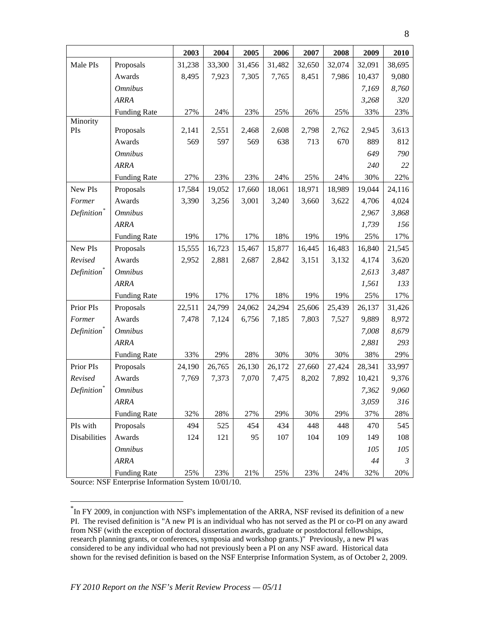|                         |                     | 2003   | 2004   | 2005   | 2006   | 2007   | 2008   | 2009   | 2010           |
|-------------------------|---------------------|--------|--------|--------|--------|--------|--------|--------|----------------|
| Male PIs                | Proposals           | 31,238 | 33,300 | 31,456 | 31,482 | 32,650 | 32,074 | 32,091 | 38,695         |
|                         | Awards              | 8,495  | 7,923  | 7,305  | 7,765  | 8,451  | 7,986  | 10,437 | 9,080          |
|                         | <b>Omnibus</b>      |        |        |        |        |        |        | 7,169  | 8,760          |
|                         | <b>ARRA</b>         |        |        |        |        |        |        | 3,268  | 320            |
|                         | <b>Funding Rate</b> | 27%    | 24%    | 23%    | 25%    | 26%    | 25%    | 33%    | 23%            |
| Minority                |                     |        |        |        |        |        |        |        |                |
| PIs                     | Proposals           | 2,141  | 2,551  | 2,468  | 2,608  | 2,798  | 2,762  | 2,945  | 3,613          |
|                         | Awards              | 569    | 597    | 569    | 638    | 713    | 670    | 889    | 812            |
|                         | <b>Omnibus</b>      |        |        |        |        |        |        | 649    | 790            |
|                         | <b>ARRA</b>         |        |        |        |        |        |        | 240    | 22             |
|                         | <b>Funding Rate</b> | 27%    | 23%    | 23%    | 24%    | 25%    | 24%    | 30%    | 22%            |
| New PIs                 | Proposals           | 17,584 | 19,052 | 17,660 | 18,061 | 18,971 | 18,989 | 19,044 | 24,116         |
| Former                  | Awards              | 3,390  | 3,256  | 3,001  | 3,240  | 3,660  | 3,622  | 4,706  | 4,024          |
| Definition <sup>*</sup> | <b>Omnibus</b>      |        |        |        |        |        |        | 2,967  | 3,868          |
|                         | <b>ARRA</b>         |        |        |        |        |        |        | 1,739  | 156            |
|                         | <b>Funding Rate</b> | 19%    | 17%    | 17%    | 18%    | 19%    | 19%    | 25%    | 17%            |
| New PIs                 | Proposals           | 15,555 | 16,723 | 15,467 | 15,877 | 16,445 | 16,483 | 16,840 | 21,545         |
| Revised                 | Awards              | 2,952  | 2,881  | 2,687  | 2,842  | 3,151  | 3,132  | 4,174  | 3,620          |
| Definition <sup>*</sup> | <b>Omnibus</b>      |        |        |        |        |        |        | 2,613  | 3,487          |
|                         | <b>ARRA</b>         |        |        |        |        |        |        | 1,561  | 133            |
|                         | <b>Funding Rate</b> | 19%    | 17%    | 17%    | 18%    | 19%    | 19%    | 25%    | 17%            |
| Prior PIs               | Proposals           | 22,511 | 24,799 | 24,062 | 24,294 | 25,606 | 25,439 | 26,137 | 31,426         |
| Former                  | Awards              | 7,478  | 7,124  | 6,756  | 7,185  | 7,803  | 7,527  | 9,889  | 8,972          |
| Definition <sup>*</sup> | <b>Omnibus</b>      |        |        |        |        |        |        | 7,008  | 8,679          |
|                         | <b>ARRA</b>         |        |        |        |        |        |        | 2,881  | 293            |
|                         | <b>Funding Rate</b> | 33%    | 29%    | 28%    | 30%    | 30%    | 30%    | 38%    | 29%            |
| Prior PIs               | Proposals           | 24,190 | 26,765 | 26,130 | 26,172 | 27,660 | 27,424 | 28,341 | 33,997         |
| Revised                 | Awards              | 7,769  | 7,373  | 7,070  | 7,475  | 8,202  | 7,892  | 10,421 | 9,376          |
| Definition <sup>*</sup> | <b>Omnibus</b>      |        |        |        |        |        |        | 7,362  | 9,060          |
|                         | <b>ARRA</b>         |        |        |        |        |        |        | 3,059  | 316            |
|                         | <b>Funding Rate</b> | 32%    | 28%    | 27%    | 29%    | 30%    | 29%    | 37%    | 28%            |
| PIs with                | Proposals           | 494    | 525    | 454    | 434    | 448    | 448    | 470    | 545            |
| Disabilities            | Awards              | 124    | 121    | 95     | 107    | 104    | 109    | 149    | 108            |
|                         | <b>Omnibus</b>      |        |        |        |        |        |        | 105    | 105            |
|                         | <b>ARRA</b>         |        |        |        |        |        |        | 44     | $\mathfrak{Z}$ |
|                         | <b>Funding Rate</b> | 25%    | 23%    | 21%    | 25%    | 23%    | 24%    | 32%    | 20%            |

Source: NSF Enterprise Information System 10/01/10.

<span id="page-7-0"></span><sup>\*</sup> In FY 2009, in conjunction with NSF's implementation of the ARRA, NSF revised its definition of a new PI. The revised definition is "A new PI is an individual who has not served as the PI or co-PI on any award from NSF (with the exception of doctoral dissertation awards, graduate or postdoctoral fellowships, research planning grants, or conferences, symposia and workshop grants.)" Previously, a new PI was considered to be any individual who had not previously been a PI on any NSF award. Historical data shown for the revised definition is based on the NSF Enterprise Information System, as of October 2, 2009.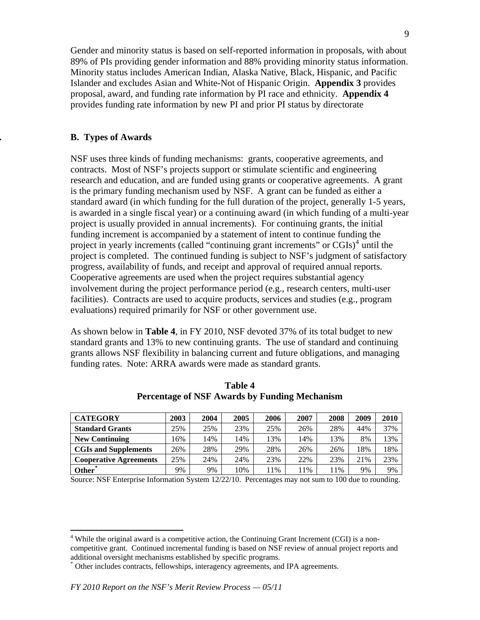Gender and minority status is based on self-reported information in proposals, with about 89% of PIs providing gender information and 88% providing minority status information. Minority status includes American Indian, Alaska Native, Black, Hispanic, and Pacific Islander and excludes Asian and White-Not of Hispanic Origin. **Appendix 3** provides proposal, award, and funding rate information by PI race and ethnicity. **Appendix 4** provides funding rate information by new PI and prior PI status by directorate

#### **. B. Types of Awards**

NSF uses three kinds of funding mechanisms: grants, cooperative agreements, and contracts. Most of NSF's projects support or stimulate scientific and engineering research and education, and are funded using grants or cooperative agreements. A grant is the primary funding mechanism used by NSF. A grant can be funded as either a standard award (in which funding for the full duration of the project, generally 1-5 years, is awarded in a single fiscal year) or a continuing award (in which funding of a multi-year project is usually provided in annual increments). For continuing grants, the initial funding increment is accompanied by a statement of intent to continue funding the project in yearly increments (called "continuing grant increments" or CGIs)<sup>[4](#page-8-0)</sup> until the project is completed. The continued funding is subject to NSF's judgment of satisfactory progress, availability of funds, and receipt and approval of required annual reports. Cooperative agreements are used when the project requires substantial agency involvement during the project performance period (e.g., research centers, multi-user facilities). Contracts are used to acquire products, services and studies (e.g., program evaluations) required primarily for NSF or other government use.

As shown below in **Table 4**, in FY 2010, NSF devoted 37% of its total budget to new standard grants and 13% to new continuing grants. The use of standard and continuing grants allows NSF flexibility in balancing current and future obligations, and managing funding rates. Note: ARRA awards were made as standard grants.

| <b>CATEGORY</b>               | 2003 | 2004 | 2005 | 2006 | 2007 | 2008 | 2009 | 2010 |
|-------------------------------|------|------|------|------|------|------|------|------|
| <b>Standard Grants</b>        | 25%  | 25%  | 23%  | 25%  | 26%  | 28%  | 44%  | 37%  |
| <b>New Continuing</b>         | 16%  | 4%   | 14%  | 13%  | 14%  | 13%  | 8%   | 13%  |
| <b>CGIs and Supplements</b>   | 26%  | 28%  | 29%  | 28%  | 26%  | 26%  | 18%  | 18%  |
| <b>Cooperative Agreements</b> | 25%  | 24%  | 24%  | 23%  | 22%  | 23%  | 21%  | 23%  |
| Other <sup>*</sup>            | 9%   | 9%   | 10%  | 1%   | 11%  | 11%  | 9%   | 9%   |

**Table 4 Percentage of NSF Awards by Funding Mechanism** 

Source: NSF Enterprise Information System 12/22/10. Percentages may not sum to 100 due to rounding.

<span id="page-8-0"></span> $4$  While the original award is a competitive action, the Continuing Grant Increment (CGI) is a noncompetitive grant. Continued incremental funding is based on NSF review of annual project reports and additional oversight mechanisms established by specific programs.

<span id="page-8-1"></span><sup>\*</sup> Other includes contracts, fellowships, interagency agreements, and IPA agreements.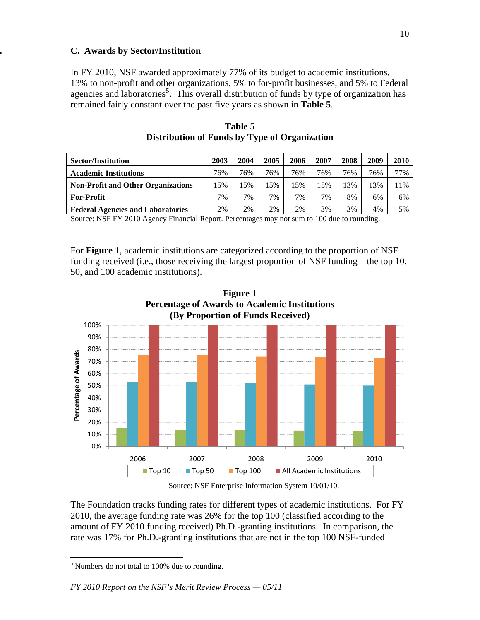#### **. C. Awards by Sector/Institution**

In FY 2010, NSF awarded approximately 77% of its budget to academic institutions, 13% to non-profit and other organizations, 5% to for-profit businesses, and 5% to Federal agencies and laboratories<sup>[5](#page-9-0)</sup>. This overall distribution of funds by type of organization has remained fairly constant over the past five years as shown in **Table 5**.

| <b>Sector/Institution</b>                 | 2003 | 2004 | 2005 | 2006  | 2007 | 2008 | 2009 | 2010 |
|-------------------------------------------|------|------|------|-------|------|------|------|------|
| <b>Academic Institutions</b>              | 76%  | 76%  | 76%  | 76%   | 76%  | 76%  | 76%  | 77%  |
| <b>Non-Profit and Other Organizations</b> | 15%  | 15%  | 15%  | 15%   | 15%  | 13%  | 13%  | 11%  |
| <b>For-Profit</b>                         | 7%   | 7%   | 7%   | $7\%$ | 7%   | 8%   | 6%   | 6%   |
| <b>Federal Agencies and Laboratories</b>  | 2%   | 2%   | 2%   | 2%    | 3%   | 3%   | 4%   | 5%   |

**Table 5 Distribution of Funds by Type of Organization** 

Source: NSF FY 2010 Agency Financial Report. Percentages may not sum to 100 due to rounding.

For **Figure 1**, academic institutions are categorized according to the proportion of NSF funding received (i.e., those receiving the largest proportion of NSF funding – the top 10, 50, and 100 academic institutions).



**Figure 1**

Source: NSF Enterprise Information System 10/01/10.

The Foundation tracks funding rates for different types of academic institutions. For FY 2010, the average funding rate was 26% for the top 100 (classified according to the amount of FY 2010 funding received) Ph.D.-granting institutions. In comparison, the rate was 17% for Ph.D.-granting institutions that are not in the top 100 NSF-funded

<span id="page-9-0"></span><sup>&</sup>lt;sup>5</sup> Numbers do not total to 100% due to rounding.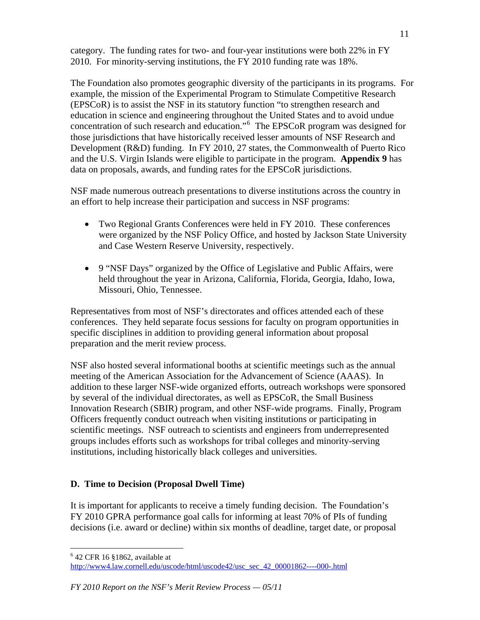category. The funding rates for two- and four-year institutions were both 22% in FY 2010. For minority-serving institutions, the FY 2010 funding rate was 18%.

The Foundation also promotes geographic diversity of the participants in its programs. For example, the mission of the Experimental Program to Stimulate Competitive Research (EPSCoR) is to assist the NSF in its statutory function "to strengthen research and education in science and engineering throughout the United States and to avoid undue concentration of such research and education."[6](#page-10-0) The EPSCoR program was designed for those jurisdictions that have historically received lesser amounts of NSF Research and Development (R&D) funding. In FY 2010, 27 states, the Commonwealth of Puerto Rico and the U.S. Virgin Islands were eligible to participate in the program. **Appendix 9** has data on proposals, awards, and funding rates for the EPSCoR jurisdictions.

NSF made numerous outreach presentations to diverse institutions across the country in an effort to help increase their participation and success in NSF programs:

- Two Regional Grants Conferences were held in FY 2010. These conferences were organized by the NSF Policy Office, and hosted by Jackson State University and Case Western Reserve University, respectively.
- 9 "NSF Days" organized by the Office of Legislative and Public Affairs, were held throughout the year in Arizona, California, Florida, Georgia, Idaho, Iowa, Missouri, Ohio, Tennessee.

Representatives from most of NSF's directorates and offices attended each of these conferences. They held separate focus sessions for faculty on program opportunities in specific disciplines in addition to providing general information about proposal preparation and the merit review process.

NSF also hosted several informational booths at scientific meetings such as the annual meeting of the American Association for the Advancement of Science (AAAS). In addition to these larger NSF-wide organized efforts, outreach workshops were sponsored by several of the individual directorates, as well as EPSCoR, the Small Business Innovation Research (SBIR) program, and other NSF-wide programs. Finally, Program Officers frequently conduct outreach when visiting institutions or participating in scientific meetings. NSF outreach to scientists and engineers from underrepresented groups includes efforts such as workshops for tribal colleges and minority-serving institutions, including historically black colleges and universities.

## **D. Time to Decision (Proposal Dwell Time)**

It is important for applicants to receive a timely funding decision. The Foundation's FY 2010 GPRA performance goal calls for informing at least 70% of PIs of funding decisions (i.e. award or decline) within six months of deadline, target date, or proposal

<sup>6</sup> 42 CFR 16 §1862, available at

<span id="page-10-0"></span>[http://www4.law.cornell.edu/uscode/html/uscode42/usc\\_sec\\_42\\_00001862----000-.html](http://www4.law.cornell.edu/uscode/html/uscode42/usc_sec_42_00001862----000-.html)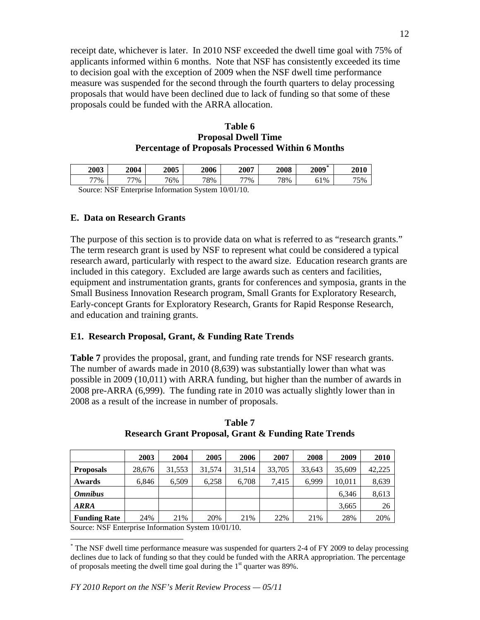receipt date, whichever is later. In 2010 NSF exceeded the dwell time goal with 75% of applicants informed within 6 months. Note that NSF has consistently exceeded its time to decision goal with the exception of 2009 when the NSF dwell time performance measure was suspended for the second through the fourth quarters to delay processing proposals that would have been declined due to lack of funding so that some of these proposals could be funded with the ARRA allocation.

#### **Table 6 Proposal Dwell Time Percentage of Proposals Processed Within 6 Months**

| 2003 | 2004 | 2005 | <b>2006</b> | 2007 | 2008 | $\mathcal{H}$<br>2009 | <b>2010</b> |
|------|------|------|-------------|------|------|-----------------------|-------------|
| 77%  | 77%  | 76%  | 78%         | 77%  | 78%  | $1\%$<br>UI           | 75%         |

Source: NSF Enterprise Information System 10/01/10.

#### **E. Data on Research Grants**

The purpose of this section is to provide data on what is referred to as "research grants." The term research grant is used by NSF to represent what could be considered a typical research award, particularly with respect to the award size. Education research grants are included in this category. Excluded are large awards such as centers and facilities, equipment and instrumentation grants, grants for conferences and symposia, grants in the Small Business Innovation Research program, Small Grants for Exploratory Research, Early-concept Grants for Exploratory Research, Grants for Rapid Response Research, and education and training grants.

#### **E1. Research Proposal, Grant, & Funding Rate Trends**

**Table 7** provides the proposal, grant, and funding rate trends for NSF research grants. The number of awards made in 2010 (8,639) was substantially lower than what was possible in 2009 (10,011) with ARRA funding, but higher than the number of awards in 2008 pre-ARRA (6,999). The funding rate in 2010 was actually slightly lower than in 2008 as a result of the increase in number of proposals.

|                     | 2003   | 2004   | 2005   | 2006   | 2007   | 2008   | 2009   | 2010   |
|---------------------|--------|--------|--------|--------|--------|--------|--------|--------|
| <b>Proposals</b>    | 28,676 | 31,553 | 31,574 | 31.514 | 33,705 | 33,643 | 35,609 | 42.225 |
| Awards              | 6,846  | 6,509  | 6.258  | 6,708  | 7.415  | 6,999  | 10,011 | 8,639  |
| <b>Omnibus</b>      |        |        |        |        |        |        | 6.346  | 8,613  |
| <b>ARRA</b>         |        |        |        |        |        |        | 3,665  | 26     |
| <b>Funding Rate</b> | 24%    | 21%    | 20%    | 21%    | 22%    | 21%    | 28%    | 20%    |

| Table 7                                                         |
|-----------------------------------------------------------------|
| <b>Research Grant Proposal, Grant &amp; Funding Rate Trends</b> |

Source: NSF Enterprise Information System 10/01/10.

<span id="page-11-0"></span><sup>\*</sup> The NSF dwell time performance measure was suspended for quarters 2-4 of FY 2009 to delay processing declines due to lack of funding so that they could be funded with the ARRA appropriation. The percentage of proposals meeting the dwell time goal during the  $1<sup>st</sup>$  quarter was 89%.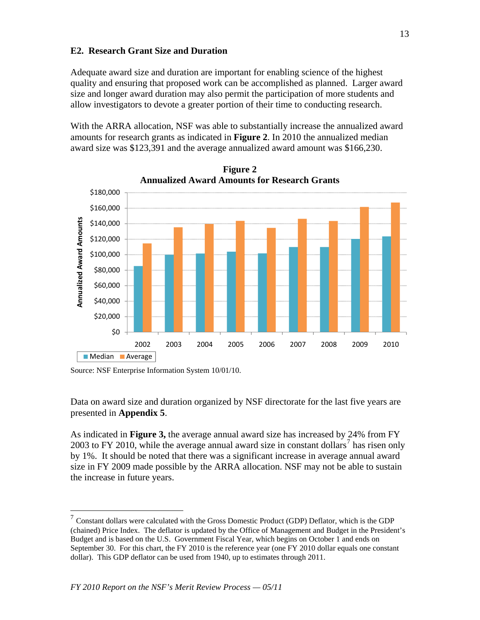## **E2. Research Grant Size and Duration**

Adequate award size and duration are important for enabling science of the highest quality and ensuring that proposed work can be accomplished as planned. Larger award size and longer award duration may also permit the participation of more students and allow investigators to devote a greater portion of their time to conducting research.

With the ARRA allocation, NSF was able to substantially increase the annualized award amounts for research grants as indicated in **Figure 2**. In 2010 the annualized median award size was \$123,391 and the average annualized award amount was \$166,230.



**Figure 2 Annualized Award Amounts for Research Grants** 

 $\overline{a}$ 

Data on award size and duration organized by NSF directorate for the last five years are presented in **Appendix 5**.

As indicated in **Figure 3,** the average annual award size has increased by 24% from FY 2003 to FY 2010, while the average annual award size in constant dollars<sup>[7](#page-12-0)</sup> has risen only by 1%. It should be noted that there was a significant increase in average annual award size in FY 2009 made possible by the ARRA allocation. NSF may not be able to sustain the increase in future years.

Source: NSF Enterprise Information System 10/01/10.

<span id="page-12-0"></span><sup>7</sup> Constant dollars were calculated with the Gross Domestic Product (GDP) Deflator, which is the GDP (chained) Price Index. The deflator is updated by the Office of Management and Budget in the President's Budget and is based on the U.S. Government Fiscal Year, which begins on October 1 and ends on September 30. For this chart, the FY 2010 is the reference year (one FY 2010 dollar equals one constant dollar). This GDP deflator can be used from 1940, up to estimates through 2011.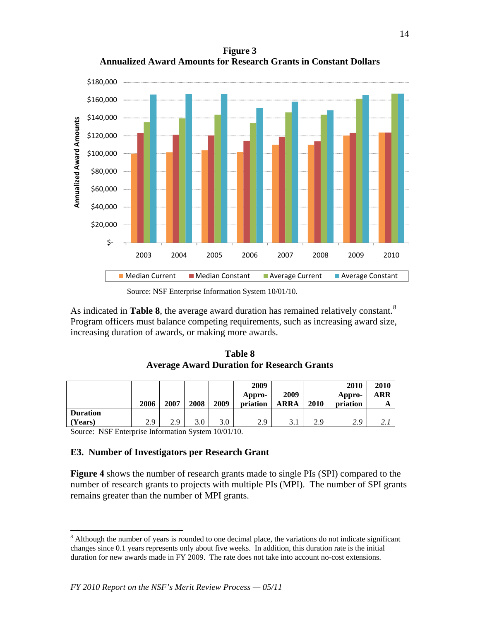**Figure 3 Annualized Award Amounts for Research Grants in Constant Dollars** 



Source: NSF Enterprise Information System 10/01/10.

As indicated in **Table [8](#page-13-0)**, the average award duration has remained relatively constant.<sup>8</sup> Program officers must balance competing requirements, such as increasing award size, increasing duration of awards, or making more awards.

**Table 8 Average Award Duration for Research Grants** 

|                 | 2006 | 2007 | 2008 | 2009 | 2009<br>Appro-<br>priation | 2009<br>ARRA | 2010 | 2010<br>Appro-<br>priation | 2010<br>ARR  |
|-----------------|------|------|------|------|----------------------------|--------------|------|----------------------------|--------------|
| <b>Duration</b> |      |      |      |      |                            |              |      |                            |              |
| (Years)         | 2.9  | 2.9  | 3.0  | 3.0  | 2.9                        | 3.1          | 2.9  | 2.9                        | <u> 2. l</u> |

Source: NSF Enterprise Information System 10/01/10.

 $\overline{a}$ 

#### **E3. Number of Investigators per Research Grant**

**Figure 4** shows the number of research grants made to single PIs (SPI) compared to the number of research grants to projects with multiple PIs (MPI). The number of SPI grants remains greater than the number of MPI grants.

<span id="page-13-0"></span><sup>&</sup>lt;sup>8</sup> Although the number of years is rounded to one decimal place, the variations do not indicate significant changes since 0.1 years represents only about five weeks. In addition, this duration rate is the initial duration for new awards made in FY 2009. The rate does not take into account no-cost extensions.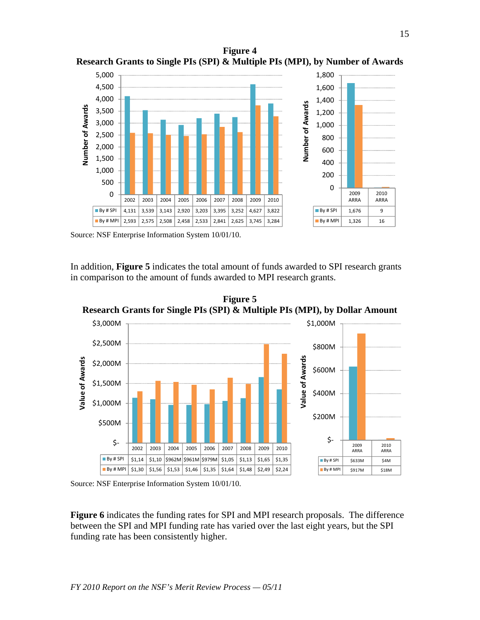**Figure 4 Research Grants to Single PIs (SPI) & Multiple PIs (MPI), by Number of Awards** 



Source: NSF Enterprise Information System 10/01/10.

In addition, **Figure 5** indicates the total amount of funds awarded to SPI research grants in comparison to the amount of funds awarded to MPI research grants.



**Figure 5 Research Grants for Single PIs (SPI) & Multiple PIs (MPI), by Dollar Amount** 

Source: NSF Enterprise Information System 10/01/10.

**Figure 6** indicates the funding rates for SPI and MPI research proposals. The difference between the SPI and MPI funding rate has varied over the last eight years, but the SPI funding rate has been consistently higher.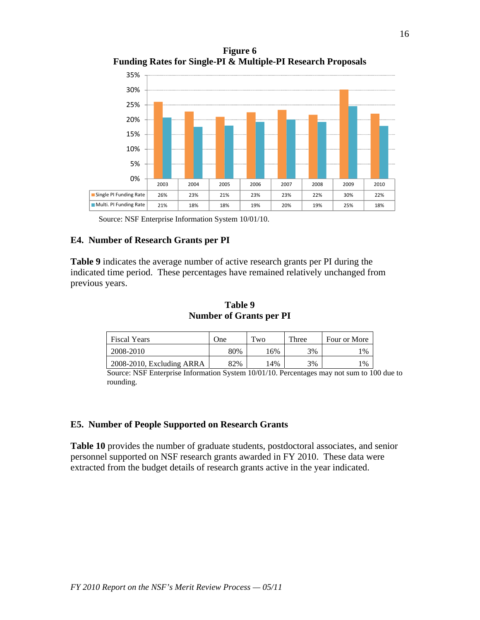**Figure 6 Funding Rates for Single-PI & Multiple-PI Research Proposals** 



Source: NSF Enterprise Information System 10/01/10.

#### **E4. Number of Research Grants per PI**

**Table 9** indicates the average number of active research grants per PI during the indicated time period. These percentages have remained relatively unchanged from previous years.

| Table 9                        |
|--------------------------------|
| <b>Number of Grants per PI</b> |

| <b>Fiscal Years</b>       | One | Two | Three | Four or More   |
|---------------------------|-----|-----|-------|----------------|
| 2008-2010                 | 80% | 16% | 3%    | $\frac{9}{6}$  |
| 2008-2010, Excluding ARRA | 82% | 14% | 3%    | $\frac{10}{6}$ |

Source: NSF Enterprise Information System 10/01/10. Percentages may not sum to 100 due to rounding.

#### **E5. Number of People Supported on Research Grants**

**Table 10** provides the number of graduate students, postdoctoral associates, and senior personnel supported on NSF research grants awarded in FY 2010. These data were extracted from the budget details of research grants active in the year indicated.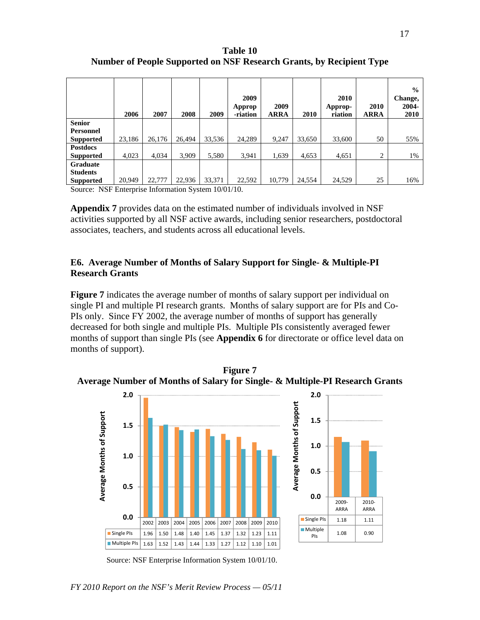**Table 10 Number of People Supported on NSF Research Grants, by Recipient Type** 

|                  | 2006   | 2007   | 2008   | 2009   | 2009<br>Approp<br>-riation | 2009<br><b>ARRA</b> | 2010   | 2010<br>Approp-<br>riation | 2010<br><b>ARRA</b> | $\frac{0}{0}$<br>Change,<br>2004-<br><b>2010</b> |
|------------------|--------|--------|--------|--------|----------------------------|---------------------|--------|----------------------------|---------------------|--------------------------------------------------|
| <b>Senior</b>    |        |        |        |        |                            |                     |        |                            |                     |                                                  |
| <b>Personnel</b> |        |        |        |        |                            |                     |        |                            |                     |                                                  |
| <b>Supported</b> | 23,186 | 26,176 | 26,494 | 33,536 | 24,289                     | 9,247               | 33,650 | 33,600                     | 50                  | 55%                                              |
| <b>Postdocs</b>  |        |        |        |        |                            |                     |        |                            |                     |                                                  |
| <b>Supported</b> | 4,023  | 4,034  | 3,909  | 5,580  | 3,941                      | 1,639               | 4,653  | 4,651                      | 2                   | 1%                                               |
| <b>Graduate</b>  |        |        |        |        |                            |                     |        |                            |                     |                                                  |
| <b>Students</b>  |        |        |        |        |                            |                     |        |                            |                     |                                                  |
| <b>Supported</b> | 20,949 | 22,777 | 22,936 | 33,371 | 22,592                     | 10,779              | 24,554 | 24,529                     | 25                  | 16%                                              |

Source: NSF Enterprise Information System 10/01/10.

**Appendix 7** provides data on the estimated number of individuals involved in NSF activities supported by all NSF active awards, including senior researchers, postdoctoral associates, teachers, and students across all educational levels.

#### **E6. Average Number of Months of Salary Support for Single- & Multiple-PI Research Grants**

**Figure 7** indicates the average number of months of salary support per individual on single PI and multiple PI research grants. Months of salary support are for PIs and Co-PIs only. Since FY 2002, the average number of months of support has generally decreased for both single and multiple PIs. Multiple PIs consistently averaged fewer months of support than single PIs (see **Appendix 6** for directorate or office level data on months of support).



**Figure 7 Average Number of Months of Salary for Single- & Multiple-PI Research Grants** 

Source: NSF Enterprise Information System 10/01/10.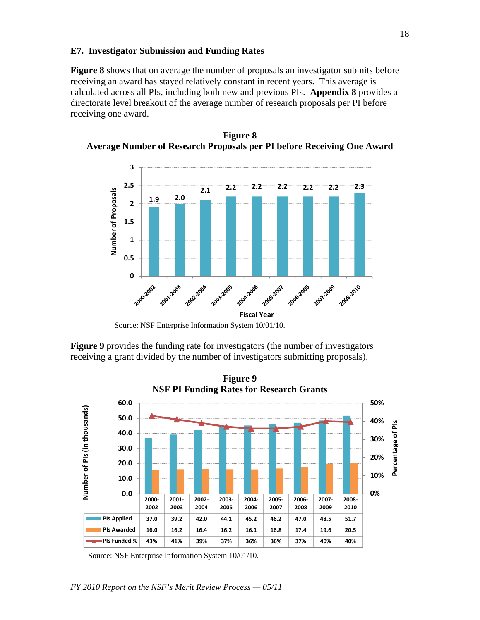#### **E7. Investigator Submission and Funding Rates**

**Figure 8** shows that on average the number of proposals an investigator submits before receiving an award has stayed relatively constant in recent years. This average is calculated across all PIs, including both new and previous PIs. **Appendix 8** provides a directorate level breakout of the average number of research proposals per PI before receiving one award.



**Figure 8 Average Number of Research Proposals per PI before Receiving One Award** 

**Figure 9** provides the funding rate for investigators (the number of investigators receiving a grant divided by the number of investigators submitting proposals).



Source: NSF Enterprise Information System 10/01/10.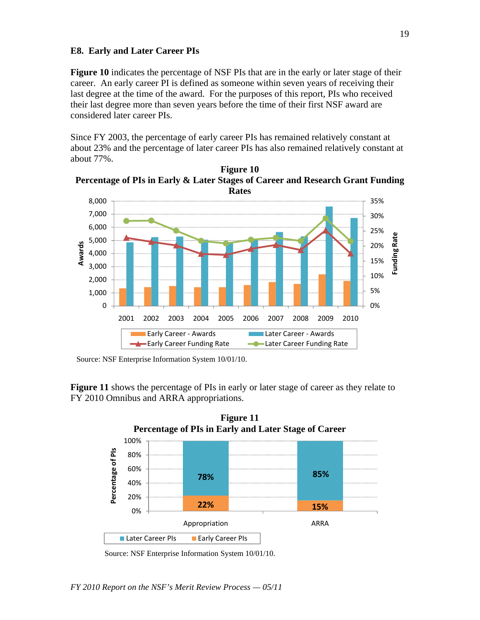#### **E8. Early and Later Career PIs**

**Figure 10** indicates the percentage of NSF PIs that are in the early or later stage of their career. An early career PI is defined as someone within seven years of receiving their last degree at the time of the award. For the purposes of this report, PIs who received their last degree more than seven years before the time of their first NSF award are considered later career PIs.

Since FY 2003, the percentage of early career PIs has remained relatively constant at about 23% and the percentage of later career PIs has also remained relatively constant at about 77%.



**Figure 10 Percentage of PIs in Early & Later Stages of Career and Research Grant Funding** 

**Figure 11** shows the percentage of PIs in early or later stage of career as they relate to FY 2010 Omnibus and ARRA appropriations.



Source: NSF Enterprise Information System 10/01/10.

Source: NSF Enterprise Information System 10/01/10.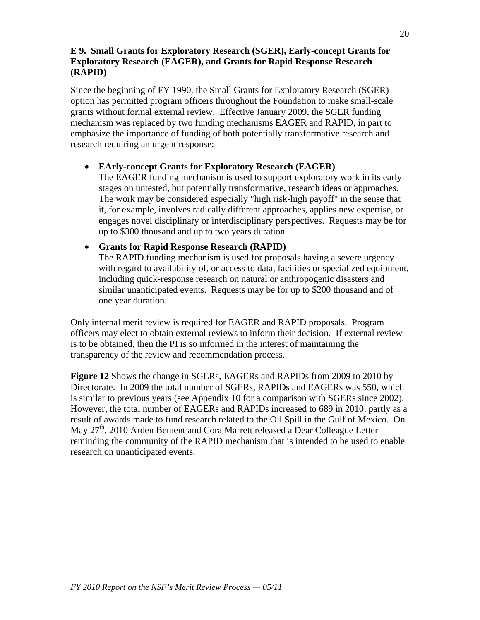## **E 9. Small Grants for Exploratory Research (SGER), Early-concept Grants for Exploratory Research (EAGER), and Grants for Rapid Response Research (RAPID)**

Since the beginning of FY 1990, the Small Grants for Exploratory Research (SGER) option has permitted program officers throughout the Foundation to make small-scale grants without formal external review. Effective January 2009, the SGER funding mechanism was replaced by two funding mechanisms EAGER and RAPID, in part to emphasize the importance of funding of both potentially transformative research and research requiring an urgent response:

## • **EArly-concept Grants for Exploratory Research (EAGER)**

The EAGER funding mechanism is used to support exploratory work in its early stages on untested, but potentially transformative, research ideas or approaches. The work may be considered especially "high risk-high payoff" in the sense that it, for example, involves radically different approaches, applies new expertise, or engages novel disciplinary or interdisciplinary perspectives. Requests may be for up to \$300 thousand and up to two years duration.

## • **Grants for Rapid Response Research (RAPID)**

The RAPID funding mechanism is used for proposals having a severe urgency with regard to availability of, or access to data, facilities or specialized equipment, including quick-response research on natural or anthropogenic disasters and similar unanticipated events. Requests may be for up to \$200 thousand and of one year duration.

Only internal merit review is required for EAGER and RAPID proposals. Program officers may elect to obtain external reviews to inform their decision. If external review is to be obtained, then the PI is so informed in the interest of maintaining the transparency of the review and recommendation process.

**Figure 12** Shows the change in SGERs, EAGERs and RAPIDs from 2009 to 2010 by Directorate. In 2009 the total number of SGERs, RAPIDs and EAGERs was 550, which is similar to previous years (see Appendix 10 for a comparison with SGERs since 2002). However, the total number of EAGERs and RAPIDs increased to 689 in 2010, partly as a result of awards made to fund research related to the Oil Spill in the Gulf of Mexico. On May 27<sup>th</sup>, 2010 Arden Bement and Cora Marrett released a Dear Colleague Letter reminding the community of the RAPID mechanism that is intended to be used to enable research on unanticipated events.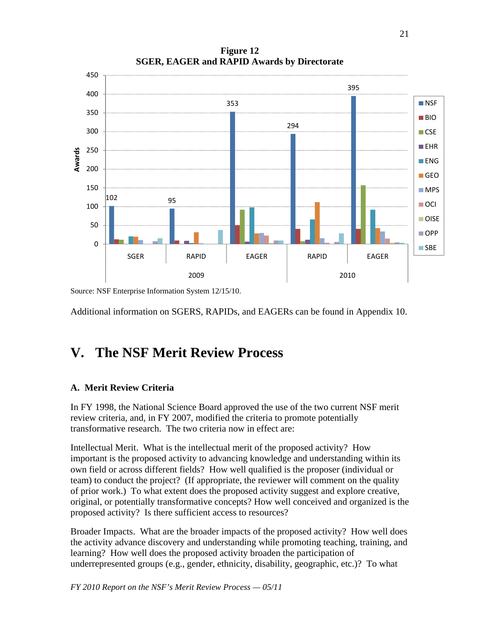102 95 353 294 395  $\Omega$ 50 100 150 200 250 300 350 400 450 SGER | RAPID | EAGER | RAPID | EAGER 2009 2010 **Awards NSF** ■BIO **CSE EHR**  $\blacksquare$ ENG **■ GEO MPS** OCI **OISE** OPP **SBE** 

**Figure 12 SGER, EAGER and RAPID Awards by Directorate** 

Source: NSF Enterprise Information System 12/15/10.

Additional information on SGERS, RAPIDs, and EAGERs can be found in Appendix 10.

## **V. The NSF Merit Review Process**

## **A. Merit Review Criteria**

In FY 1998, the National Science Board approved the use of the two current NSF merit review criteria, and, in FY 2007, modified the criteria to promote potentially transformative research. The two criteria now in effect are:

Intellectual Merit. What is the intellectual merit of the proposed activity? How important is the proposed activity to advancing knowledge and understanding within its own field or across different fields? How well qualified is the proposer (individual or team) to conduct the project? (If appropriate, the reviewer will comment on the quality of prior work.) To what extent does the proposed activity suggest and explore creative, original, or potentially transformative concepts? How well conceived and organized is the proposed activity? Is there sufficient access to resources?

Broader Impacts. What are the broader impacts of the proposed activity? How well does the activity advance discovery and understanding while promoting teaching, training, and learning? How well does the proposed activity broaden the participation of underrepresented groups (e.g., gender, ethnicity, disability, geographic, etc.)? To what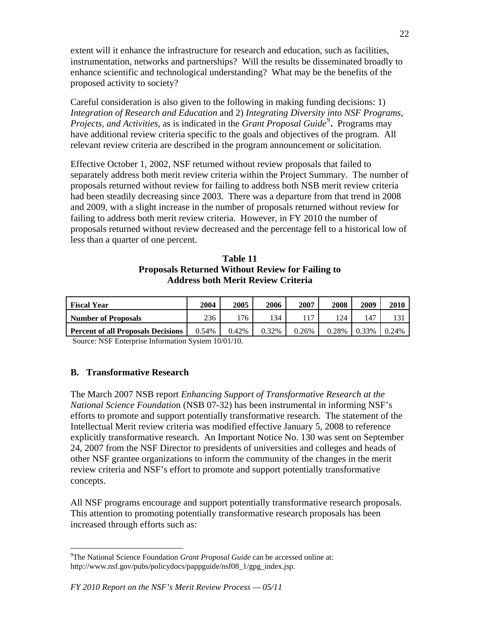extent will it enhance the infrastructure for research and education, such as facilities, instrumentation, networks and partnerships? Will the results be disseminated broadly to enhance scientific and technological understanding? What may be the benefits of the proposed activity to society?

Careful consideration is also given to the following in making funding decisions: 1) *Integration of Research and Education* and 2) *Integrating Diversity into NSF Programs, Projects, and Activities, as is indicated in the <i>Grant Proposal Guide*<sup>[9](#page-21-0)</sup>. Programs may have additional review criteria specific to the goals and objectives of the program. All relevant review criteria are described in the program announcement or solicitation.

Effective October 1, 2002, NSF returned without review proposals that failed to separately address both merit review criteria within the Project Summary. The number of proposals returned without review for failing to address both NSB merit review criteria had been steadily decreasing since 2003. There was a departure from that trend in 2008 and 2009, with a slight increase in the number of proposals returned without review for failing to address both merit review criteria. However, in FY 2010 the number of proposals returned without review decreased and the percentage fell to a historical low of less than a quarter of one percent.

### **Table 11 Proposals Returned Without Review for Failing to Address both Merit Review Criteria**

| <b>Fiscal Year</b>                        | 2004  | 2005  | 2006  | 2007  | 2008  | 2009  | 2010  |
|-------------------------------------------|-------|-------|-------|-------|-------|-------|-------|
| <b>Number of Proposals</b>                | 236   | 176   | 34    |       | 124   | 147   |       |
| <b>Percent of all Proposals Decisions</b> | 0.54% | 0.42% | 0.32% | 0.26% | 0.28% | 0.33% | 0.24% |

Source: NSF Enterprise Information System 10/01/10.

#### **B. Transformative Research**

 $\overline{a}$ 

The March 2007 NSB report *Enhancing Support of Transformative Research at the National Science Foundatio*n (NSB 07-32) has been instrumental in informing NSF's efforts to promote and support potentially transformative research. The statement of the Intellectual Merit review criteria was modified effective January 5, 2008 to reference explicitly transformative research. An Important Notice No. 130 was sent on September 24, 2007 from the NSF Director to presidents of universities and colleges and heads of other NSF grantee organizations to inform the community of the changes in the merit review criteria and NSF's effort to promote and support potentially transformative concepts.

All NSF programs encourage and support potentially transformative research proposals. This attention to promoting potentially transformative research proposals has been increased through efforts such as:

<span id="page-21-0"></span><sup>9</sup> The National Science Foundation *Grant Proposal Guide* can be accessed online at: http://www.nsf.gov/pubs/policydocs/pappguide/nsf08\_1/gpg\_index.jsp.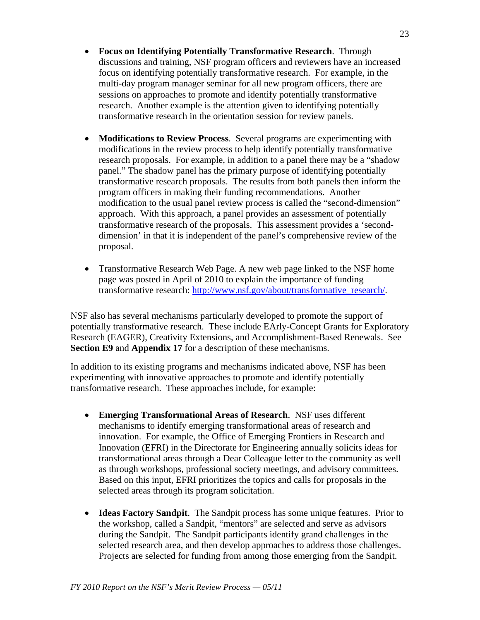- **Focus on Identifying Potentially Transformative Research**. Through discussions and training, NSF program officers and reviewers have an increased focus on identifying potentially transformative research. For example, in the multi-day program manager seminar for all new program officers, there are sessions on approaches to promote and identify potentially transformative research. Another example is the attention given to identifying potentially transformative research in the orientation session for review panels.
- **Modifications to Review Process**. Several programs are experimenting with modifications in the review process to help identify potentially transformative research proposals. For example, in addition to a panel there may be a "shadow panel." The shadow panel has the primary purpose of identifying potentially transformative research proposals. The results from both panels then inform the program officers in making their funding recommendations. Another modification to the usual panel review process is called the "second-dimension" approach. With this approach, a panel provides an assessment of potentially transformative research of the proposals. This assessment provides a 'seconddimension' in that it is independent of the panel's comprehensive review of the proposal.
- Transformative Research Web Page. A new web page linked to the NSF home page was posted in April of 2010 to explain the importance of funding transformative research: [http://www.nsf.gov/about/transformative\\_research/](http://www.nsf.gov/about/transformative_research/).

NSF also has several mechanisms particularly developed to promote the support of potentially transformative research. These include EArly-Concept Grants for Exploratory Research (EAGER), Creativity Extensions, and Accomplishment-Based Renewals. See **Section E9** and **Appendix 17** for a description of these mechanisms.

In addition to its existing programs and mechanisms indicated above, NSF has been experimenting with innovative approaches to promote and identify potentially transformative research. These approaches include, for example:

- **Emerging Transformational Areas of Research**. NSF uses different mechanisms to identify emerging transformational areas of research and innovation. For example, the Office of Emerging Frontiers in Research and Innovation (EFRI) in the Directorate for Engineering annually solicits ideas for transformational areas through a Dear Colleague letter to the community as well as through workshops, professional society meetings, and advisory committees. Based on this input, EFRI prioritizes the topics and calls for proposals in the selected areas through its program solicitation.
- **Ideas Factory Sandpit**. The Sandpit process has some unique features. Prior to the workshop, called a Sandpit, "mentors" are selected and serve as advisors during the Sandpit. The Sandpit participants identify grand challenges in the selected research area, and then develop approaches to address those challenges. Projects are selected for funding from among those emerging from the Sandpit.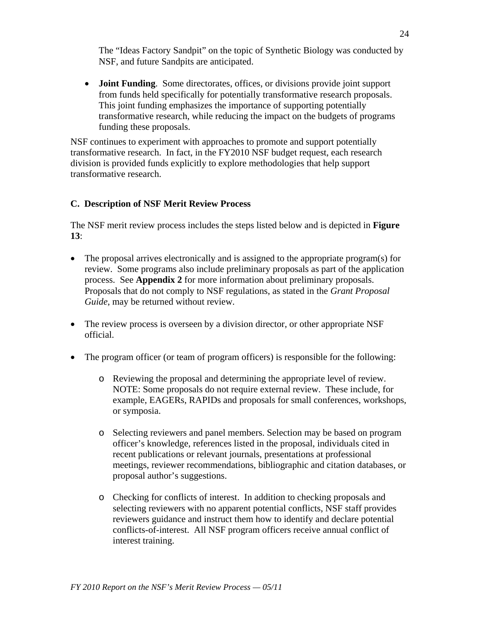The "Ideas Factory Sandpit" on the topic of Synthetic Biology was conducted by NSF, and future Sandpits are anticipated.

• **Joint Funding**. Some directorates, offices, or divisions provide joint support from funds held specifically for potentially transformative research proposals. This joint funding emphasizes the importance of supporting potentially transformative research, while reducing the impact on the budgets of programs funding these proposals.

NSF continues to experiment with approaches to promote and support potentially transformative research. In fact, in the FY2010 NSF budget request, each research division is provided funds explicitly to explore methodologies that help support transformative research.

## **C. Description of NSF Merit Review Process**

The NSF merit review process includes the steps listed below and is depicted in **Figure 13**:

- The proposal arrives electronically and is assigned to the appropriate program(s) for review. Some programs also include preliminary proposals as part of the application process. See **Appendix 2** for more information about preliminary proposals. Proposals that do not comply to NSF regulations, as stated in the *Grant Proposal Guide*, may be returned without review.
- The review process is overseen by a division director, or other appropriate NSF official.
- The program officer (or team of program officers) is responsible for the following:
	- o Reviewing the proposal and determining the appropriate level of review. NOTE: Some proposals do not require external review. These include, for example, EAGERs, RAPIDs and proposals for small conferences, workshops, or symposia.
	- o Selecting reviewers and panel members. Selection may be based on program officer's knowledge, references listed in the proposal, individuals cited in recent publications or relevant journals, presentations at professional meetings, reviewer recommendations, bibliographic and citation databases, or proposal author's suggestions.
	- o Checking for conflicts of interest. In addition to checking proposals and selecting reviewers with no apparent potential conflicts, NSF staff provides reviewers guidance and instruct them how to identify and declare potential conflicts-of-interest. All NSF program officers receive annual conflict of interest training.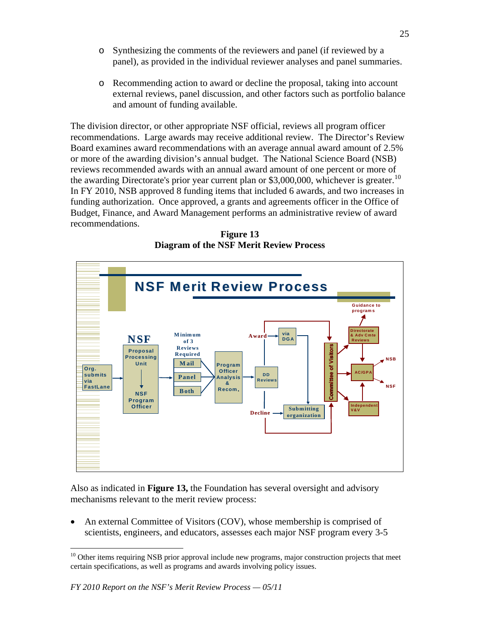- o Synthesizing the comments of the reviewers and panel (if reviewed by a panel), as provided in the individual reviewer analyses and panel summaries.
- o Recommending action to award or decline the proposal, taking into account external reviews, panel discussion, and other factors such as portfolio balance and amount of funding available.

The division director, or other appropriate NSF official, reviews all program officer recommendations. Large awards may receive additional review. The Director's Review Board examines award recommendations with an average annual award amount of 2.5% or more of the awarding division's annual budget. The National Science Board (NSB) reviews recommended awards with an annual award amount of one percent or more of the awarding Directorate's prior year current plan or  $$3,000,000$ , whichever is greater.<sup>[10](#page-24-0)</sup> In FY 2010, NSB approved 8 funding items that included 6 awards, and two increases in funding authorization. Once approved, a grants and agreements officer in the Office of Budget, Finance, and Award Management performs an administrative review of award recommendations.

**Figure 13 Diagram of the NSF Merit Review Process** 



Also as indicated in **Figure 13,** the Foundation has several oversight and advisory mechanisms relevant to the merit review process:

• An external Committee of Visitors (COV), whose membership is comprised of scientists, engineers, and educators, assesses each major NSF program every 3-5

1

<span id="page-24-0"></span><sup>&</sup>lt;sup>10</sup> Other items requiring NSB prior approval include new programs, major construction projects that meet certain specifications, as well as programs and awards involving policy issues.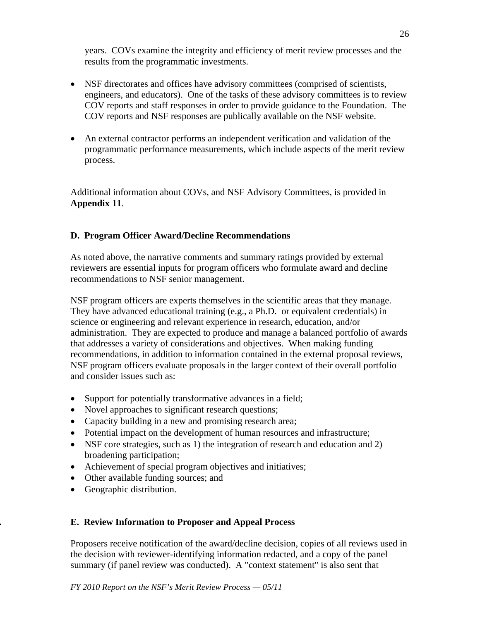years. COVs examine the integrity and efficiency of merit review processes and the results from the programmatic investments.

- NSF directorates and offices have advisory committees (comprised of scientists, engineers, and educators). One of the tasks of these advisory committees is to review COV reports and staff responses in order to provide guidance to the Foundation. The COV reports and NSF responses are publically available on the NSF website.
- An external contractor performs an independent verification and validation of the programmatic performance measurements, which include aspects of the merit review process.

Additional information about COVs, and NSF Advisory Committees, is provided in **Appendix 11**.

## **D. Program Officer Award/Decline Recommendations**

As noted above, the narrative comments and summary ratings provided by external reviewers are essential inputs for program officers who formulate award and decline recommendations to NSF senior management.

NSF program officers are experts themselves in the scientific areas that they manage. They have advanced educational training (e.g., a Ph.D. or equivalent credentials) in science or engineering and relevant experience in research, education, and/or administration. They are expected to produce and manage a balanced portfolio of awards that addresses a variety of considerations and objectives. When making funding recommendations, in addition to information contained in the external proposal reviews, NSF program officers evaluate proposals in the larger context of their overall portfolio and consider issues such as:

- Support for potentially transformative advances in a field;
- Novel approaches to significant research questions;
- Capacity building in a new and promising research area;
- Potential impact on the development of human resources and infrastructure;
- NSF core strategies, such as 1) the integration of research and education and 2) broadening participation;
- Achievement of special program objectives and initiatives;
- Other available funding sources; and
- Geographic distribution.

## **. E. Review Information to Proposer and Appeal Process**

Proposers receive notification of the award/decline decision, copies of all reviews used in the decision with reviewer-identifying information redacted, and a copy of the panel summary (if panel review was conducted). A "context statement" is also sent that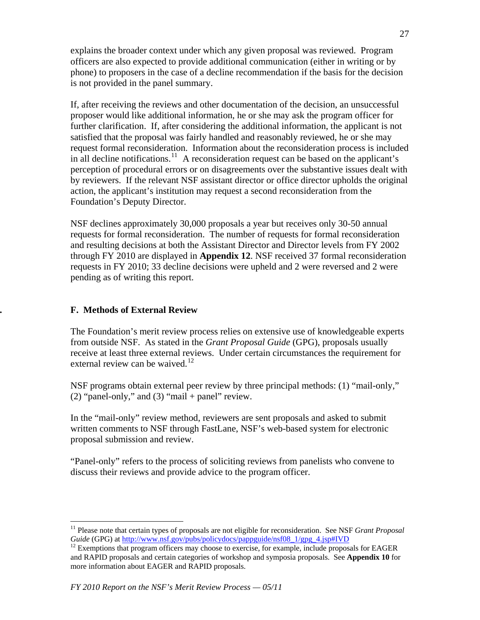explains the broader context under which any given proposal was reviewed. Program officers are also expected to provide additional communication (either in writing or by phone) to proposers in the case of a decline recommendation if the basis for the decision is not provided in the panel summary.

If, after receiving the reviews and other documentation of the decision, an unsuccessful proposer would like additional information, he or she may ask the program officer for further clarification. If, after considering the additional information, the applicant is not satisfied that the proposal was fairly handled and reasonably reviewed, he or she may request formal reconsideration. Information about the reconsideration process is included in all decline notifications.<sup>[11](#page-26-0)</sup> A reconsideration request can be based on the applicant's perception of procedural errors or on disagreements over the substantive issues dealt with by reviewers. If the relevant NSF assistant director or office director upholds the original action, the applicant's institution may request a second reconsideration from the Foundation's Deputy Director.

NSF declines approximately 30,000 proposals a year but receives only 30-50 annual requests for formal reconsideration. The number of requests for formal reconsideration and resulting decisions at both the Assistant Director and Director levels from FY 2002 through FY 2010 are displayed in **Appendix 12**. NSF received 37 formal reconsideration requests in FY 2010; 33 decline decisions were upheld and 2 were reversed and 2 were pending as of writing this report.

## **. F. Methods of External Review**

1

The Foundation's merit review process relies on extensive use of knowledgeable experts from outside NSF. As stated in the *Grant Proposal Guide* (GPG), proposals usually receive at least three external reviews. Under certain circumstances the requirement for external review can be waived.<sup>[12](#page-26-1)</sup>

NSF programs obtain external peer review by three principal methods: (1) "mail-only," (2) "panel-only," and (3) "mail + panel" review.

In the "mail-only" review method, reviewers are sent proposals and asked to submit written comments to NSF through FastLane, NSF's web-based system for electronic proposal submission and review.

"Panel-only" refers to the process of soliciting reviews from panelists who convene to discuss their reviews and provide advice to the program officer.

<span id="page-26-0"></span><sup>&</sup>lt;sup>11</sup> Please note that certain types of proposals are not eligible for reconsideration. See NSF *Grant Proposal Guide* (GPG) at http://www.nsf.gov/pubs/policydocs/pappguide/nsf08 1/gpg 4.jsp#IVD

<span id="page-26-1"></span><sup>&</sup>lt;sup>12</sup> Exemptions that program officers may choose to exercise, for example, include proposals for EAGER and RAPID proposals and certain categories of workshop and symposia proposals. See **Appendix 10** for more information about EAGER and RAPID proposals.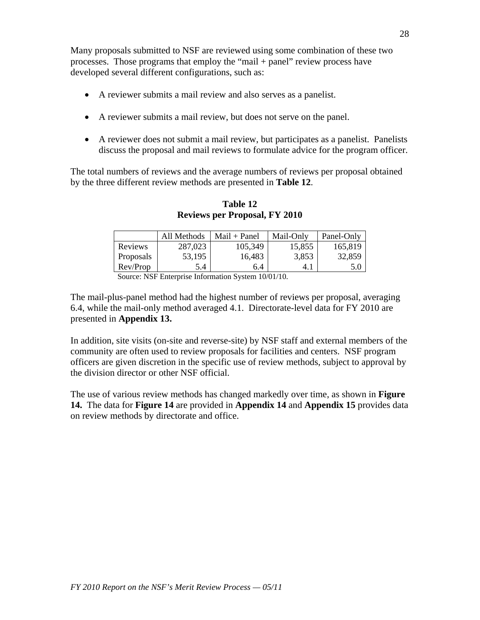Many proposals submitted to NSF are reviewed using some combination of these two processes. Those programs that employ the "mail + panel" review process have developed several different configurations, such as:

- A reviewer submits a mail review and also serves as a panelist.
- A reviewer submits a mail review, but does not serve on the panel.
- A reviewer does not submit a mail review, but participates as a panelist. Panelists discuss the proposal and mail reviews to formulate advice for the program officer.

The total numbers of reviews and the average numbers of reviews per proposal obtained by the three different review methods are presented in **Table 12**.

|           | All Methods | $Mail + Panel$ | Mail-Only | Panel-Only |
|-----------|-------------|----------------|-----------|------------|
| Reviews   | 287,023     | 105.349        | 15.855    | 165,819    |
| Proposals | 53,195      | 16.483         | 3.853     | 32,859     |
| Rev/Prop  | 5.4         | 6.4            | 4.1       | 5.0        |

**Table 12 Reviews per Proposal, FY 2010** 

Source: NSF Enterprise Information System 10/01/10.

The mail-plus-panel method had the highest number of reviews per proposal, averaging 6.4, while the mail-only method averaged 4.1. Directorate-level data for FY 2010 are presented in **Appendix 13.** 

In addition, site visits (on-site and reverse-site) by NSF staff and external members of the community are often used to review proposals for facilities and centers. NSF program officers are given discretion in the specific use of review methods, subject to approval by the division director or other NSF official.

The use of various review methods has changed markedly over time, as shown in **Figure 14.** The data for **Figure 14** are provided in **Appendix 14** and **Appendix 15** provides data on review methods by directorate and office.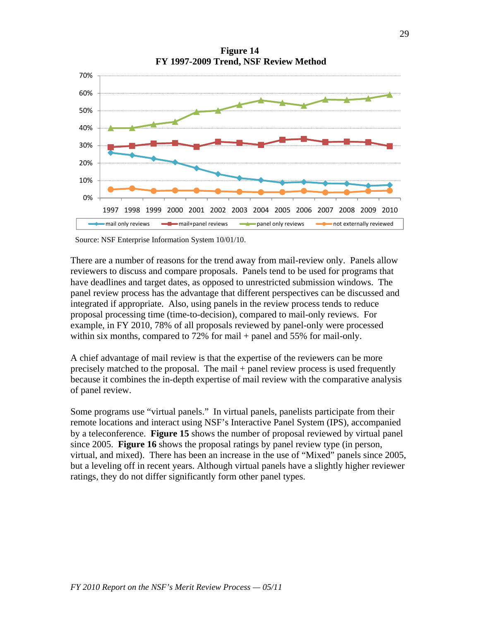

**Figure 14 FY 1997-2009 Trend, NSF Review Method** 

Source: NSF Enterprise Information System 10/01/10.

There are a number of reasons for the trend away from mail-review only. Panels allow reviewers to discuss and compare proposals. Panels tend to be used for programs that have deadlines and target dates, as opposed to unrestricted submission windows. The panel review process has the advantage that different perspectives can be discussed and integrated if appropriate. Also, using panels in the review process tends to reduce proposal processing time (time-to-decision), compared to mail-only reviews. For example, in FY 2010, 78% of all proposals reviewed by panel-only were processed within six months, compared to  $72\%$  for mail + panel and  $55\%$  for mail-only.

A chief advantage of mail review is that the expertise of the reviewers can be more precisely matched to the proposal. The mail + panel review process is used frequently because it combines the in-depth expertise of mail review with the comparative analysis of panel review.

Some programs use "virtual panels." In virtual panels, panelists participate from their remote locations and interact using NSF's Interactive Panel System (IPS), accompanied by a teleconference. **Figure 15** shows the number of proposal reviewed by virtual panel since 2005. **Figure 16** shows the proposal ratings by panel review type (in person, virtual, and mixed). There has been an increase in the use of "Mixed" panels since 2005, but a leveling off in recent years. Although virtual panels have a slightly higher reviewer ratings, they do not differ significantly form other panel types.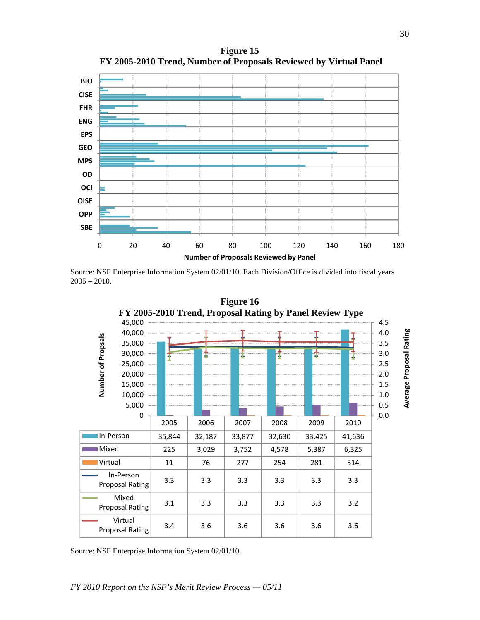

**Figure 15 FY 2005-2010 Trend, Number of Proposals Reviewed by Virtual Panel** 

Source: NSF Enterprise Information System 02/01/10. Each Division/Office is divided into fiscal years  $2005 - 2010.$ 



Source: NSF Enterprise Information System 02/01/10.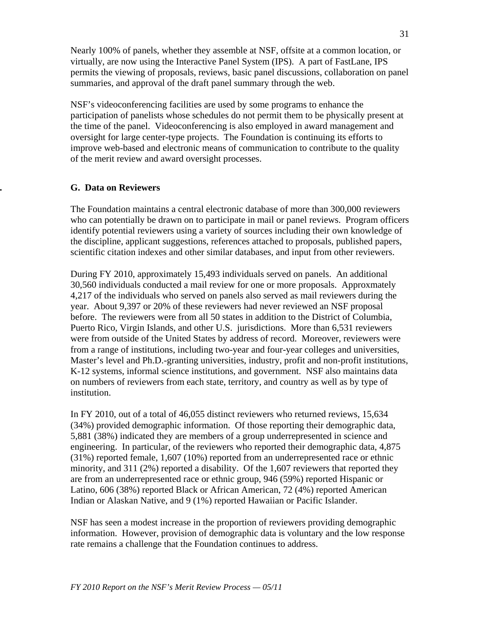Nearly 100% of panels, whether they assemble at NSF, offsite at a common location, or virtually, are now using the Interactive Panel System (IPS). A part of FastLane, IPS permits the viewing of proposals, reviews, basic panel discussions, collaboration on panel summaries, and approval of the draft panel summary through the web.

NSF's videoconferencing facilities are used by some programs to enhance the participation of panelists whose schedules do not permit them to be physically present at the time of the panel. Videoconferencing is also employed in award management and oversight for large center-type projects. The Foundation is continuing its efforts to improve web-based and electronic means of communication to contribute to the quality of the merit review and award oversight processes.

## **. G. Data on Reviewers**

The Foundation maintains a central electronic database of more than 300,000 reviewers who can potentially be drawn on to participate in mail or panel reviews. Program officers identify potential reviewers using a variety of sources including their own knowledge of the discipline, applicant suggestions, references attached to proposals, published papers, scientific citation indexes and other similar databases, and input from other reviewers.

During FY 2010, approximately 15,493 individuals served on panels. An additional 30,560 individuals conducted a mail review for one or more proposals. Approxmately 4,217 of the individuals who served on panels also served as mail reviewers during the year. About 9,397 or 20% of these reviewers had never reviewed an NSF proposal before. The reviewers were from all 50 states in addition to the District of Columbia, Puerto Rico, Virgin Islands, and other U.S. jurisdictions. More than 6,531 reviewers were from outside of the United States by address of record. Moreover, reviewers were from a range of institutions, including two-year and four-year colleges and universities, Master's level and Ph.D.-granting universities, industry, profit and non-profit institutions, K-12 systems, informal science institutions, and government. NSF also maintains data on numbers of reviewers from each state, territory, and country as well as by type of institution.

In FY 2010, out of a total of 46,055 distinct reviewers who returned reviews, 15,634 (34%) provided demographic information. Of those reporting their demographic data, 5,881 (38%) indicated they are members of a group underrepresented in science and engineering. In particular, of the reviewers who reported their demographic data, 4,875 (31%) reported female, 1,607 (10%) reported from an underrepresented race or ethnic minority, and 311 (2%) reported a disability. Of the 1,607 reviewers that reported they are from an underrepresented race or ethnic group, 946 (59%) reported Hispanic or Latino, 606 (38%) reported Black or African American, 72 (4%) reported American Indian or Alaskan Native, and 9 (1%) reported Hawaiian or Pacific Islander.

NSF has seen a modest increase in the proportion of reviewers providing demographic information. However, provision of demographic data is voluntary and the low response rate remains a challenge that the Foundation continues to address.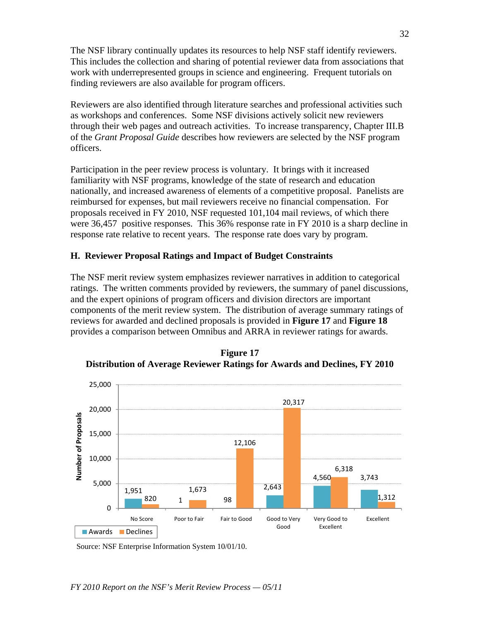The NSF library continually updates its resources to help NSF staff identify reviewers. This includes the collection and sharing of potential reviewer data from associations that work with underrepresented groups in science and engineering. Frequent tutorials on finding reviewers are also available for program officers.

Reviewers are also identified through literature searches and professional activities such as workshops and conferences. Some NSF divisions actively solicit new reviewers through their web pages and outreach activities. To increase transparency, Chapter III.B of the *Grant Proposal Guide* describes how reviewers are selected by the NSF program officers.

Participation in the peer review process is voluntary. It brings with it increased familiarity with NSF programs, knowledge of the state of research and education nationally, and increased awareness of elements of a competitive proposal. Panelists are reimbursed for expenses, but mail reviewers receive no financial compensation. For proposals received in FY 2010, NSF requested 101,104 mail reviews, of which there were 36,457 positive responses. This 36% response rate in FY 2010 is a sharp decline in response rate relative to recent years. The response rate does vary by program.

## **H. Reviewer Proposal Ratings and Impact of Budget Constraints**

The NSF merit review system emphasizes reviewer narratives in addition to categorical ratings. The written comments provided by reviewers, the summary of panel discussions, and the expert opinions of program officers and division directors are important components of the merit review system. The distribution of average summary ratings of reviews for awarded and declined proposals is provided in **Figure 17** and **Figure 18**  provides a comparison between Omnibus and ARRA in reviewer ratings for awards.



**Figure 17 Distribution of Average Reviewer Ratings for Awards and Declines, FY 2010** 

Source: NSF Enterprise Information System 10/01/10.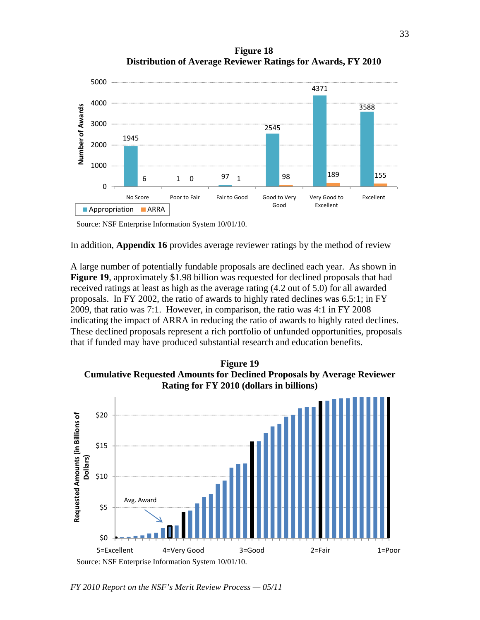**Figure 18 Distribution of Average Reviewer Ratings for Awards, FY 2010** 



Source: NSF Enterprise Information System 10/01/10.

In addition, **Appendix 16** provides average reviewer ratings by the method of review

A large number of potentially fundable proposals are declined each year. As shown in **Figure 19**, approximately \$1.98 billion was requested for declined proposals that had received ratings at least as high as the average rating (4.2 out of 5.0) for all awarded proposals. In FY 2002, the ratio of awards to highly rated declines was 6.5:1; in FY 2009, that ratio was 7:1. However, in comparison, the ratio was 4:1 in FY 2008 indicating the impact of ARRA in reducing the ratio of awards to highly rated declines. These declined proposals represent a rich portfolio of unfunded opportunities, proposals that if funded may have produced substantial research and education benefits.





*FY 2010 Report on the NSF's Merit Review Process — 05/11*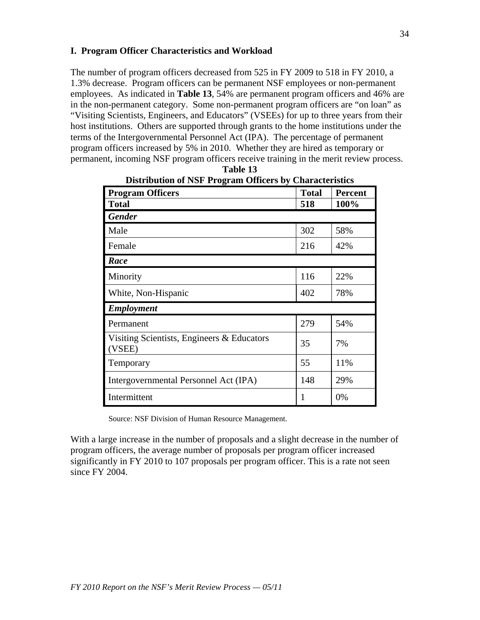## **I. Program Officer Characteristics and Workload**

The number of program officers decreased from 525 in FY 2009 to 518 in FY 2010, a 1.3% decrease. Program officers can be permanent NSF employees or non-permanent employees. As indicated in **Table 13**, 54% are permanent program officers and 46% are in the non-permanent category. Some non-permanent program officers are "on loan" as "Visiting Scientists, Engineers, and Educators" (VSEEs) for up to three years from their host institutions. Others are supported through grants to the home institutions under the terms of the Intergovernmental Personnel Act (IPA). The percentage of permanent program officers increased by 5% in 2010. Whether they are hired as temporary or permanent, incoming NSF program officers receive training in the merit review process.

| $5.10$ and $1.02$ $1.05$ $1.0$ $1.00$ $1.00$ $1.00$ $1.00$ $1.00$ $1.00$ $1.00$ $1.00$ $1.00$ $1.00$ $1.00$ $1.00$ $1.00$ $1.00$ $1.00$ $1.00$ $1.00$ $1.00$ $1.00$ $1.00$ $1.00$ $1.00$ $1.00$ $1.00$ $1.00$ $1.00$ $1.00$<br><b>Program Officers</b> | <b>Total</b> | <b>Percent</b> |
|--------------------------------------------------------------------------------------------------------------------------------------------------------------------------------------------------------------------------------------------------------|--------------|----------------|
| <b>Total</b>                                                                                                                                                                                                                                           | 518          | 100%           |
|                                                                                                                                                                                                                                                        |              |                |
| <b>Gender</b>                                                                                                                                                                                                                                          |              |                |
| Male                                                                                                                                                                                                                                                   | 302          | 58%            |
| Female                                                                                                                                                                                                                                                 | 216          | 42%            |
| Race                                                                                                                                                                                                                                                   |              |                |
| Minority                                                                                                                                                                                                                                               | 116          | 22%            |
| White, Non-Hispanic                                                                                                                                                                                                                                    | 402          | 78%            |
| <b>Employment</b>                                                                                                                                                                                                                                      |              |                |
| Permanent                                                                                                                                                                                                                                              | 279          | 54%            |
| Visiting Scientists, Engineers & Educators<br>(VSEE)                                                                                                                                                                                                   | 35           | 7%             |
| Temporary                                                                                                                                                                                                                                              | 55           | 11%            |
| Intergovernmental Personnel Act (IPA)                                                                                                                                                                                                                  | 148          | 29%            |
| Intermittent                                                                                                                                                                                                                                           | 1            | 0%             |

| Table 13                                                       |
|----------------------------------------------------------------|
| <b>Distribution of NSF Program Officers by Characteristics</b> |

Source: NSF Division of Human Resource Management.

With a large increase in the number of proposals and a slight decrease in the number of program officers, the average number of proposals per program officer increased significantly in FY 2010 to 107 proposals per program officer. This is a rate not seen since FY 2004.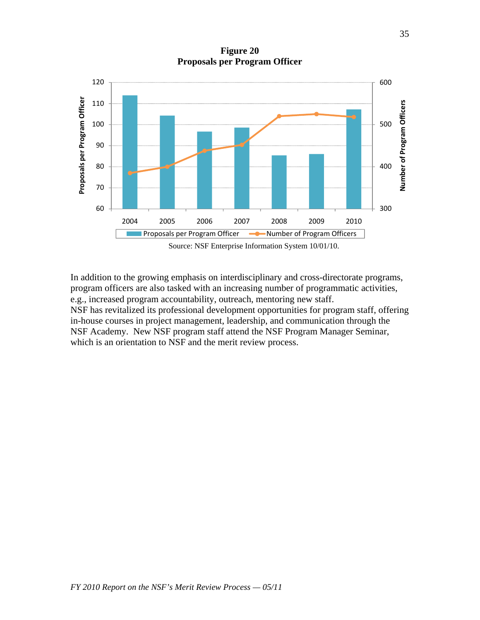**Figure 20 Proposals per Program Officer** 



In addition to the growing emphasis on interdisciplinary and cross-directorate programs, program officers are also tasked with an increasing number of programmatic activities, e.g., increased program accountability, outreach, mentoring new staff. NSF has revitalized its professional development opportunities for program staff, offering in-house courses in project management, leadership, and communication through the NSF Academy. New NSF program staff attend the NSF Program Manager Seminar, which is an orientation to NSF and the merit review process.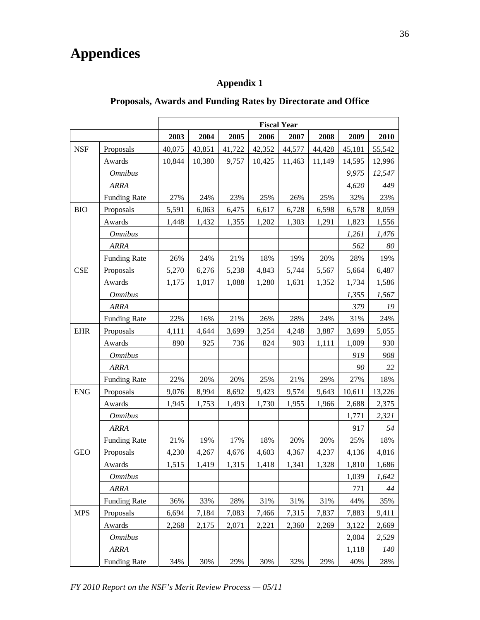# **Appendices**

## **Appendix 1**

## **Proposals, Awards and Funding Rates by Directorate and Office**

|                                                      |                     |        |        |        | <b>Fiscal Year</b> |        |        |        |        |
|------------------------------------------------------|---------------------|--------|--------|--------|--------------------|--------|--------|--------|--------|
|                                                      |                     | 2003   | 2004   | 2005   | 2006               | 2007   | 2008   | 2009   | 2010   |
| <b>NSF</b>                                           | Proposals           | 40,075 | 43,851 | 41,722 | 42,352             | 44,577 | 44,428 | 45,181 | 55,542 |
|                                                      | Awards              | 10,844 | 10,380 | 9,757  | 10,425             | 11,463 | 11,149 | 14,595 | 12,996 |
|                                                      | <b>Omnibus</b>      |        |        |        |                    |        |        | 9,975  | 12,547 |
|                                                      | <b>ARRA</b>         |        |        |        |                    |        |        | 4,620  | 449    |
|                                                      | <b>Funding Rate</b> | 27%    | 24%    | 23%    | 25%                | 26%    | 25%    | 32%    | 23%    |
| <b>BIO</b>                                           | Proposals           | 5,591  | 6,063  | 6,475  | 6,617              | 6,728  | 6,598  | 6,578  | 8,059  |
|                                                      | Awards              | 1,448  | 1,432  | 1,355  | 1,202              | 1,303  | 1,291  | 1,823  | 1,556  |
| <b>CSE</b><br><b>EHR</b><br><b>ENG</b><br><b>GEO</b> | <b>Omnibus</b>      |        |        |        |                    |        |        | 1,261  | 1,476  |
|                                                      | <b>ARRA</b>         |        |        |        |                    |        |        | 562    | 80     |
|                                                      | <b>Funding Rate</b> | 26%    | 24%    | 21%    | 18%                | 19%    | 20%    | 28%    | 19%    |
|                                                      | Proposals           | 5,270  | 6,276  | 5,238  | 4,843              | 5,744  | 5,567  | 5,664  | 6,487  |
|                                                      | Awards              | 1,175  | 1,017  | 1,088  | 1,280              | 1,631  | 1,352  | 1,734  | 1,586  |
|                                                      | <b>Omnibus</b>      |        |        |        |                    |        |        | 1,355  | 1,567  |
|                                                      | <b>ARRA</b>         |        |        |        |                    |        |        | 379    | 19     |
|                                                      | <b>Funding Rate</b> | 22%    | 16%    | 21%    | 26%                | 28%    | 24%    | 31%    | 24%    |
|                                                      | Proposals           | 4,111  | 4,644  | 3,699  | 3,254              | 4,248  | 3,887  | 3,699  | 5,055  |
|                                                      | Awards              | 890    | 925    | 736    | 824                | 903    | 1,111  | 1,009  | 930    |
|                                                      | <b>Omnibus</b>      |        |        |        |                    |        |        | 919    | 908    |
|                                                      | <b>ARRA</b>         |        |        |        |                    |        |        | 90     | 22     |
|                                                      | <b>Funding Rate</b> | 22%    | 20%    | 20%    | 25%                | 21%    | 29%    | 27%    | 18%    |
|                                                      | Proposals           | 9,076  | 8,994  | 8,692  | 9,423              | 9,574  | 9,643  | 10,611 | 13,226 |
|                                                      | Awards              | 1,945  | 1,753  | 1,493  | 1,730              | 1,955  | 1,966  | 2,688  | 2,375  |
| <b>MPS</b>                                           | <b>Omnibus</b>      |        |        |        |                    |        |        | 1,771  | 2,321  |
|                                                      | <b>ARRA</b>         |        |        |        |                    |        |        | 917    | 54     |
|                                                      | <b>Funding Rate</b> | 21%    | 19%    | 17%    | 18%                | 20%    | 20%    | 25%    | 18%    |
|                                                      | Proposals           | 4,230  | 4,267  | 4,676  | 4,603              | 4,367  | 4,237  | 4,136  | 4,816  |
|                                                      | Awards              | 1,515  | 1,419  | 1,315  | 1,418              | 1,341  | 1,328  | 1,810  | 1,686  |
|                                                      | <b>Omnibus</b>      |        |        |        |                    |        |        | 1,039  | 1,642  |
|                                                      | <b>ARRA</b>         |        |        |        |                    |        |        | 771    | 44     |
|                                                      | <b>Funding Rate</b> | 36%    | 33%    | 28%    | 31%                | 31%    | 31%    | 44%    | 35%    |
|                                                      | Proposals           | 6,694  | 7,184  | 7,083  | 7,466              | 7,315  | 7,837  | 7,883  | 9,411  |
|                                                      | Awards              | 2,268  | 2,175  | 2,071  | 2,221              | 2,360  | 2,269  | 3,122  | 2,669  |
|                                                      | <b>Omnibus</b>      |        |        |        |                    |        |        | 2,004  | 2,529  |
|                                                      | <b>ARRA</b>         |        |        |        |                    |        |        | 1,118  | 140    |
|                                                      | <b>Funding Rate</b> | 34%    | 30%    | 29%    | 30%                | 32%    | 29%    | 40%    | 28%    |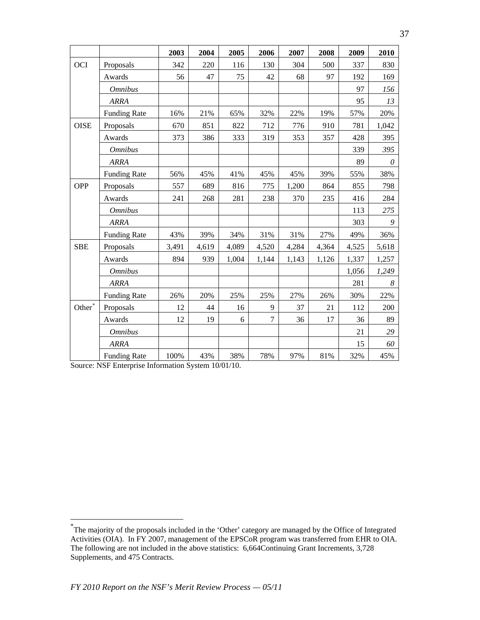|                    |                     | 2003  | 2004  | 2005  | 2006                                                                                                                                                                                                                           | 2007 | 2008 | 2009  | 2010  |
|--------------------|---------------------|-------|-------|-------|--------------------------------------------------------------------------------------------------------------------------------------------------------------------------------------------------------------------------------|------|------|-------|-------|
| <b>OCI</b>         | Proposals           | 342   | 220   | 116   | 130                                                                                                                                                                                                                            | 304  | 500  | 337   | 830   |
|                    | Awards              | 56    | 47    | 75    | 42                                                                                                                                                                                                                             | 68   | 97   | 192   | 169   |
|                    | <b>Omnibus</b>      |       |       |       |                                                                                                                                                                                                                                |      |      | 97    | 156   |
|                    | <b>ARRA</b>         |       |       |       |                                                                                                                                                                                                                                |      |      | 95    | 13    |
|                    | <b>Funding Rate</b> | 16%   | 21%   | 65%   | 32%                                                                                                                                                                                                                            | 22%  | 19%  | 57%   | 20%   |
| <b>OISE</b>        | Proposals           | 670   | 851   | 822   | 712                                                                                                                                                                                                                            | 776  | 910  | 781   | 1,042 |
|                    | Awards              | 373   | 386   | 333   | 319                                                                                                                                                                                                                            | 353  | 357  | 428   | 395   |
|                    | <b>Omnibus</b>      |       |       |       |                                                                                                                                                                                                                                |      |      | 339   | 395   |
|                    | <b>ARRA</b>         |       |       |       |                                                                                                                                                                                                                                |      |      | 89    | 0     |
|                    | <b>Funding Rate</b> | 56%   | 45%   | 41%   | 45%<br>45%<br>39%<br>775<br>1,200<br>864<br>235<br>238<br>370<br>31%<br>31%<br>27%<br>4,520<br>4,284<br>4,364<br>1,144<br>1,143<br>1,126<br>25%<br>27%<br>26%<br>37<br>9<br>21<br>$\tau$<br>36<br>17<br>6<br>78%<br>97%<br>81% | 55%  | 38%  |       |       |
| OPP                | Proposals           | 557   | 689   | 816   |                                                                                                                                                                                                                                |      |      | 855   | 798   |
|                    | Awards              | 241   | 268   | 281   |                                                                                                                                                                                                                                |      |      | 416   | 284   |
|                    | <b>Omnibus</b>      |       |       |       |                                                                                                                                                                                                                                |      |      | 113   | 275   |
|                    | <b>ARRA</b>         |       |       |       |                                                                                                                                                                                                                                |      |      | 303   | 9     |
|                    | <b>Funding Rate</b> | 43%   | 39%   | 34%   |                                                                                                                                                                                                                                |      |      | 49%   | 36%   |
| <b>SBE</b>         | Proposals           | 3,491 | 4,619 | 4,089 |                                                                                                                                                                                                                                |      |      | 4,525 | 5,618 |
|                    | Awards              | 894   | 939   | 1,004 |                                                                                                                                                                                                                                |      |      | 1,337 | 1,257 |
|                    | <b>Omnibus</b>      |       |       |       |                                                                                                                                                                                                                                |      |      | 1,056 | 1,249 |
|                    | <b>ARRA</b>         |       |       |       |                                                                                                                                                                                                                                |      |      | 281   | 8     |
|                    | <b>Funding Rate</b> | 26%   | 20%   | 25%   |                                                                                                                                                                                                                                |      |      | 30%   | 22%   |
| Other <sup>*</sup> | Proposals           | 12    | 44    | 16    |                                                                                                                                                                                                                                |      |      | 112   | 200   |
|                    | Awards              | 12    | 19    |       |                                                                                                                                                                                                                                |      |      | 36    | 89    |
|                    | <b>Omnibus</b>      |       |       |       |                                                                                                                                                                                                                                |      |      | 21    | 29    |
|                    | <b>ARRA</b>         |       |       |       |                                                                                                                                                                                                                                |      |      | 15    | 60    |
|                    | <b>Funding Rate</b> | 100%  | 43%   | 38%   |                                                                                                                                                                                                                                |      |      | 32%   | 45%   |

Source: NSF Enterprise Information System 10/01/10.

<span id="page-36-0"></span><sup>\*</sup> The majority of the proposals included in the 'Other' category are managed by the Office of Integrated Activities (OIA). In FY 2007, management of the EPSCoR program was transferred from EHR to OIA. The following are not included in the above statistics: 6,664Continuing Grant Increments, 3,728 Supplements, and 475 Contracts.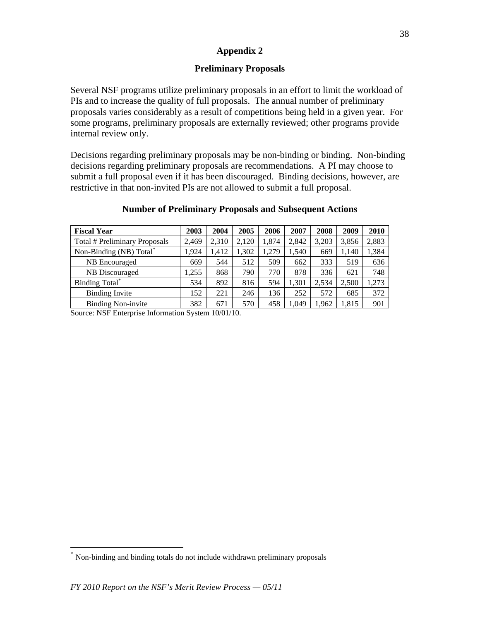## **Preliminary Proposals**

Several NSF programs utilize preliminary proposals in an effort to limit the workload of PIs and to increase the quality of full proposals. The annual number of preliminary proposals varies considerably as a result of competitions being held in a given year. For some programs, preliminary proposals are externally reviewed; other programs provide internal review only.

Decisions regarding preliminary proposals may be non-binding or binding. Non-binding decisions regarding preliminary proposals are recommendations. A PI may choose to submit a full proposal even if it has been discouraged. Binding decisions, however, are restrictive in that non-invited PIs are not allowed to submit a full proposal.

| <b>Fiscal Year</b>                                                        | 2003  | 2004  | 2005  | 2006  | 2007  | 2008  | 2009  | 2010  |
|---------------------------------------------------------------------------|-------|-------|-------|-------|-------|-------|-------|-------|
| Total # Preliminary Proposals                                             | 2.469 | 2.310 | 2.120 | 1.874 | 2.842 | 3.203 | 3.856 | 2,883 |
| Non-Binding (NB) Total                                                    | 1.924 | 1.412 | 1.302 | ,279  | .540  | 669   | 1.140 | 1,384 |
| NB Encouraged                                                             | 669   | 544   | 512   | 509   | 662   | 333   | 519   | 636   |
| NB Discouraged                                                            | 1.255 | 868   | 790   | 770   | 878   | 336   | 621   | 748   |
| Binding Total <sup>*</sup>                                                | 534   | 892   | 816   | 594   | 1.301 | 2.534 | 2,500 | ,273  |
| <b>Binding Invite</b>                                                     | .52   | 221   | 246   | 136   | 252   | 572   | 685   | 372   |
| <b>Binding Non-invite</b>                                                 | 382   | 671   | 570   | 458   | 1,049 | 1,962 | 1.815 | 901   |
| $\alpha$ MOEF, $\alpha$ $\alpha$ $\alpha$ $\beta$ $\beta$ $\beta$ $\beta$ |       |       |       |       |       |       |       |       |

#### **Number of Preliminary Proposals and Subsequent Actions**

Source: NSF Enterprise Information System 10/01/10.

<span id="page-37-0"></span><sup>\*</sup> Non-binding and binding totals do not include withdrawn preliminary proposals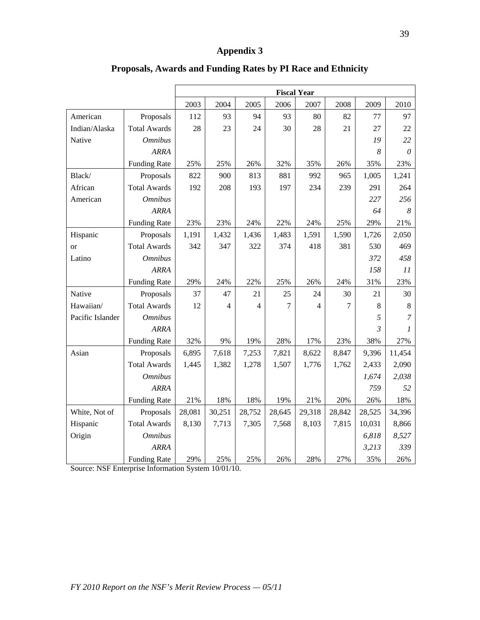|                  |                     |        |        |                |        | <b>Fiscal Year</b> |        |                |                |
|------------------|---------------------|--------|--------|----------------|--------|--------------------|--------|----------------|----------------|
|                  |                     | 2003   | 2004   | 2005           | 2006   | 2007               | 2008   | 2009           | 2010           |
| American         | Proposals           | 112    | 93     | 94             | 93     | 80                 | 82     | 77             | 97             |
| Indian/Alaska    | <b>Total Awards</b> | 28     | 23     | 24             | 30     | 28                 | 21     | 27             | 22             |
| Native           | <b>Omnibus</b>      |        |        |                |        |                    |        | 19             | 22             |
|                  | <b>ARRA</b>         |        |        |                |        |                    |        | 8              | 0              |
|                  | <b>Funding Rate</b> | 25%    | 25%    | 26%            | 32%    | 35%                | 26%    | 35%            | 23%            |
| Black/           | Proposals           | 822    | 900    | 813            | 881    | 992                | 965    | 1,005          | 1,241          |
| African          | <b>Total Awards</b> | 192    | 208    | 193            | 197    | 234                | 239    | 291            | 264            |
| American         | <b>Omnibus</b>      |        |        |                |        |                    |        | 227            | 256            |
|                  | <b>ARRA</b>         |        |        |                |        |                    |        | 64             | 8              |
|                  | <b>Funding Rate</b> | 23%    | 23%    | 24%            | 22%    | 24%                | 25%    | 29%            | 21%            |
| Hispanic         | Proposals           | 1,191  | 1,432  | 1,436          | 1,483  | 1,591              | 1,590  | 1,726          | 2,050          |
| <b>or</b>        | <b>Total Awards</b> | 342    | 347    | 322            | 374    | 418                | 381    | 530            | 469            |
| Latino           | <b>Omnibus</b>      |        |        |                |        |                    |        | 372            | 458            |
|                  | <b>ARRA</b>         |        |        |                |        |                    |        | 158            | 11             |
|                  | <b>Funding Rate</b> | 29%    | 24%    | 22%            | 25%    | 26%                | 24%    | 31%            | 23%            |
| Native           | Proposals           | 37     | 47     | 21             | 25     | 24                 | 30     | 21             | 30             |
| Hawaiian/        | <b>Total Awards</b> | 12     | 4      | $\overline{4}$ | 7      | 4                  | 7      | 8              | $\,8\,$        |
| Pacific Islander | <b>Omnibus</b>      |        |        |                |        |                    |        | 5              | $\overline{7}$ |
|                  | <b>ARRA</b>         |        |        |                |        |                    |        | $\mathfrak{Z}$ | 1              |
|                  | <b>Funding Rate</b> | 32%    | 9%     | 19%            | 28%    | 17%                | 23%    | 38%            | 27%            |
| Asian            | Proposals           | 6,895  | 7,618  | 7,253          | 7,821  | 8,622              | 8,847  | 9,396          | 11,454         |
|                  | <b>Total Awards</b> | 1,445  | 1,382  | 1,278          | 1,507  | 1,776              | 1,762  | 2,433          | 2,090          |
|                  | <b>Omnibus</b>      |        |        |                |        |                    |        | 1,674          | 2,038          |
|                  | <b>ARRA</b>         |        |        |                |        |                    |        | 759            | 52             |
|                  | <b>Funding Rate</b> | 21%    | 18%    | 18%            | 19%    | 21%                | 20%    | 26%            | 18%            |
| White, Not of    | Proposals           | 28,081 | 30,251 | 28,752         | 28,645 | 29,318             | 28,842 | 28,525         | 34,396         |
| Hispanic         | <b>Total Awards</b> | 8,130  | 7,713  | 7,305          | 7,568  | 8,103              | 7,815  | 10,031         | 8,866          |
| Origin           | <b>Omnibus</b>      |        |        |                |        |                    |        | 6,818          | 8,527          |
|                  | <b>ARRA</b>         |        |        |                |        |                    |        | 3,213          | 339            |
|                  | <b>Funding Rate</b> | 29%    | 25%    | 25%            | 26%    | 28%                | 27%    | 35%            | 26%            |

## **Proposals, Awards and Funding Rates by PI Race and Ethnicity**

Source: NSF Enterprise Information System 10/01/10.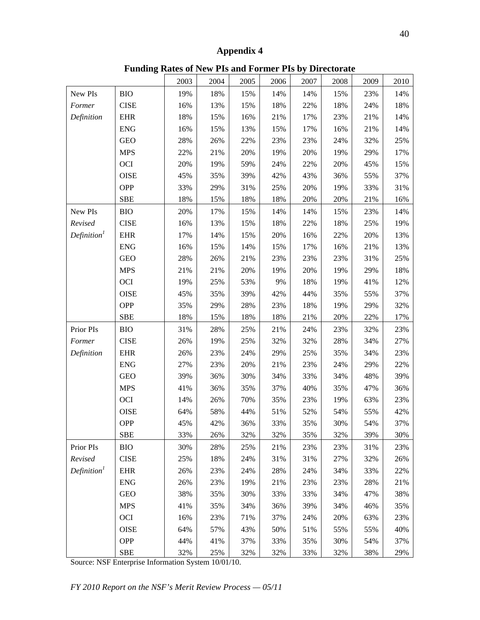**Funding Rates of New PIs and Former PIs by Directorate** 

|                         |             | 2003 | 2004 | 2005 | 2006 | 2007 | 2008 | 2009 | 2010 |
|-------------------------|-------------|------|------|------|------|------|------|------|------|
| New PIs                 | <b>BIO</b>  | 19%  | 18%  | 15%  | 14%  | 14%  | 15%  | 23%  | 14%  |
| Former                  | <b>CISE</b> | 16%  | 13%  | 15%  | 18%  | 22%  | 18%  | 24%  | 18%  |
| Definition              | <b>EHR</b>  | 18%  | 15%  | 16%  | 21%  | 17%  | 23%  | 21%  | 14%  |
|                         | <b>ENG</b>  | 16%  | 15%  | 13%  | 15%  | 17%  | 16%  | 21%  | 14%  |
|                         | <b>GEO</b>  | 28%  | 26%  | 22%  | 23%  | 23%  | 24%  | 32%  | 25%  |
|                         | <b>MPS</b>  | 22%  | 21%  | 20%  | 19%  | 20%  | 19%  | 29%  | 17%  |
|                         | <b>OCI</b>  | 20%  | 19%  | 59%  | 24%  | 22%  | 20%  | 45%  | 15%  |
|                         | <b>OISE</b> | 45%  | 35%  | 39%  | 42%  | 43%  | 36%  | 55%  | 37%  |
|                         | <b>OPP</b>  | 33%  | 29%  | 31%  | 25%  | 20%  | 19%  | 33%  | 31%  |
|                         | <b>SBE</b>  | 18%  | 15%  | 18%  | 18%  | 20%  | 20%  | 21%  | 16%  |
| New PIs                 | <b>BIO</b>  | 20%  | 17%  | 15%  | 14%  | 14%  | 15%  | 23%  | 14%  |
| Revised                 | <b>CISE</b> | 16%  | 13%  | 15%  | 18%  | 22%  | 18%  | 25%  | 19%  |
| Definition <sup>1</sup> | EHR         | 17%  | 14%  | 15%  | 20%  | 16%  | 22%  | 20%  | 13%  |
|                         | <b>ENG</b>  | 16%  | 15%  | 14%  | 15%  | 17%  | 16%  | 21%  | 13%  |
|                         | <b>GEO</b>  | 28%  | 26%  | 21%  | 23%  | 23%  | 23%  | 31%  | 25%  |
|                         | <b>MPS</b>  | 21%  | 21%  | 20%  | 19%  | 20%  | 19%  | 29%  | 18%  |
|                         | <b>OCI</b>  | 19%  | 25%  | 53%  | 9%   | 18%  | 19%  | 41%  | 12%  |
|                         | <b>OISE</b> | 45%  | 35%  | 39%  | 42%  | 44%  | 35%  | 55%  | 37%  |
|                         | <b>OPP</b>  | 35%  | 29%  | 28%  | 23%  | 18%  | 19%  | 29%  | 32%  |
|                         | <b>SBE</b>  | 18%  | 15%  | 18%  | 18%  | 21%  | 20%  | 22%  | 17%  |
| Prior PIs               | <b>BIO</b>  | 31%  | 28%  | 25%  | 21%  | 24%  | 23%  | 32%  | 23%  |
| Former                  | <b>CISE</b> | 26%  | 19%  | 25%  | 32%  | 32%  | 28%  | 34%  | 27%  |
| Definition              | EHR         | 26%  | 23%  | 24%  | 29%  | 25%  | 35%  | 34%  | 23%  |
|                         | <b>ENG</b>  | 27%  | 23%  | 20%  | 21%  | 23%  | 24%  | 29%  | 22%  |
|                         | <b>GEO</b>  | 39%  | 36%  | 30%  | 34%  | 33%  | 34%  | 48%  | 39%  |
|                         | <b>MPS</b>  | 41%  | 36%  | 35%  | 37%  | 40%  | 35%  | 47%  | 36%  |
|                         | <b>OCI</b>  | 14%  | 26%  | 70%  | 35%  | 23%  | 19%  | 63%  | 23%  |
|                         | <b>OISE</b> | 64%  | 58%  | 44%  | 51%  | 52%  | 54%  | 55%  | 42%  |
|                         | <b>OPP</b>  | 45%  | 42%  | 36%  | 33%  | 35%  | 30%  | 54%  | 37%  |
|                         | <b>SBE</b>  | 33%  | 26%  | 32%  | 32%  | 35%  | 32%  | 39%  | 30%  |
| Prior PIs               | <b>BIO</b>  | 30%  | 28%  | 25%  | 21%  | 23%  | 23%  | 31%  | 23%  |
| Revised                 | <b>CISE</b> | 25%  | 18%  | 24%  | 31%  | 31%  | 27%  | 32%  | 26%  |
| Definition <sup>1</sup> | <b>EHR</b>  | 26%  | 23%  | 24%  | 28%  | 24%  | 34%  | 33%  | 22%  |
|                         | <b>ENG</b>  | 26%  | 23%  | 19%  | 21%  | 23%  | 23%  | 28%  | 21%  |
|                         | <b>GEO</b>  | 38%  | 35%  | 30%  | 33%  | 33%  | 34%  | 47%  | 38%  |
|                         | <b>MPS</b>  | 41%  | 35%  | 34%  | 36%  | 39%  | 34%  | 46%  | 35%  |
|                         | <b>OCI</b>  | 16%  | 23%  | 71%  | 37%  | 24%  | 20%  | 63%  | 23%  |
|                         | <b>OISE</b> | 64%  | 57%  | 43%  | 50%  | 51%  | 55%  | 55%  | 40%  |
|                         | <b>OPP</b>  | 44%  | 41%  | 37%  | 33%  | 35%  | 30%  | 54%  | 37%  |
|                         | <b>SBE</b>  | 32%  | 25%  | 32%  | 32%  | 33%  | 32%  | 38%  | 29%  |

Source: NSF Enterprise Information System 10/01/10.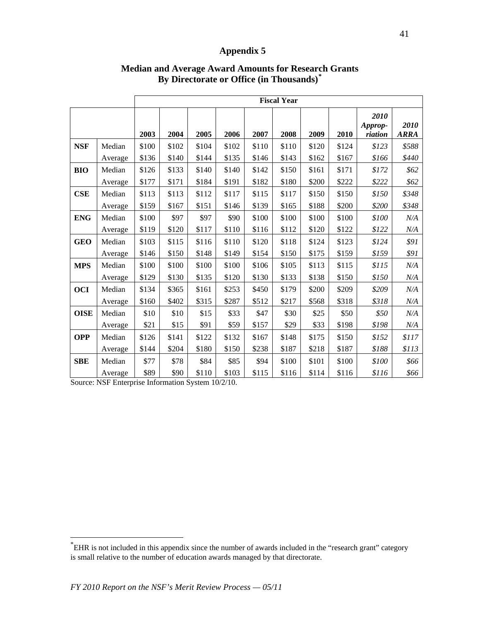|             |         |       |       |       |       |       | <b>Fiscal Year</b> |       |       |                            |                     |
|-------------|---------|-------|-------|-------|-------|-------|--------------------|-------|-------|----------------------------|---------------------|
|             |         | 2003  | 2004  | 2005  | 2006  | 2007  | 2008               | 2009  | 2010  | 2010<br>Approp-<br>riation | 2010<br><b>ARRA</b> |
| <b>NSF</b>  | Median  | \$100 | \$102 | \$104 | \$102 | \$110 | \$110              | \$120 | \$124 | \$123                      | \$588               |
|             | Average | \$136 | \$140 | \$144 | \$135 | \$146 | \$143              | \$162 | \$167 | \$166                      | \$440               |
| <b>BIO</b>  | Median  | \$126 | \$133 | \$140 | \$140 | \$142 | \$150              | \$161 | \$171 | \$172                      | \$62                |
|             | Average | \$177 | \$171 | \$184 | \$191 | \$182 | \$180              | \$200 | \$222 | \$222                      | \$62                |
| CSE         | Median  | \$113 | \$113 | \$112 | \$117 | \$115 | \$117              | \$150 | \$150 | \$150                      | \$348               |
|             | Average | \$159 | \$167 | \$151 | \$146 | \$139 | \$165              | \$188 | \$200 | \$200                      | \$348               |
| <b>ENG</b>  | Median  | \$100 | \$97  | \$97  | \$90  | \$100 | \$100              | \$100 | \$100 | \$100                      | N/A                 |
|             | Average | \$119 | \$120 | \$117 | \$110 | \$116 | \$112              | \$120 | \$122 | \$122                      | N/A                 |
| <b>GEO</b>  | Median  | \$103 | \$115 | \$116 | \$110 | \$120 | \$118              | \$124 | \$123 | \$124                      | \$91                |
|             | Average | \$146 | \$150 | \$148 | \$149 | \$154 | \$150              | \$175 | \$159 | \$159                      | \$91                |
| <b>MPS</b>  | Median  | \$100 | \$100 | \$100 | \$100 | \$106 | \$105              | \$113 | \$115 | \$115                      | N/A                 |
|             | Average | \$129 | \$130 | \$135 | \$120 | \$130 | \$133              | \$138 | \$150 | \$150                      | N/A                 |
| <b>OCI</b>  | Median  | \$134 | \$365 | \$161 | \$253 | \$450 | \$179              | \$200 | \$209 | \$209                      | N/A                 |
|             | Average | \$160 | \$402 | \$315 | \$287 | \$512 | \$217              | \$568 | \$318 | \$318                      | N/A                 |
| <b>OISE</b> | Median  | \$10  | \$10  | \$15  | \$33  | \$47  | \$30               | \$25  | \$50  | \$50                       | N/A                 |
|             | Average | \$21  | \$15  | \$91  | \$59  | \$157 | \$29               | \$33  | \$198 | \$198                      | N/A                 |
| <b>OPP</b>  | Median  | \$126 | \$141 | \$122 | \$132 | \$167 | \$148              | \$175 | \$150 | \$152                      | \$117               |
|             | Average | \$144 | \$204 | \$180 | \$150 | \$238 | \$187              | \$218 | \$187 | \$188                      | \$113               |
| <b>SBE</b>  | Median  | \$77  | \$78  | \$84  | \$85  | \$94  | \$100              | \$101 | \$100 | \$100                      | \$66                |
|             | Average | \$89  | \$90  | \$110 | \$103 | \$115 | \$116              | \$114 | \$116 | \$116                      | \$66                |

## **Median and Average Award Amounts for Research Grants By Directorate or Office (in Thousands)[\\*](#page-40-0)**

Source: NSF Enterprise Information System 10/2/10.

<span id="page-40-0"></span><sup>\*</sup> EHR is not included in this appendix since the number of awards included in the "research grant" category is small relative to the number of education awards managed by that directorate.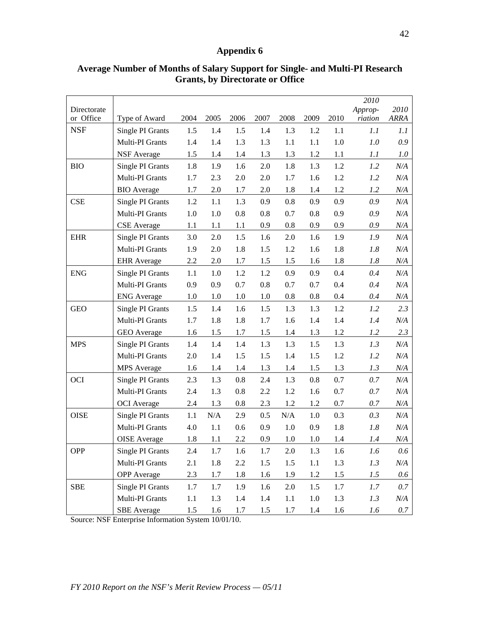| Directorate |                     |         |           |      |      |           |         |      | 2010<br>Approp- | 2010        |
|-------------|---------------------|---------|-----------|------|------|-----------|---------|------|-----------------|-------------|
| or Office   | Type of Award       | 2004    | 2005      | 2006 | 2007 | 2008      | 2009    | 2010 | riation         | <b>ARRA</b> |
| <b>NSF</b>  | Single PI Grants    | 1.5     | 1.4       | 1.5  | 1.4  | 1.3       | 1.2     | 1.1  | 1.1             | 1.1         |
|             | Multi-PI Grants     | 1.4     | 1.4       | 1.3  | 1.3  | 1.1       | 1.1     | 1.0  | 1.0             | 0.9         |
|             | <b>NSF</b> Average  | 1.5     | 1.4       | 1.4  | 1.3  | 1.3       | 1.2     | 1.1  | 1.1             | 1.0         |
| <b>BIO</b>  | Single PI Grants    | 1.8     | 1.9       | 1.6  | 2.0  | 1.8       | 1.3     | 1.2  | 1.2             | N/A         |
|             | Multi-PI Grants     | 1.7     | 2.3       | 2.0  | 2.0  | 1.7       | 1.6     | 1.2  | 1.2             | N/A         |
|             | <b>BIO</b> Average  | 1.7     | 2.0       | 1.7  | 2.0  | 1.8       | 1.4     | 1.2  | 1.2             | N/A         |
| <b>CSE</b>  | Single PI Grants    | 1.2     | 1.1       | 1.3  | 0.9  | $0.8\,$   | 0.9     | 0.9  | 0.9             | N/A         |
|             | Multi-PI Grants     | 1.0     | 1.0       | 0.8  | 0.8  | 0.7       | 0.8     | 0.9  | 0.9             | N/A         |
|             | <b>CSE</b> Average  | 1.1     | 1.1       | 1.1  | 0.9  | 0.8       | 0.9     | 0.9  | 0.9             | N/A         |
| <b>EHR</b>  | Single PI Grants    | 3.0     | 2.0       | 1.5  | 1.6  | 2.0       | 1.6     | 1.9  | 1.9             | N/A         |
|             | Multi-PI Grants     | 1.9     | 2.0       | 1.8  | 1.5  | 1.2       | 1.6     | 1.8  | 1.8             | N/A         |
|             | <b>EHR</b> Average  | 2.2     | 2.0       | 1.7  | 1.5  | 1.5       | 1.6     | 1.8  | 1.8             | N/A         |
| <b>ENG</b>  | Single PI Grants    | 1.1     | 1.0       | 1.2  | 1.2  | 0.9       | 0.9     | 0.4  | 0.4             | N/A         |
|             | Multi-PI Grants     | 0.9     | 0.9       | 0.7  | 0.8  | 0.7       | 0.7     | 0.4  | 0.4             | N/A         |
|             | <b>ENG</b> Average  | 1.0     | 1.0       | 1.0  | 1.0  | $0.8\,$   | 0.8     | 0.4  | 0.4             | N/A         |
| <b>GEO</b>  | Single PI Grants    | 1.5     | 1.4       | 1.6  | 1.5  | 1.3       | 1.3     | 1.2  | 1.2             | 2.3         |
|             | Multi-PI Grants     | 1.7     | 1.8       | 1.8  | 1.7  | 1.6       | 1.4     | 1.4  | 1.4             | N/A         |
|             | GEO Average         | 1.6     | 1.5       | 1.7  | 1.5  | 1.4       | 1.3     | 1.2  | 1.2             | 2.3         |
| <b>MPS</b>  | Single PI Grants    | 1.4     | 1.4       | 1.4  | 1.3  | 1.3       | 1.5     | 1.3  | 1.3             | N/A         |
|             | Multi-PI Grants     | 2.0     | 1.4       | 1.5  | 1.5  | 1.4       | 1.5     | 1.2  | 1.2             | N/A         |
|             | <b>MPS</b> Average  | 1.6     | 1.4       | 1.4  | 1.3  | 1.4       | 1.5     | 1.3  | 1.3             | N/A         |
| OCI         | Single PI Grants    | 2.3     | 1.3       | 0.8  | 2.4  | 1.3       | 0.8     | 0.7  | 0.7             | N/A         |
|             | Multi-PI Grants     | 2.4     | 1.3       | 0.8  | 2.2  | 1.2       | 1.6     | 0.7  | 0.7             | N/A         |
|             | <b>OCI</b> Average  | 2.4     | 1.3       | 0.8  | 2.3  | 1.2       | 1.2     | 0.7  | 0.7             | N/A         |
| <b>OISE</b> | Single PI Grants    | 1.1     | $\rm N/A$ | 2.9  | 0.5  | $\rm N/A$ | 1.0     | 0.3  | 0.3             | N/A         |
|             | Multi-PI Grants     | 4.0     | 1.1       | 0.6  | 0.9  | 1.0       | 0.9     | 1.8  | 1.8             | N/A         |
|             | <b>OISE</b> Average | 1.8     | 1.1       | 2.2  | 0.9  | 1.0       | 1.0     | 1.4  | 1.4             | $N\!/\!A$   |
| <b>OPP</b>  | Single PI Grants    | 2.4     | 1.7       | 1.6  | 1.7  | 2.0       | 1.3     | 1.6  | 1.6             | 0.6         |
|             | Multi-PI Grants     | 2.1     | 1.8       | 2.2  | 1.5  | 1.5       | 1.1     | 1.3  | 1.3             | N/A         |
|             | <b>OPP</b> Average  | $2.3\,$ | 1.7       | 1.8  | 1.6  | 1.9       | 1.2     | 1.5  | 1.5             | 0.6         |
| <b>SBE</b>  | Single PI Grants    | 1.7     | 1.7       | 1.9  | 1.6  | 2.0       | 1.5     | 1.7  | $1.7\,$         | 0.7         |
|             | Multi-PI Grants     | $1.1\,$ | 1.3       | 1.4  | 1.4  | $1.1\,$   | $1.0\,$ | 1.3  | 1.3             | N/A         |
|             | <b>SBE</b> Average  | 1.5     | 1.6       | 1.7  | 1.5  | 1.7       | 1.4     | 1.6  | 1.6             | 0.7         |

## **Average Number of Months of Salary Support for Single- and Multi-PI Research Grants, by Directorate or Office**

Source: NSF Enterprise Information System 10/01/10.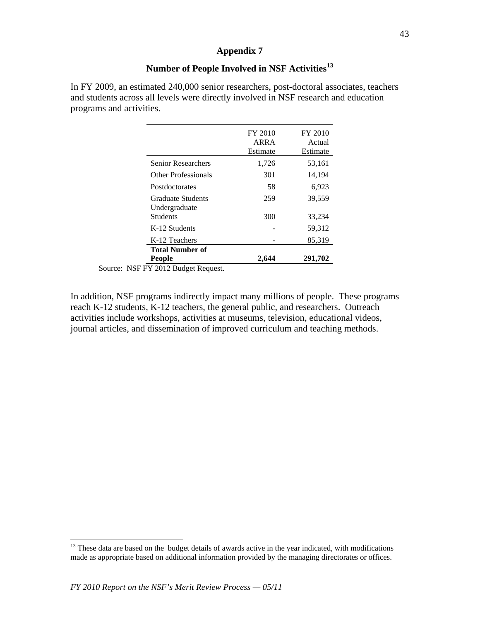## **Number of People Involved in NSF Activities[13](#page-42-0)**

In FY 2009, an estimated 240,000 senior researchers, post-doctoral associates, teachers and students across all levels were directly involved in NSF research and education programs and activities.

|                                    | FY 2010<br>ARRA<br>Estimate | FY 2010<br>Actual<br>Estimate |
|------------------------------------|-----------------------------|-------------------------------|
| <b>Senior Researchers</b>          | 1,726                       | 53,161                        |
| Other Professionals                | 301                         | 14,194                        |
| Postdoctorates                     | 58                          | 6,923                         |
| Graduate Students<br>Undergraduate | 259                         | 39,559                        |
| Students                           | 300                         | 33,234                        |
| K-12 Students                      |                             | 59,312                        |
| K-12 Teachers                      |                             | 85,319                        |
| <b>Total Number of</b>             |                             |                               |
| <b>People</b>                      | 2.644                       | 291,702                       |

Source: NSF FY 2012 Budget Request.

In addition, NSF programs indirectly impact many millions of people. These programs reach K-12 students, K-12 teachers, the general public, and researchers. Outreach activities include workshops, activities at museums, television, educational videos, journal articles, and dissemination of improved curriculum and teaching methods.

<span id="page-42-0"></span><sup>&</sup>lt;sup>13</sup> These data are based on the budget details of awards active in the year indicated, with modifications made as appropriate based on additional information provided by the managing directorates or offices.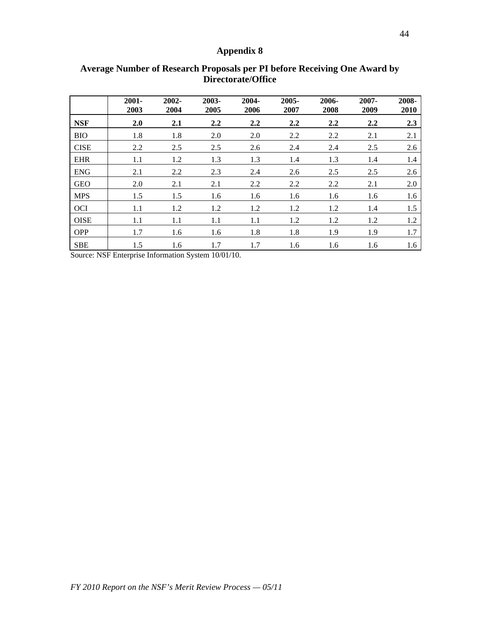|             | $2001 -$<br>2003 | 2002-<br>2004 | 2003-<br>2005 | 2004-<br>2006 | 2005-<br>2007 | 2006-<br>2008    | 2007-<br>2009 | 2008-<br>2010 |
|-------------|------------------|---------------|---------------|---------------|---------------|------------------|---------------|---------------|
| <b>NSF</b>  | 2.0              | 2.1           | 2.2           | 2.2           | 2.2           | $2.2\phantom{0}$ | 2.2           | 2.3           |
| <b>BIO</b>  | 1.8              | 1.8           | 2.0           | 2.0           | 2.2           | 2.2              | 2.1           | 2.1           |
| <b>CISE</b> | 2.2              | 2.5           | 2.5           | 2.6           | 2.4           | 2.4              | 2.5           | 2.6           |
| <b>EHR</b>  | 1.1              | 1.2           | 1.3           | 1.3           | 1.4           | 1.3              | 1.4           | 1.4           |
| <b>ENG</b>  | 2.1              | 2.2           | 2.3           | 2.4           | 2.6           | 2.5              | 2.5           | 2.6           |
| <b>GEO</b>  | 2.0              | 2.1           | 2.1           | 2.2           | 2.2           | 2.2              | 2.1           | 2.0           |
| <b>MPS</b>  | 1.5              | 1.5           | 1.6           | 1.6           | 1.6           | 1.6              | 1.6           | 1.6           |
| <b>OCI</b>  | 1.1              | 1.2           | 1.2           | 1.2           | 1.2           | 1.2              | 1.4           | 1.5           |
| <b>OISE</b> | 1.1              | 1.1           | 1.1           | 1.1           | 1.2           | 1.2              | 1.2           | 1.2           |
| <b>OPP</b>  | 1.7              | 1.6           | 1.6           | 1.8           | 1.8           | 1.9              | 1.9           | 1.7           |
| <b>SBE</b>  | 1.5              | 1.6           | 1.7           | 1.7           | 1.6           | 1.6              | 1.6           | 1.6           |

## **Average Number of Research Proposals per PI before Receiving One Award by Directorate/Office**

Source: NSF Enterprise Information System 10/01/10.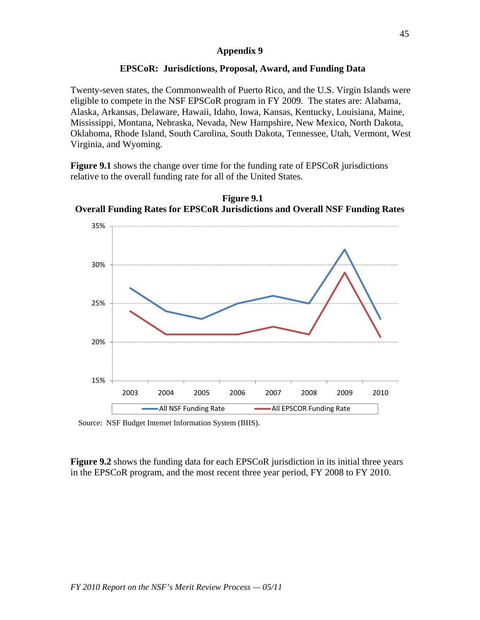## **EPSCoR: Jurisdictions, Proposal, Award, and Funding Data**

Twenty-seven states, the Commonwealth of Puerto Rico, and the U.S. Virgin Islands were eligible to compete in the NSF EPSCoR program in FY 2009. The states are: Alabama, Alaska, Arkansas, Delaware, Hawaii, Idaho, Iowa, Kansas, Kentucky, Louisiana, Maine, Mississippi, Montana, Nebraska, Nevada, New Hampshire, New Mexico, North Dakota, Oklahoma, Rhode Island, South Carolina, South Dakota, Tennessee, Utah, Vermont, West Virginia, and Wyoming.

**Figure 9.1** shows the change over time for the funding rate of EPSCoR jurisdictions relative to the overall funding rate for all of the United States.





Source: NSF Budget Internet Information System (BIIS).

**Figure 9.2** shows the funding data for each EPSCoR jurisdiction in its initial three years in the EPSCoR program, and the most recent three year period, FY 2008 to FY 2010.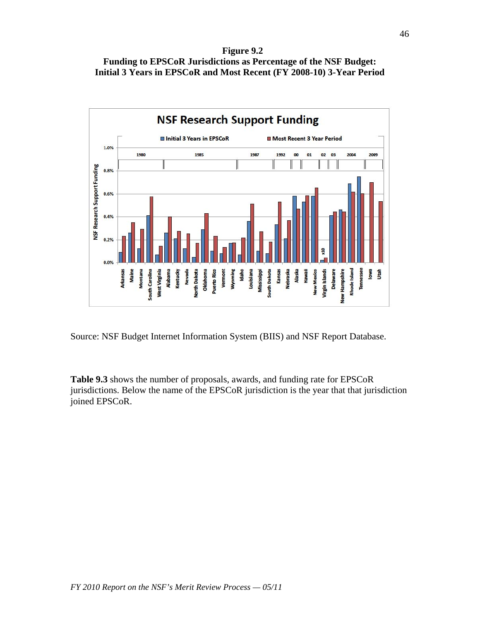**Figure 9.2**





Source: NSF Budget Internet Information System (BIIS) and NSF Report Database.

**Table 9.3** shows the number of proposals, awards, and funding rate for EPSCoR jurisdictions. Below the name of the EPSCoR jurisdiction is the year that that jurisdiction joined EPSCoR.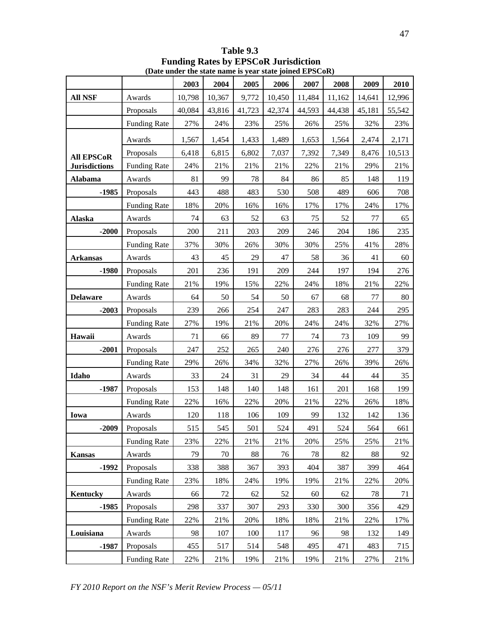|                      |                     | $(24.1)$ and the state name is year state joined in $5\text{Corr}$ |        |        |         |        |        |        |        |
|----------------------|---------------------|--------------------------------------------------------------------|--------|--------|---------|--------|--------|--------|--------|
|                      |                     | 2003                                                               | 2004   | 2005   | 2006    | 2007   | 2008   | 2009   | 2010   |
| <b>All NSF</b>       | Awards              | 10,798                                                             | 10,367 | 9,772  | 10,450  | 11,484 | 11,162 | 14,641 | 12,996 |
|                      | Proposals           | 40,084                                                             | 43,816 | 41,723 | 42,374  | 44,593 | 44,438 | 45,181 | 55,542 |
|                      | <b>Funding Rate</b> | 27%                                                                | 24%    | 23%    | 25%     | 26%    | 25%    | 32%    | 23%    |
|                      | Awards              | 1,567                                                              | 1,454  | 1,433  | 1,489   | 1,653  | 1,564  | 2,474  | 2,171  |
| <b>All EPSCoR</b>    | Proposals           | 6,418                                                              | 6,815  | 6,802  | 7,037   | 7,392  | 7,349  | 8,476  | 10,513 |
| <b>Jurisdictions</b> | <b>Funding Rate</b> | 24%                                                                | 21%    | 21%    | 21%     | 22%    | 21%    | 29%    | $21\%$ |
| <b>Alabama</b>       | Awards              | 81                                                                 | 99     | $78\,$ | 84      | 86     | 85     | 148    | 119    |
| $-1985$              | Proposals           | 443                                                                | 488    | 483    | 530     | 508    | 489    | 606    | 708    |
|                      | <b>Funding Rate</b> | 18%                                                                | 20%    | 16%    | 16%     | 17%    | 17%    | 24%    | 17%    |
| <b>Alaska</b>        | Awards              | 74                                                                 | 63     | 52     | 63      | 75     | 52     | 77     | 65     |
| $-2000$              | Proposals           | 200                                                                | 211    | 203    | 209     | 246    | 204    | 186    | 235    |
|                      | <b>Funding Rate</b> | 37%                                                                | 30%    | 26%    | 30%     | 30%    | 25%    | 41%    | 28%    |
| <b>Arkansas</b>      | Awards              | 43                                                                 | 45     | 29     | 47      | 58     | 36     | 41     | 60     |
| $-1980$              | Proposals           | 201                                                                | 236    | 191    | 209     | 244    | 197    | 194    | 276    |
|                      | <b>Funding Rate</b> | 21%                                                                | 19%    | 15%    | 22%     | 24%    | 18%    | 21%    | 22%    |
| <b>Delaware</b>      | Awards              | 64                                                                 | 50     | 54     | 50      | 67     | 68     | 77     | 80     |
| $-2003$              | Proposals           | 239                                                                | 266    | 254    | 247     | 283    | 283    | 244    | 295    |
|                      | <b>Funding Rate</b> | 27%                                                                | 19%    | 21%    | 20%     | 24%    | 24%    | 32%    | 27%    |
| Hawaii               | Awards              | 71                                                                 | 66     | 89     | $77 \,$ | 74     | 73     | 109    | 99     |
| $-2001$              | Proposals           | 247                                                                | 252    | 265    | 240     | 276    | 276    | 277    | 379    |
|                      | <b>Funding Rate</b> | 29%                                                                | 26%    | 34%    | 32%     | 27%    | 26%    | 39%    | 26%    |
| Idaho                | Awards              | 33                                                                 | 24     | 31     | 29      | 34     | 44     | 44     | 35     |
| $-1987$              | Proposals           | 153                                                                | 148    | 140    | 148     | 161    | 201    | 168    | 199    |
|                      | <b>Funding Rate</b> | 22%                                                                | 16%    | 22%    | 20%     | 21%    | 22%    | 26%    | 18%    |
| Iowa                 | Awards              | 120                                                                | 118    | 106    | 109     | 99     | 132    | 142    | 136    |
| $-2009$              | Proposals           | 515                                                                | 545    | 501    | 524     | 491    | 524    | 564    | 661    |
|                      | <b>Funding Rate</b> | 23%                                                                | 22%    | 21%    | 21%     | 20%    | 25%    | 25%    | 21%    |
| <b>Kansas</b>        | Awards              | 79                                                                 | 70     | 88     | 76      | 78     | 82     | 88     | 92     |
| $-1992$              | Proposals           | 338                                                                | 388    | 367    | 393     | 404    | 387    | 399    | 464    |
|                      | <b>Funding Rate</b> | 23%                                                                | 18%    | 24%    | 19%     | 19%    | 21%    | 22%    | 20%    |
| <b>Kentucky</b>      | Awards              | 66                                                                 | 72     | 62     | 52      | 60     | 62     | 78     | 71     |
| $-1985$              | Proposals           | 298                                                                | 337    | 307    | 293     | 330    | 300    | 356    | 429    |
|                      | <b>Funding Rate</b> | 22%                                                                | 21%    | 20%    | 18%     | 18%    | 21%    | 22%    | 17%    |
| Louisiana            | Awards              | 98                                                                 | 107    | 100    | 117     | 96     | 98     | 132    | 149    |
| $-1987$              | Proposals           | 455                                                                | 517    | 514    | 548     | 495    | 471    | 483    | 715    |
|                      | <b>Funding Rate</b> | 22%                                                                | 21%    | 19%    | 21%     | 19%    | 21%    | 27%    | 21%    |

**Table 9.3 Funding Rates by EPSCoR Jurisdiction (Date under the state name is year state joined EPSCoR)**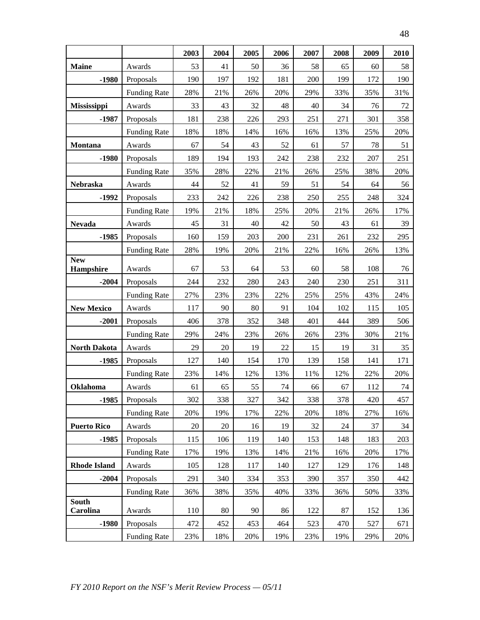|                          |                     | 2003 | 2004 | 2005 | 2006 | 2007 | 2008 | 2009 | 2010 |
|--------------------------|---------------------|------|------|------|------|------|------|------|------|
| <b>Maine</b>             | Awards              | 53   | 41   | 50   | 36   | 58   | 65   | 60   | 58   |
| $-1980$                  | Proposals           | 190  | 197  | 192  | 181  | 200  | 199  | 172  | 190  |
|                          | <b>Funding Rate</b> | 28%  | 21%  | 26%  | 20%  | 29%  | 33%  | 35%  | 31%  |
| Mississippi              | Awards              | 33   | 43   | 32   | 48   | 40   | 34   | 76   | 72   |
| $-1987$                  | Proposals           | 181  | 238  | 226  | 293  | 251  | 271  | 301  | 358  |
|                          | <b>Funding Rate</b> | 18%  | 18%  | 14%  | 16%  | 16%  | 13%  | 25%  | 20%  |
| Montana                  | Awards              | 67   | 54   | 43   | 52   | 61   | 57   | 78   | 51   |
| $-1980$                  | Proposals           | 189  | 194  | 193  | 242  | 238  | 232  | 207  | 251  |
|                          | <b>Funding Rate</b> | 35%  | 28%  | 22%  | 21%  | 26%  | 25%  | 38%  | 20%  |
| Nebraska                 | Awards              | 44   | 52   | 41   | 59   | 51   | 54   | 64   | 56   |
| $-1992$                  | Proposals           | 233  | 242  | 226  | 238  | 250  | 255  | 248  | 324  |
|                          | <b>Funding Rate</b> | 19%  | 21%  | 18%  | 25%  | 20%  | 21%  | 26%  | 17%  |
| <b>Nevada</b>            | Awards              | 45   | 31   | 40   | 42   | 50   | 43   | 61   | 39   |
| $-1985$                  | Proposals           | 160  | 159  | 203  | 200  | 231  | 261  | 232  | 295  |
|                          | <b>Funding Rate</b> | 28%  | 19%  | 20%  | 21%  | 22%  | 16%  | 26%  | 13%  |
| <b>New</b><br>Hampshire  | Awards              | 67   | 53   | 64   | 53   | 60   | 58   | 108  | 76   |
| $-2004$                  | Proposals           | 244  | 232  | 280  | 243  | 240  | 230  | 251  | 311  |
|                          | <b>Funding Rate</b> | 27%  | 23%  | 23%  | 22%  | 25%  | 25%  | 43%  | 24%  |
| <b>New Mexico</b>        | Awards              | 117  | 90   | 80   | 91   | 104  | 102  | 115  | 105  |
| $-2001$                  | Proposals           | 406  | 378  | 352  | 348  | 401  | 444  | 389  | 506  |
|                          | <b>Funding Rate</b> | 29%  | 24%  | 23%  | 26%  | 26%  | 23%  | 30%  | 21%  |
| <b>North Dakota</b>      | Awards              | 29   | 20   | 19   | 22   | 15   | 19   | 31   | 35   |
| $-1985$                  | Proposals           | 127  | 140  | 154  | 170  | 139  | 158  | 141  | 171  |
|                          | <b>Funding Rate</b> | 23%  | 14%  | 12%  | 13%  | 11%  | 12%  | 22%  | 20%  |
| <b>Oklahoma</b>          | Awards              | 61   | 65   | 55   | 74   | 66   | 67   | 112  | 74   |
| $-1985$                  | Proposals           | 302  | 338  | 327  | 342  | 338  | 378  | 420  | 457  |
|                          | <b>Funding Rate</b> | 20%  | 19%  | 17%  | 22%  | 20%  | 18%  | 27%  | 16%  |
| <b>Puerto Rico</b>       | Awards              | 20   | 20   | 16   | 19   | 32   | 24   | 37   | 34   |
| $-1985$                  | Proposals           | 115  | 106  | 119  | 140  | 153  | 148  | 183  | 203  |
|                          | <b>Funding Rate</b> | 17%  | 19%  | 13%  | 14%  | 21%  | 16%  | 20%  | 17%  |
| <b>Rhode Island</b>      | Awards              | 105  | 128  | 117  | 140  | 127  | 129  | 176  | 148  |
| $-2004$                  | Proposals           | 291  | 340  | 334  | 353  | 390  | 357  | 350  | 442  |
|                          | <b>Funding Rate</b> | 36%  | 38%  | 35%  | 40%  | 33%  | 36%  | 50%  | 33%  |
| <b>South</b><br>Carolina | Awards              | 110  | 80   | 90   | 86   | 122  | 87   | 152  | 136  |
| $-1980$                  | Proposals           | 472  | 452  | 453  | 464  | 523  | 470  | 527  | 671  |
|                          | <b>Funding Rate</b> | 23%  | 18%  | 20%  | 19%  | 23%  | 19%  | 29%  | 20%  |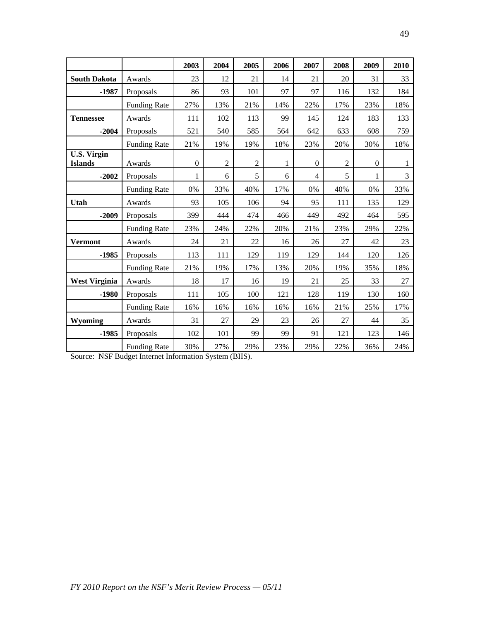|                                      |                     | 2003             | 2004           | 2005           | 2006 | 2007             | 2008           | 2009         | 2010 |
|--------------------------------------|---------------------|------------------|----------------|----------------|------|------------------|----------------|--------------|------|
| <b>South Dakota</b>                  | Awards              | 23               | 12             | 21             | 14   | 21               | 20             | 31           | 33   |
| $-1987$                              | Proposals           | 86               | 93             | 101            | 97   | 97               | 116            | 132          | 184  |
|                                      | <b>Funding Rate</b> | 27%              | 13%            | 21%            | 14%  | 22%              | 17%            | 23%          | 18%  |
| <b>Tennessee</b>                     | Awards              | 111              | 102            | 113            | 99   | 145              | 124            | 183          | 133  |
| $-2004$                              | Proposals           | 521              | 540            | 585            | 564  | 642              | 633            | 608          | 759  |
|                                      | <b>Funding Rate</b> | 21%              | 19%            | 19%            | 18%  | 23%              | 20%            | 30%          | 18%  |
| <b>U.S. Virgin</b><br><b>Islands</b> | Awards              | $\boldsymbol{0}$ | $\overline{2}$ | $\overline{2}$ | 1    | $\boldsymbol{0}$ | $\overline{2}$ | $\mathbf{0}$ | 1    |
| $-2002$                              | Proposals           | 1                | 6              | 5              | 6    | $\overline{4}$   | 5              | 1            | 3    |
|                                      | <b>Funding Rate</b> | 0%               | 33%            | 40%            | 17%  | 0%               | 40%            | 0%           | 33%  |
| Utah                                 | Awards              | 93               | 105            | 106            | 94   | 95               | 111            | 135          | 129  |
| $-2009$                              | Proposals           | 399              | 444            | 474            | 466  | 449              | 492            | 464          | 595  |
|                                      | <b>Funding Rate</b> | 23%              | 24%            | 22%            | 20%  | 21%              | 23%            | 29%          | 22%  |
| <b>Vermont</b>                       | Awards              | 24               | 21             | 22             | 16   | 26               | 27             | 42           | 23   |
| $-1985$                              | Proposals           | 113              | 111            | 129            | 119  | 129              | 144            | 120          | 126  |
|                                      | <b>Funding Rate</b> | 21%              | 19%            | 17%            | 13%  | 20%              | 19%            | 35%          | 18%  |
| <b>West Virginia</b>                 | Awards              | 18               | 17             | 16             | 19   | 21               | 25             | 33           | 27   |
| $-1980$                              | Proposals           | 111              | 105            | 100            | 121  | 128              | 119            | 130          | 160  |
|                                      | <b>Funding Rate</b> | 16%              | 16%            | 16%            | 16%  | 16%              | 21%            | 25%          | 17%  |
| Wyoming                              | Awards              | 31               | 27             | 29             | 23   | 26               | 27             | 44           | 35   |
| $-1985$                              | Proposals           | 102              | 101            | 99             | 99   | 91               | 121            | 123          | 146  |
|                                      | <b>Funding Rate</b> | 30%              | 27%            | 29%            | 23%  | 29%              | 22%            | 36%          | 24%  |

Source: NSF Budget Internet Information System (BIIS).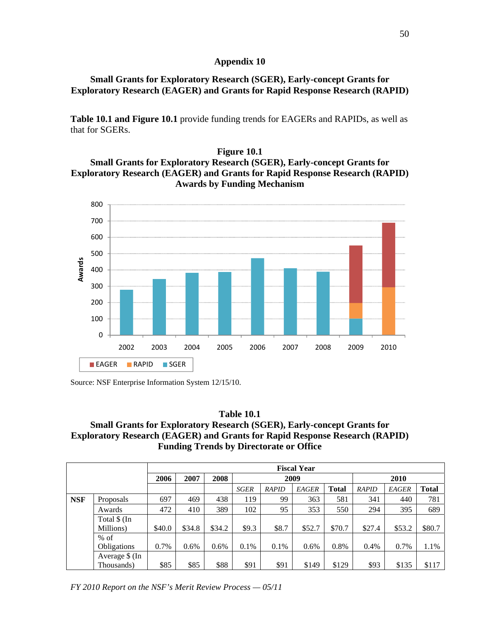## **Small Grants for Exploratory Research (SGER), Early-concept Grants for Exploratory Research (EAGER) and Grants for Rapid Response Research (RAPID)**

**Table 10.1 and Figure 10.1** provide funding trends for EAGERs and RAPIDs, as well as that for SGERs.

## **Figure 10.1 Small Grants for Exploratory Research (SGER), Early-concept Grants for Exploratory Research (EAGER) and Grants for Rapid Response Research (RAPID) Awards by Funding Mechanism**



Source: NSF Enterprise Information System 12/15/10.

### **Table 10.1 Small Grants for Exploratory Research (SGER), Early-concept Grants for Exploratory Research (EAGER) and Grants for Rapid Response Research (RAPID) Funding Trends by Directorate or Office**

|            |                           |        | <b>Fiscal Year</b> |        |             |       |         |              |        |              |              |  |  |
|------------|---------------------------|--------|--------------------|--------|-------------|-------|---------|--------------|--------|--------------|--------------|--|--|
|            |                           | 2006   | 2007               | 2008   |             |       | 2009    |              | 2010   |              |              |  |  |
|            |                           |        |                    |        | <b>SGER</b> | RAPID | EAGER   | <b>Total</b> | RAPID  | <b>EAGER</b> | <b>Total</b> |  |  |
| <b>NSF</b> | Proposals                 | 697    | 469                | 438    | 119         | 99    | 363     | 581          | 341    | 440          | 781          |  |  |
|            | Awards                    | 472    | 410                | 389    | 102         | 95    | 353     | 550          | 294    | 395          | 689          |  |  |
|            | Total \$ (In<br>Millions) | \$40.0 | \$34.8             | \$34.2 | \$9.3       | \$8.7 | \$52.7  | \$70.7       | \$27.4 | \$53.2       | \$80.7       |  |  |
|            | $%$ of                    |        |                    |        |             |       |         |              |        |              |              |  |  |
|            | Obligations               | 0.7%   | 0.6%               | 0.6%   | $0.1\%$     | 0.1%  | $0.6\%$ | 0.8%         | 0.4%   | 0.7%         | 1.1%         |  |  |
|            | Average \$ (In            |        |                    |        |             |       |         |              |        |              |              |  |  |
|            | Thousands)                | \$85   | \$85               | \$88   | \$91        | \$91  | \$149   | \$129        | \$93   | \$135        | \$117        |  |  |

*FY 2010 Report on the NSF's Merit Review Process — 05/11*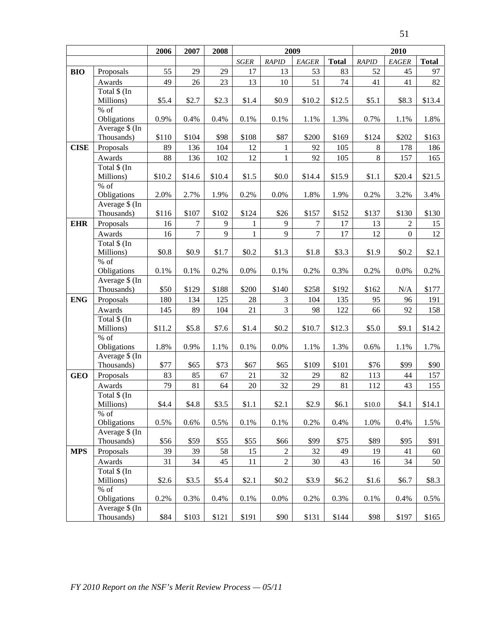|             |                               | 2006   | 2007   | 2008   | 2009         |                |                  |              | 2010   |                |              |
|-------------|-------------------------------|--------|--------|--------|--------------|----------------|------------------|--------------|--------|----------------|--------------|
|             |                               |        |        |        | $SGER$       | RAPID          | EAGER            | <b>Total</b> | RAPID  | EAGER          | <b>Total</b> |
| <b>BIO</b>  | Proposals                     | 55     | 29     | 29     | 17           | 13             | 53               | 83           | 52     | 45             | 97           |
|             | Awards                        | 49     | 26     | 23     | 13           | 10             | 51               | 74           | 41     | 41             | 82           |
|             | Total \$ (In                  |        |        |        |              |                |                  |              |        |                |              |
|             | Millions)                     | \$5.4  | \$2.7  | \$2.3  | \$1.4        | \$0.9          | \$10.2           | \$12.5       | \$5.1  | \$8.3          | \$13.4       |
|             | $\%$ of                       |        |        |        |              |                |                  |              |        |                |              |
|             | Obligations                   | 0.9%   | 0.4%   | 0.4%   | 0.1%         | 0.1%           | 1.1%             | 1.3%         | 0.7%   | 1.1%           | $1.8\%$      |
|             | Average \$ (In                |        |        |        |              |                |                  |              |        |                |              |
|             | Thousands)                    | \$110  | \$104  | \$98   | \$108        | \$87           | \$200            | \$169        | \$124  | \$202          | \$163        |
| <b>CISE</b> | Proposals                     | 89     | 136    | 104    | 12           | 1              | 92               | 105          | 8      | 178            | 186          |
|             | Awards                        | 88     | 136    | 102    | 12           | 1              | 92               | 105          | 8      | 157            | 165          |
|             | Total \$ (In                  | \$10.2 | \$14.6 |        | \$1.5        | \$0.0          | \$14.4           |              | \$1.1  |                |              |
|             | Millions)<br>$\%$ of          |        |        | \$10.4 |              |                |                  | \$15.9       |        | \$20.4         | \$21.5       |
|             | Obligations                   | 2.0%   | 2.7%   | 1.9%   | 0.2%         | 0.0%           | 1.8%             | 1.9%         | 0.2%   | 3.2%           | 3.4%         |
|             | Average \$ (In                |        |        |        |              |                |                  |              |        |                |              |
|             | Thousands)                    | \$116  | \$107  | \$102  | \$124        | \$26           | \$157            | \$152        | \$137  | \$130          | \$130        |
| <b>EHR</b>  | Proposals                     | 16     | 7      | 9      | $\mathbf{1}$ | 9              | $\boldsymbol{7}$ | 17           | 13     | 2              | 15           |
|             | Awards                        | 16     | $\tau$ | 9      | $\mathbf{1}$ | 9              | $\overline{7}$   | 17           | 12     | $\overline{0}$ | 12           |
|             | Total \$ (In                  |        |        |        |              |                |                  |              |        |                |              |
|             | Millions)                     | \$0.8  | \$0.9  | \$1.7  | \$0.2\$      | \$1.3          | \$1.8            | \$3.3        | \$1.9  | \$0.2\$        | \$2.1        |
|             | $%$ of                        |        |        |        |              |                |                  |              |        |                |              |
|             | Obligations                   | 0.1%   | 0.1%   | 0.2%   | $0.0\%$      | 0.1%           | 0.2%             | 0.3%         | 0.2%   | 0.0%           | 0.2%         |
|             | Average \$ (In                |        |        |        |              |                |                  |              |        |                |              |
|             | Thousands)                    | \$50   | \$129  | \$188  | \$200        | \$140          | \$258            | \$192        | \$162  | N/A            | \$177        |
| <b>ENG</b>  | Proposals                     | 180    | 134    | 125    | $28\,$       | 3              | 104              | 135          | 95     | 96             | 191          |
|             | Awards                        | 145    | 89     | 104    | 21           | $\overline{3}$ | 98               | 122          | 66     | 92             | 158          |
|             | Total \$ (In                  |        |        |        |              |                |                  |              |        |                |              |
|             | Millions)                     | \$11.2 | \$5.8  | \$7.6  | \$1.4        | \$0.2\$        | \$10.7           | \$12.3       | \$5.0  | \$9.1          | \$14.2       |
|             | $%$ of<br>Obligations         | 1.8%   | 0.9%   | 1.1%   | 0.1%         | 0.0%           | 1.1%             | 1.3%         | 0.6%   | 1.1%           | 1.7%         |
|             | Average \$ (In                |        |        |        |              |                |                  |              |        |                |              |
|             | Thousands)                    | \$77   | \$65   | \$73   | \$67         | \$65           | \$109            | \$101        | \$76   | \$99           | \$90         |
| <b>GEO</b>  | Proposals                     | 83     | 85     | 67     | 21           | 32             | 29               | 82           | 113    | $44$           | 157          |
|             | Awards                        | 79     | 81     | 64     | 20           | 32             | 29               | 81           | 112    | 43             | 155          |
|             | Total \$ (In                  |        |        |        |              |                |                  |              |        |                |              |
|             | Millions)                     | \$4.4  | \$4.8  | \$3.5  | \$1.1        | \$2.1          | \$2.9            | \$6.1        | \$10.0 | \$4.1          | \$14.1       |
|             | $%$ of                        |        |        |        |              |                |                  |              |        |                |              |
|             | Obligations                   | 0.5%   | 0.6%   | 0.5%   | 0.1%         | 0.1%           | 0.2%             | 0.4%         | 1.0%   | 0.4%           | 1.5%         |
|             | Average \$ (In                |        |        |        |              |                |                  |              |        |                |              |
|             | Thousands)                    | \$56   | \$59   | \$55   | \$55         | \$66           | \$99             | \$75         | \$89   | \$95           | \$91         |
| <b>MPS</b>  | Proposals                     | 39     | 39     | 58     | 15           | $\overline{c}$ | 32               | 49           | 19     | 41             | 60           |
|             | Awards                        | 31     | 34     | 45     | 11           | $\overline{2}$ | 30               | 43           | 16     | 34             | 50           |
|             | Total \$ (In                  |        |        |        |              |                |                  |              |        |                |              |
|             | Millions)                     | \$2.6  | \$3.5  | \$5.4  | \$2.1        | \$0.2\$        | \$3.9            | \$6.2        | \$1.6  | \$6.7          | \$8.3        |
|             | $%$ of                        |        |        |        |              |                |                  |              |        |                |              |
|             | Obligations<br>Average \$ (In | 0.2%   | 0.3%   | 0.4%   | 0.1%         | 0.0%           | 0.2%             | 0.3%         | 0.1%   | 0.4%           | 0.5%         |
|             | Thousands)                    | \$84   | \$103  | \$121  | \$191        | \$90           | \$131            | \$144        | \$98   | \$197          | \$165        |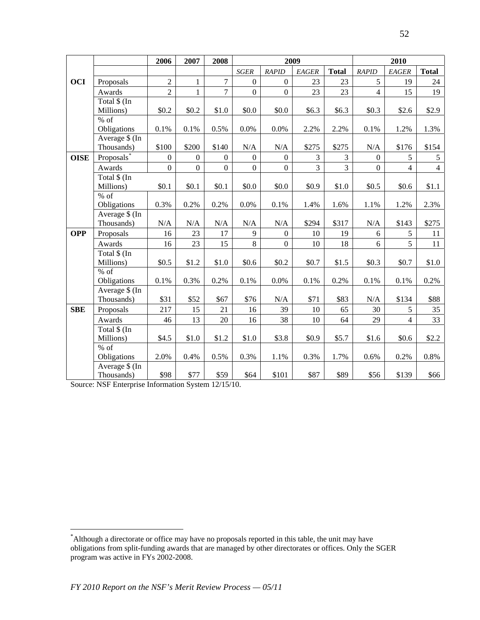|             |                        | 2006             | 2007             | 2008             |                  |                  | 2009           |              |                  | 2010           |                |
|-------------|------------------------|------------------|------------------|------------------|------------------|------------------|----------------|--------------|------------------|----------------|----------------|
|             |                        |                  |                  |                  | <b>SGER</b>      | <b>RAPID</b>     | EAGER          | <b>Total</b> | <b>RAPID</b>     | EAGER          | <b>Total</b>   |
| <b>OCI</b>  | Proposals              | $\overline{2}$   | $\mathbf{1}$     | $\tau$           | $\overline{0}$   | $\boldsymbol{0}$ | 23             | 23           | 5                | 19             | 24             |
|             | Awards                 | $\overline{2}$   | $\mathbf{1}$     | $\overline{7}$   | $\overline{0}$   | $\overline{0}$   | 23             | 23           | $\overline{4}$   | 15             | 19             |
|             | Total \$ (In           |                  |                  |                  |                  |                  |                |              |                  |                |                |
|             | Millions)              | \$0.2            | \$0.2            | \$1.0            | \$0.0            | \$0.0            | \$6.3\$        | \$6.3\$      | \$0.3            | \$2.6          | \$2.9          |
|             | $%$ of                 |                  |                  |                  |                  |                  |                |              |                  |                |                |
|             | Obligations            | 0.1%             | 0.1%             | 0.5%             | 0.0%             | 0.0%             | 2.2%           | 2.2%         | 0.1%             | 1.2%           | 1.3%           |
|             | Average \$ (In         |                  |                  |                  |                  |                  |                |              |                  |                |                |
|             | Thousands)             | \$100            | \$200            | \$140            | N/A              | N/A              | \$275          | \$275        | N/A              | \$176          | \$154          |
| <b>OISE</b> | Proposals <sup>*</sup> | $\mathbf{0}$     | $\overline{0}$   | $\overline{0}$   | $\boldsymbol{0}$ | $\boldsymbol{0}$ | 3              | 3            | $\Omega$         | 5              | 5              |
|             | Awards                 | $\boldsymbol{0}$ | $\boldsymbol{0}$ | $\boldsymbol{0}$ | $\overline{0}$   | $\boldsymbol{0}$ | $\overline{3}$ | 3            | $\boldsymbol{0}$ | $\overline{4}$ | $\overline{4}$ |
|             | Total \$ (In           |                  |                  |                  |                  |                  |                |              |                  |                |                |
|             | Millions)              | \$0.1            | \$0.1            | \$0.1            | \$0.0            | \$0.0            | \$0.9          | \$1.0        | \$0.5            | \$0.6          | \$1.1          |
|             | % of<br>Obligations    | 0.3%             | 0.2%             | 0.2%             | 0.0%             | 0.1%             | 1.4%           | 1.6%         | 1.1%             | 1.2%           | 2.3%           |
|             | Average \$ (In         |                  |                  |                  |                  |                  |                |              |                  |                |                |
|             | Thousands)             | N/A              | $\rm N/A$        | $\rm N/A$        | $\rm N/A$        | $\rm N/A$        | \$294          | \$317        | $\rm N/A$        | \$143          | \$275          |
| <b>OPP</b>  | Proposals              | 16               | 23               | 17               | 9                | $\overline{0}$   | 10             | 19           | 6                | 5              | 11             |
|             | Awards                 | 16               | 23               | 15               | 8                | $\mathbf{0}$     | 10             | 18           | 6                | 5              | 11             |
|             | Total \$ (In           |                  |                  |                  |                  |                  |                |              |                  |                |                |
|             | Millions)              | \$0.5            | \$1.2            | \$1.0            | \$0.6            | \$0.2\$          | \$0.7          | \$1.5        | \$0.3\$          | \$0.7          | \$1.0          |
|             | % of                   |                  |                  |                  |                  |                  |                |              |                  |                |                |
|             | Obligations            | 0.1%             | 0.3%             | 0.2%             | 0.1%             | 0.0%             | 0.1%           | 0.2%         | 0.1%             | 0.1%           | 0.2%           |
|             | Average \$ (In         |                  |                  |                  |                  |                  |                |              |                  |                |                |
|             | Thousands)             | \$31             | \$52             | \$67             | \$76             | N/A              | \$71           | \$83         | N/A              | \$134          | \$88           |
| <b>SBE</b>  | Proposals              | 217              | 15               | 21               | 16               | 39               | $10\,$         | 65           | 30               | 5              | 35             |
|             | Awards                 | 46               | 13               | 20               | 16               | 38               | 10             | 64           | 29               | $\overline{4}$ | 33             |
|             | Total \$ (In           |                  |                  |                  |                  |                  |                |              |                  |                |                |
|             | Millions)              | \$4.5            | \$1.0            | \$1.2            | \$1.0            | \$3.8            | \$0.9          | \$5.7        | \$1.6            | \$0.6          | \$2.2          |
|             | $%$ of                 |                  |                  |                  |                  |                  |                |              |                  |                |                |
|             | Obligations            | 2.0%             | 0.4%             | 0.5%             | 0.3%             | 1.1%             | 0.3%           | 1.7%         | 0.6%             | 0.2%           | 0.8%           |
|             | Average \$ (In         |                  |                  |                  |                  |                  |                |              |                  |                |                |
|             | Thousands)             | \$98             | \$77             | \$59             | \$64             | \$101            | \$87           | \$89         | \$56             | \$139          | \$66           |

Source: NSF Enterprise Information System 12/15/10.

<span id="page-51-0"></span><sup>\*</sup> Although a directorate or office may have no proposals reported in this table, the unit may have obligations from split-funding awards that are managed by other directorates or offices. Only the SGER program was active in FYs 2002-2008.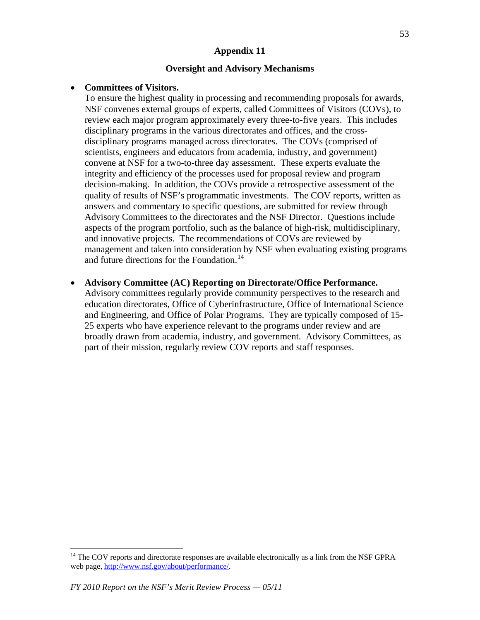#### **Oversight and Advisory Mechanisms**

#### • **Committees of Visitors.**

To ensure the highest quality in processing and recommending proposals for awards, NSF convenes external groups of experts, called Committees of Visitors (COVs), to review each major program approximately every three-to-five years. This includes disciplinary programs in the various directorates and offices, and the crossdisciplinary programs managed across directorates. The COVs (comprised of scientists, engineers and educators from academia, industry, and government) convene at NSF for a two-to-three day assessment. These experts evaluate the integrity and efficiency of the processes used for proposal review and program decision-making. In addition, the COVs provide a retrospective assessment of the quality of results of NSF's programmatic investments. The COV reports, written as answers and commentary to specific questions, are submitted for review through Advisory Committees to the directorates and the NSF Director. Questions include aspects of the program portfolio, such as the balance of high-risk, multidisciplinary, and innovative projects. The recommendations of COVs are reviewed by management and taken into consideration by NSF when evaluating existing programs and future directions for the Foundation.<sup>[14](#page-52-0)</sup>

• **Advisory Committee (AC) Reporting on Directorate/Office Performance.** 

Advisory committees regularly provide community perspectives to the research and education directorates, Office of Cyberinfrastructure, Office of International Science and Engineering, and Office of Polar Programs. They are typically composed of 15- 25 experts who have experience relevant to the programs under review and are broadly drawn from academia, industry, and government. Advisory Committees, as part of their mission, regularly review COV reports and staff responses.

<span id="page-52-0"></span><sup>&</sup>lt;sup>14</sup> The COV reports and directorate responses are available electronically as a link from the NSF GPRA web page, [http://www.nsf.gov/about/performance/.](http://www.nsf.gov/about/performance/)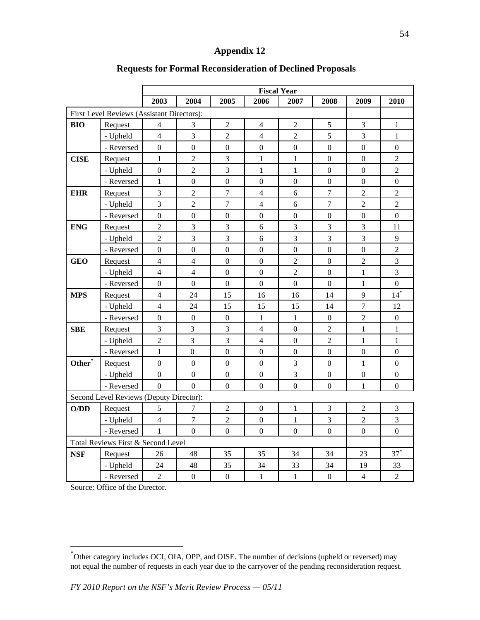|                    |                                            | <b>Fiscal Year</b> |                  |                  |                  |                  |                  |                  |                   |  |  |
|--------------------|--------------------------------------------|--------------------|------------------|------------------|------------------|------------------|------------------|------------------|-------------------|--|--|
|                    |                                            | 2003               | 2004             | 2005             | 2006             | 2007             | 2008             | 2009             | 2010              |  |  |
|                    | First Level Reviews (Assistant Directors): |                    |                  |                  |                  |                  |                  |                  |                   |  |  |
| <b>BIO</b>         | Request                                    | $\overline{4}$     | 3                | $\overline{2}$   | 4                | $\overline{c}$   | 5                | 3                | 1                 |  |  |
|                    | - Upheld                                   | $\overline{4}$     | 3                | $\overline{2}$   | $\overline{4}$   | $\overline{2}$   | 5                | 3                | $\mathbf{1}$      |  |  |
|                    | - Reversed                                 | $\overline{0}$     | $\overline{0}$   | $\mathbf{0}$     | $\overline{0}$   | $\overline{0}$   | $\mathbf{0}$     | $\mathbf{0}$     | $\overline{0}$    |  |  |
| <b>CISE</b>        | Request                                    | $\mathbf{1}$       | $\overline{2}$   | 3                | $\mathbf{1}$     | $\mathbf{1}$     | $\mathbf{0}$     | $\boldsymbol{0}$ | $\overline{2}$    |  |  |
|                    | - Upheld                                   | $\boldsymbol{0}$   | $\overline{2}$   | $\mathfrak{Z}$   | $\mathbf{1}$     | $\mathbf{1}$     | $\boldsymbol{0}$ | $\boldsymbol{0}$ | $\overline{2}$    |  |  |
|                    | - Reversed                                 | $\mathbf{1}$       | $\boldsymbol{0}$ | $\boldsymbol{0}$ | $\boldsymbol{0}$ | $\boldsymbol{0}$ | $\boldsymbol{0}$ | $\boldsymbol{0}$ | $\boldsymbol{0}$  |  |  |
| <b>EHR</b>         | Request                                    | 3                  | $\overline{2}$   | $\overline{7}$   | $\overline{4}$   | $\sqrt{6}$       | $\tau$           | $\overline{2}$   | $\overline{c}$    |  |  |
|                    | - Upheld                                   | $\overline{3}$     | $\overline{2}$   | $\overline{7}$   | $\overline{4}$   | 6                | $\overline{7}$   | $\overline{2}$   | $\overline{2}$    |  |  |
|                    | - Reversed                                 | $\overline{0}$     | $\mathbf{0}$     | $\mathbf{0}$     | $\mathbf{0}$     | $\overline{0}$   | $\overline{0}$   | $\mathbf{0}$     | $\overline{0}$    |  |  |
| <b>ENG</b>         | Request                                    | $\overline{2}$     | 3                | 3                | 6                | 3                | 3                | 3                | 11                |  |  |
|                    | - Upheld                                   | $\overline{2}$     | 3                | $\mathfrak{Z}$   | 6                | 3                | 3                | 3                | 9                 |  |  |
|                    | - Reversed                                 | $\boldsymbol{0}$   | $\boldsymbol{0}$ | $\boldsymbol{0}$ | $\boldsymbol{0}$ | $\boldsymbol{0}$ | $\boldsymbol{0}$ | $\boldsymbol{0}$ | $\overline{2}$    |  |  |
| <b>GEO</b>         | Request                                    | $\overline{4}$     | $\overline{4}$   | $\boldsymbol{0}$ | $\boldsymbol{0}$ | $\overline{c}$   | $\mathbf{0}$     | $\overline{2}$   | 3                 |  |  |
|                    | - Upheld                                   | $\overline{4}$     | $\overline{4}$   | $\boldsymbol{0}$ | $\mathbf{0}$     | $\overline{2}$   | $\boldsymbol{0}$ | $\mathbf{1}$     | 3                 |  |  |
|                    | - Reversed                                 | $\overline{0}$     | $\overline{0}$   | $\mathbf{0}$     | $\mathbf{0}$     | $\overline{0}$   | $\mathbf{0}$     | 1                | $\overline{0}$    |  |  |
| <b>MPS</b>         | Request                                    | $\overline{4}$     | 24               | 15               | 16               | 16               | 14               | 9                | $14$ <sup>*</sup> |  |  |
|                    | - Upheld                                   | $\overline{4}$     | 24               | 15               | 15               | 15               | 14               | $\overline{7}$   | 12                |  |  |
|                    | - Reversed                                 | $\overline{0}$     | $\boldsymbol{0}$ | $\boldsymbol{0}$ | $\mathbf{1}$     | $\mathbf{1}$     | $\boldsymbol{0}$ | $\sqrt{2}$       | $\overline{0}$    |  |  |
| <b>SBE</b>         | Request                                    | $\mathfrak{Z}$     | 3                | $\mathfrak 3$    | $\overline{4}$   | $\boldsymbol{0}$ | $\sqrt{2}$       | $\mathbf{1}$     | $\mathbf{1}$      |  |  |
|                    | - Upheld                                   | $\overline{2}$     | $\overline{3}$   | $\overline{3}$   | $\overline{4}$   | $\boldsymbol{0}$ | $\overline{2}$   | $\mathbf{1}$     | $\mathbf{1}$      |  |  |
|                    | - Reversed                                 | $\mathbf{1}$       | $\mathbf{0}$     | $\mathbf{0}$     | $\mathbf{0}$     | $\mathbf{0}$     | $\mathbf{0}$     | $\boldsymbol{0}$ | $\overline{0}$    |  |  |
| Other <sup>*</sup> | Request                                    | $\overline{0}$     | $\boldsymbol{0}$ | $\boldsymbol{0}$ | $\boldsymbol{0}$ | 3                | $\boldsymbol{0}$ | $\mathbf{1}$     | $\overline{0}$    |  |  |
|                    | - Upheld                                   | $\overline{0}$     | $\mathbf{0}$     | $\boldsymbol{0}$ | $\mathbf{0}$     | 3                | $\boldsymbol{0}$ | $\boldsymbol{0}$ | $\overline{0}$    |  |  |
|                    | - Reversed                                 | $\overline{0}$     | $\Omega$         | $\mathbf{0}$     | $\mathbf{0}$     | $\overline{0}$   | $\overline{0}$   | $\mathbf{1}$     | $\overline{0}$    |  |  |
|                    | Second Level Reviews (Deputy Director):    |                    |                  |                  |                  |                  |                  |                  |                   |  |  |
| O/DD               | Request                                    | 5                  | 7                | $\sqrt{2}$       | $\boldsymbol{0}$ | $\mathbf{1}$     | $\mathfrak 3$    | $\sqrt{2}$       | $\mathfrak{Z}$    |  |  |
|                    | - Upheld                                   | $\overline{4}$     | $\overline{7}$   | $\overline{2}$   | $\boldsymbol{0}$ | $\mathbf{1}$     | 3                | $\overline{2}$   | $\overline{3}$    |  |  |
|                    | - Reversed                                 | $\mathbf{1}$       | $\overline{0}$   | $\boldsymbol{0}$ | $\mathbf{0}$     | $\mathbf{0}$     | $\boldsymbol{0}$ | $\boldsymbol{0}$ | $\overline{0}$    |  |  |
|                    | Total Reviews First & Second Level         |                    |                  |                  |                  |                  |                  |                  |                   |  |  |
| <b>NSF</b>         | Request                                    | 26                 | 48               | 35               | 35               | 34               | 34               | 23               | $37^*$            |  |  |
|                    | - Upheld                                   | 24                 | 48               | 35               | 34               | 33               | 34               | 19               | 33                |  |  |
|                    | - Reversed                                 | $\overline{2}$     | $\boldsymbol{0}$ | $\mathbf{0}$     | $\mathbf{1}$     | $\mathbf{1}$     | $\boldsymbol{0}$ | $\overline{4}$   | $\overline{c}$    |  |  |

## **Requests for Formal Reconsideration of Declined Proposals**

Source: Office of the Director.

<span id="page-53-0"></span><sup>\*</sup> Other category includes OCI, OIA, OPP, and OISE. The number of decisions (upheld or reversed) may not equal the number of requests in each year due to the carryover of the pending reconsideration request.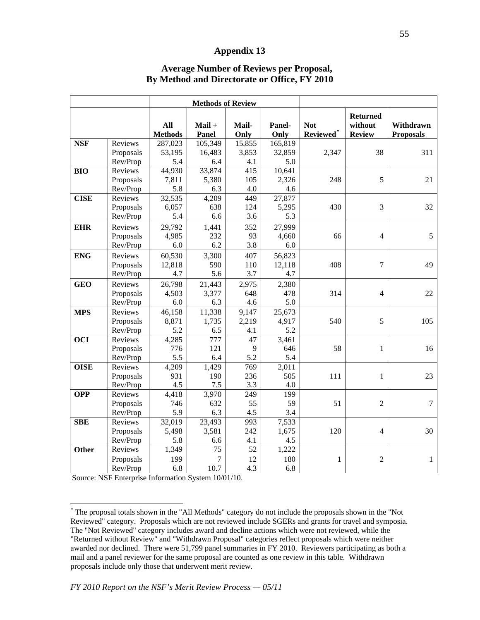|             |                |                              | <b>Methods of Review</b> |               |                |                         |                                             |                               |
|-------------|----------------|------------------------------|--------------------------|---------------|----------------|-------------------------|---------------------------------------------|-------------------------------|
|             |                | <b>All</b><br><b>Methods</b> | $Mail +$<br>Panel        | Mail-<br>Only | Panel-<br>Only | <b>Not</b><br>Reviewed* | <b>Returned</b><br>without<br><b>Review</b> | Withdrawn<br><b>Proposals</b> |
| <b>NSF</b>  | Reviews        | 287,023                      | 105,349                  | 15,855        | 165,819        |                         |                                             |                               |
|             | Proposals      | 53,195                       | 16,483                   | 3,853         | 32,859         | 2,347                   | 38                                          | 311                           |
|             | Rev/Prop       | 5.4                          | 6.4                      | 4.1           | 5.0            |                         |                                             |                               |
| <b>BIO</b>  | Reviews        | 44,930                       | 33,874                   | 415           | 10,641         |                         |                                             |                               |
|             | Proposals      | 7,811                        | 5,380                    | 105           | 2,326          | 248                     | 5                                           | 21                            |
|             | Rev/Prop       | 5.8                          | 6.3                      | 4.0           | 4.6            |                         |                                             |                               |
| <b>CISE</b> | Reviews        | 32,535                       | 4,209                    | 449           | 27,877         |                         |                                             |                               |
|             | Proposals      | 6,057                        | 638                      | 124           | 5,295          | 430                     | 3                                           | 32                            |
|             | Rev/Prop       | 5.4                          | 6.6                      | 3.6           | 5.3            |                         |                                             |                               |
| <b>EHR</b>  | <b>Reviews</b> | 29,792                       | 1,441                    | 352           | 27,999         |                         |                                             |                               |
|             | Proposals      | 4,985                        | 232                      | 93            | 4,660          | 66                      | $\overline{4}$                              | 5                             |
|             | Rev/Prop       | 6.0                          | 6.2                      | 3.8           | 6.0            |                         |                                             |                               |
| <b>ENG</b>  | Reviews        | 60,530                       | 3,300                    | 407           | 56,823         |                         |                                             |                               |
|             | Proposals      | 12,818                       | 590                      | 110           | 12,118         | 408                     | 7                                           | 49                            |
|             | Rev/Prop       | 4.7                          | 5.6                      | 3.7           | 4.7            |                         |                                             |                               |
| <b>GEO</b>  | Reviews        | 26,798                       | 21,443                   | 2,975         | 2,380          |                         |                                             |                               |
|             | Proposals      | 4,503                        | 3,377                    | 648           | 478            | 314                     | $\overline{4}$                              | 22                            |
|             | Rev/Prop       | 6.0                          | 6.3                      | 4.6           | 5.0            |                         |                                             |                               |
| <b>MPS</b>  | Reviews        | 46,158                       | 11,338                   | 9,147         | 25,673         |                         |                                             |                               |
|             | Proposals      | 8,871                        | 1,735                    | 2,219         | 4,917          | 540                     | 5                                           | 105                           |
|             | Rev/Prop       | 5.2                          | 6.5                      | 4.1           | 5.2            |                         |                                             |                               |
| <b>OCI</b>  | Reviews        | 4,285                        | 777                      | 47            | 3,461          |                         |                                             |                               |
|             | Proposals      | 776                          | 121                      | 9             | 646            | 58                      | 1                                           | 16                            |
|             | Rev/Prop       | 5.5                          | 6.4                      | 5.2           | 5.4            |                         |                                             |                               |
| <b>OISE</b> | Reviews        | 4,209                        | 1,429                    | 769           | 2,011          |                         |                                             |                               |
|             | Proposals      | 931                          | 190                      | 236           | 505            | 111                     | 1                                           | 23                            |
|             | Rev/Prop       | 4.5                          | 7.5                      | 3.3           | 4.0            |                         |                                             |                               |
| <b>OPP</b>  | Reviews        | 4,418                        | 3,970                    | 249           | 199            |                         |                                             |                               |
|             | Proposals      | 746                          | 632                      | 55            | 59             | 51                      | $\overline{2}$                              | $\overline{7}$                |
|             | Rev/Prop       | 5.9                          | 6.3                      | 4.5           | 3.4            |                         |                                             |                               |
| <b>SBE</b>  | Reviews        | 32,019                       | 23,493                   | 993           | 7,533          |                         |                                             |                               |
|             | Proposals      | 5,498                        | 3,581                    | 242           | 1,675          | 120                     | 4                                           | 30                            |
|             | Rev/Prop       | 5.8                          | 6.6                      | 4.1           | 4.5            |                         |                                             |                               |
| Other       | Reviews        | 1,349                        | 75                       | 52            | 1,222          |                         |                                             |                               |
|             | Proposals      | 199                          | 7                        | 12            | 180            | 1                       | $\overline{2}$                              | $\mathbf{1}$                  |
|             | Rev/Prop       | 6.8                          | 10.7                     | 4.3           | 6.8            |                         |                                             |                               |

#### **Average Number of Reviews per Proposal, By Method and Directorate or Office, FY 2010**

Source: NSF Enterprise Information System 10/01/10.

<span id="page-54-0"></span><sup>\*</sup> The proposal totals shown in the "All Methods" category do not include the proposals shown in the "Not Reviewed" category. Proposals which are not reviewed include SGERs and grants for travel and symposia. The "Not Reviewed" category includes award and decline actions which were not reviewed, while the "Returned without Review" and "Withdrawn Proposal" categories reflect proposals which were neither awarded nor declined. There were 51,799 panel summaries in FY 2010. Reviewers participating as both a mail and a panel reviewer for the same proposal are counted as one review in this table. Withdrawn proposals include only those that underwent merit review.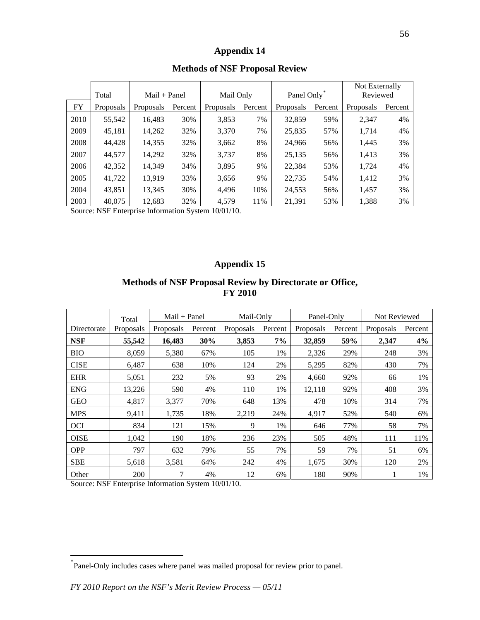|      |                  |                  |                |                  |           |           |                         | Not Externally |          |  |
|------|------------------|------------------|----------------|------------------|-----------|-----------|-------------------------|----------------|----------|--|
|      | Total            |                  | $Mail + Panel$ |                  | Mail Only |           | Panel Only <sup>*</sup> |                | Reviewed |  |
| FY   | <b>Proposals</b> | <b>Proposals</b> | Percent        | <b>Proposals</b> | Percent   | Proposals | Percent                 | Proposals      | Percent  |  |
| 2010 | 55,542           | 16.483           | 30%            | 3,853            | 7%        | 32,859    | 59%                     | 2.347          | 4%       |  |
| 2009 | 45,181           | 14,262           | 32%            | 3,370            | 7%        | 25,835    | 57%                     | 1,714          | 4%       |  |
| 2008 | 44.428           | 14,355           | 32%            | 3,662            | 8%        | 24,966    | 56%                     | 1,445          | 3%       |  |
| 2007 | 44,577           | 14.292           | 32%            | 3,737            | 8%        | 25,135    | 56%                     | 1,413          | 3%       |  |
| 2006 | 42,352           | 14,349           | 34%            | 3,895            | 9%        | 22,384    | 53%                     | 1,724          | 4%       |  |
| 2005 | 41,722           | 13.919           | 33%            | 3,656            | 9%        | 22,735    | 54%                     | 1,412          | 3%       |  |
| 2004 | 43,851           | 13.345           | 30%            | 4.496            | 10%       | 24,553    | 56%                     | 1,457          | 3%       |  |
| 2003 | 40,075           | 12,683           | 32%            | 4,579            | 11%       | 21,391    | 53%                     | 1,388          | 3%       |  |

#### **Methods of NSF Proposal Review**

Source: NSF Enterprise Information System 10/01/10.

## **Appendix 15**

## **Methods of NSF Proposal Review by Directorate or Office, FY 2010**

|             | Total     | $Mail + Panel$ |         | Mail-Only        |         | Panel-Only |         | Not Reviewed     |         |
|-------------|-----------|----------------|---------|------------------|---------|------------|---------|------------------|---------|
| Directorate | Proposals | Proposals      | Percent | <b>Proposals</b> | Percent | Proposals  | Percent | <b>Proposals</b> | Percent |
| <b>NSF</b>  | 55,542    | 16,483         | 30%     | 3,853            | 7%      | 32,859     | 59%     | 2,347            | 4%      |
| <b>BIO</b>  | 8,059     | 5,380          | 67%     | 105              | 1%      | 2,326      | 29%     | 248              | 3%      |
| <b>CISE</b> | 6,487     | 638            | 10%     | 124              | 2%      | 5,295      | 82%     | 430              | 7%      |
| <b>EHR</b>  | 5,051     | 232            | 5%      | 93               | 2%      | 4.660      | 92%     | 66               | 1%      |
| <b>ENG</b>  | 13,226    | 590            | 4%      | 110              | 1%      | 12,118     | 92%     | 408              | 3%      |
| <b>GEO</b>  | 4,817     | 3,377          | 70%     | 648              | 13%     | 478        | 10%     | 314              | 7%      |
| <b>MPS</b>  | 9.411     | 1,735          | 18%     | 2,219            | 24%     | 4,917      | 52%     | 540              | 6%      |
| <b>OCI</b>  | 834       | 121            | 15%     | 9                | 1%      | 646        | 77%     | 58               | 7%      |
| <b>OISE</b> | 1,042     | 190            | 18%     | 236              | 23%     | 505        | 48%     | 111              | 11%     |
| <b>OPP</b>  | 797       | 632            | 79%     | 55               | 7%      | 59         | 7%      | 51               | 6%      |
| <b>SBE</b>  | 5,618     | 3,581          | 64%     | 242              | 4%      | 1,675      | 30%     | 120              | 2%      |
| Other       | 200       | 7              | 4%      | 12               | 6%      | 180        | 90%     |                  | 1%      |

Source: NSF Enterprise Information System 10/01/10.

<span id="page-55-0"></span><sup>\*</sup> Panel-Only includes cases where panel was mailed proposal for review prior to panel.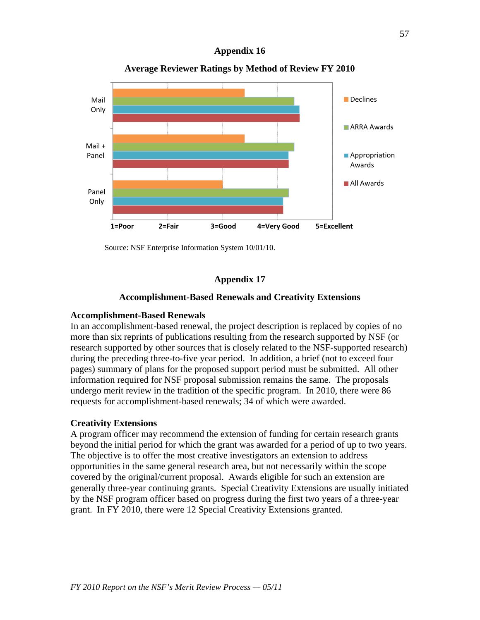

**Average Reviewer Ratings by Method of Review FY 2010**

Source: NSF Enterprise Information System 10/01/10.

## **Appendix 17**

#### **Accomplishment-Based Renewals and Creativity Extensions**

#### **Accomplishment-Based Renewals**

In an accomplishment-based renewal, the project description is replaced by copies of no more than six reprints of publications resulting from the research supported by NSF (or research supported by other sources that is closely related to the NSF-supported research) during the preceding three-to-five year period. In addition, a brief (not to exceed four pages) summary of plans for the proposed support period must be submitted. All other information required for NSF proposal submission remains the same. The proposals undergo merit review in the tradition of the specific program. In 2010, there were 86 requests for accomplishment-based renewals; 34 of which were awarded.

#### **Creativity Extensions**

A program officer may recommend the extension of funding for certain research grants beyond the initial period for which the grant was awarded for a period of up to two years. The objective is to offer the most creative investigators an extension to address opportunities in the same general research area, but not necessarily within the scope covered by the original/current proposal. Awards eligible for such an extension are generally three-year continuing grants. Special Creativity Extensions are usually initiated by the NSF program officer based on progress during the first two years of a three-year grant. In FY 2010, there were 12 Special Creativity Extensions granted.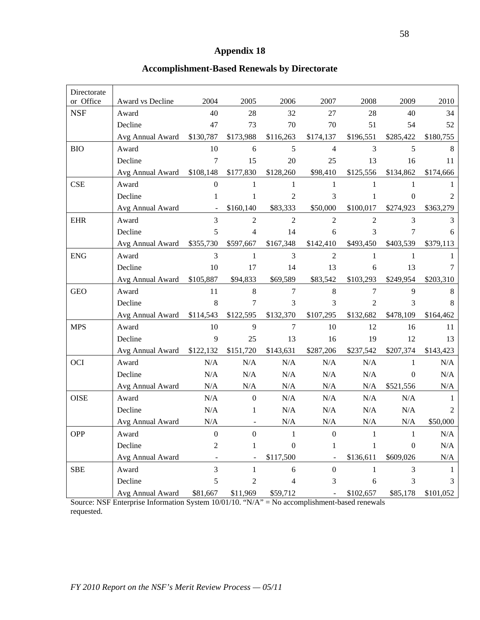## **Accomplishment-Based Renewals by Directorate**

| Directorate |                  |                |                  |                  |                          |                |                  |                |
|-------------|------------------|----------------|------------------|------------------|--------------------------|----------------|------------------|----------------|
| or Office   | Award vs Decline | 2004           | 2005             | 2006             | 2007                     | 2008           | 2009             | 2010           |
| <b>NSF</b>  | Award            | 40             | 28               | 32               | 27                       | 28             | 40               | 34             |
|             | Decline          | 47             | 73               | 70               | 70                       | 51             | 54               | 52             |
|             | Avg Annual Award | \$130,787      | \$173,988        | \$116,263        | \$174,137                | \$196,551      | \$285,422        | \$180,755      |
| <b>BIO</b>  | Award            | 10             | 6                | 5                | $\overline{\mathcal{L}}$ | 3              | 5                | 8              |
|             | Decline          | 7              | 15               | 20               | 25                       | 13             | 16               | 11             |
|             | Avg Annual Award | \$108,148      | \$177,830        | \$128,260        | \$98,410                 | \$125,556      | \$134,862        | \$174,666      |
| <b>CSE</b>  | Award            | $\overline{0}$ | 1                | 1                | 1                        | 1              | 1                |                |
|             | Decline          | 1              | $\mathbf{1}$     | $\overline{c}$   | 3                        | 1              | $\boldsymbol{0}$ | $\overline{2}$ |
|             | Avg Annual Award |                | \$160,140        | \$83,333         | \$50,000                 | \$100,017      | \$274,923        | \$363,279      |
| <b>EHR</b>  | Award            | 3              | $\overline{2}$   | $\overline{2}$   | $\overline{2}$           | $\overline{2}$ | 3                | 3              |
|             | Decline          | 5              | $\overline{4}$   | 14               | 6                        | 3              | 7                | 6              |
|             | Avg Annual Award | \$355,730      | \$597,667        | \$167,348        | \$142,410                | \$493,450      | \$403,539        | \$379,113      |
| <b>ENG</b>  | Award            | 3              | $\mathbf{1}$     | 3                | $\overline{2}$           | 1              | 1                | 1              |
|             | Decline          | 10             | 17               | 14               | 13                       | 6              | 13               | 7              |
|             | Avg Annual Award | \$105,887      | \$94,833         | \$69,589         | \$83,542                 | \$103,293      | \$249,954        | \$203,310      |
| <b>GEO</b>  | Award            | 11             | $8\,$            | $\tau$           | 8                        | 7              | 9                | 8              |
|             | Decline          | 8              | 7                | 3                | 3                        | $\overline{2}$ | 3                | 8              |
|             | Avg Annual Award | \$114,543      | \$122,595        | \$132,370        | \$107,295                | \$132,682      | \$478,109        | \$164,462      |
| <b>MPS</b>  | Award            | 10             | 9                | 7                | 10                       | 12             | 16               | 11             |
|             | Decline          | 9              | 25               | 13               | 16                       | 19             | 12               | 13             |
|             | Avg Annual Award | \$122,132      | \$151,720        | \$143,631        | \$287,206                | \$237,542      | \$207,374        | \$143,423      |
| <b>OCI</b>  | Award            | N/A            | N/A              | N/A              | $\rm N/A$                | N/A            | 1                | N/A            |
|             | Decline          | N/A            | N/A              | N/A              | $\rm N/A$                | N/A            | $\theta$         | N/A            |
|             | Avg Annual Award | N/A            | N/A              | N/A              | N/A                      | N/A            | \$521,556        | N/A            |
| <b>OISE</b> | Award            | N/A            | $\boldsymbol{0}$ | N/A              | $\rm N/A$                | N/A            | N/A              | 1              |
|             | Decline          | N/A            | 1                | N/A              | $\rm N/A$                | N/A            | N/A              | 2              |
|             | Avg Annual Award | N/A            |                  | N/A              | $\rm N/A$                | $\rm N/A$      | N/A              | \$50,000       |
| <b>OPP</b>  | Award            | $\overline{0}$ | $\overline{0}$   | -1               | $\overline{0}$           | 1              | 1                | N/A            |
|             | Decline          | 2              | 1                | $\boldsymbol{0}$ | 1                        | 1              | $\boldsymbol{0}$ | N/A            |
|             | Avg Annual Award |                |                  | \$117,500        |                          | \$136,611      | \$609,026        | N/A            |
| <b>SBE</b>  | Award            | 3              | $\mathbf{1}$     | 6                | $\overline{0}$           | 1              | 3                | 1              |
|             | Decline          | 5              | 2                | $\overline{4}$   | 3                        | 6              | 3                | 3              |
|             | Avg Annual Award | \$81,667       | \$11,969         | \$59,712         |                          | \$102,657      | \$85,178         | \$101,052      |

Source: NSF Enterprise Information System 10/01/10. "N/A" = No accomplishment-based renewals requested.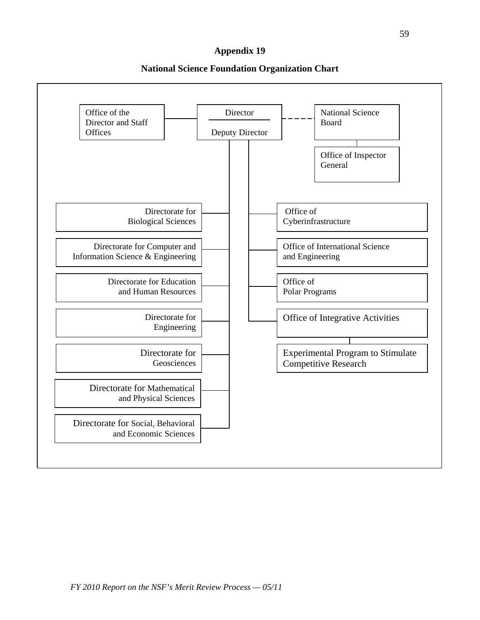